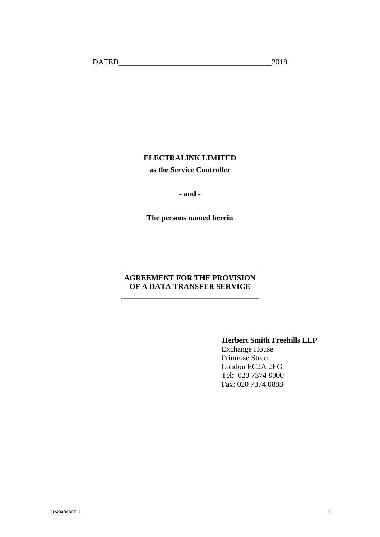# **ELECTRALINK LIMITED as the Service Controller**

**- and -**

**The persons named herein**

# **AGREEMENT FOR THE PROVISION OF A DATA TRANSFER SERVICE**

**\_\_\_\_\_\_\_\_\_\_\_\_\_\_\_\_\_\_\_\_\_\_\_\_\_\_\_\_\_\_\_\_\_\_\_\_**

**\_\_\_\_\_\_\_\_\_\_\_\_\_\_\_\_\_\_\_\_\_\_\_\_\_\_\_\_\_\_\_\_\_\_\_\_**

# **Herbert Smith Freehills LLP**

Exchange House Primrose Street London EC2A 2EG Tel: 020 7374 8000 Fax: 020 7374 0888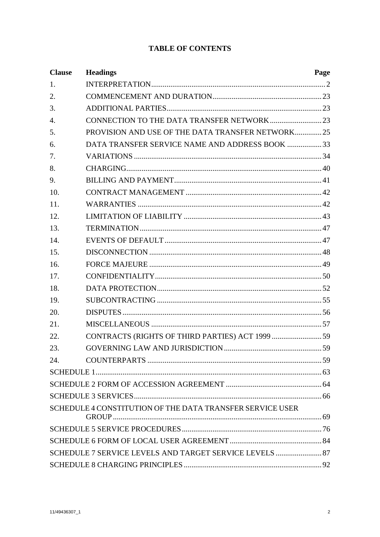# **TABLE OF CONTENTS**

| <b>Clause</b>    | <b>Headings</b>                                           | Page |
|------------------|-----------------------------------------------------------|------|
| 1.               |                                                           |      |
| 2.               |                                                           |      |
| 3.               |                                                           |      |
| $\overline{4}$ . |                                                           |      |
| 5.               | PROVISION AND USE OF THE DATA TRANSFER NETWORK25          |      |
| 6.               | DATA TRANSFER SERVICE NAME AND ADDRESS BOOK  33           |      |
| 7.               |                                                           |      |
| 8.               |                                                           |      |
| 9.               |                                                           |      |
| 10.              |                                                           |      |
| 11.              |                                                           |      |
| 12.              |                                                           |      |
| 13.              |                                                           |      |
| 14.              |                                                           |      |
| 15.              |                                                           |      |
| 16.              |                                                           |      |
| 17.              |                                                           |      |
| 18.              |                                                           |      |
| 19.              |                                                           |      |
| 20.              |                                                           |      |
| 21.              |                                                           |      |
| 22.              |                                                           |      |
| 23.              |                                                           |      |
| 24.              |                                                           |      |
|                  |                                                           |      |
|                  |                                                           |      |
|                  |                                                           |      |
|                  | SCHEDULE 4 CONSTITUTION OF THE DATA TRANSFER SERVICE USER |      |
|                  |                                                           |      |
|                  |                                                           |      |
|                  | SCHEDULE 7 SERVICE LEVELS AND TARGET SERVICE LEVELS  87   |      |
|                  |                                                           |      |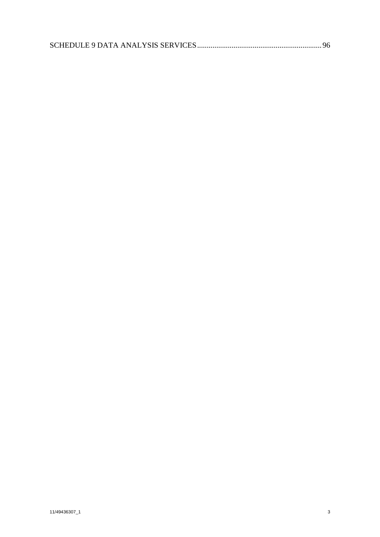|--|--|--|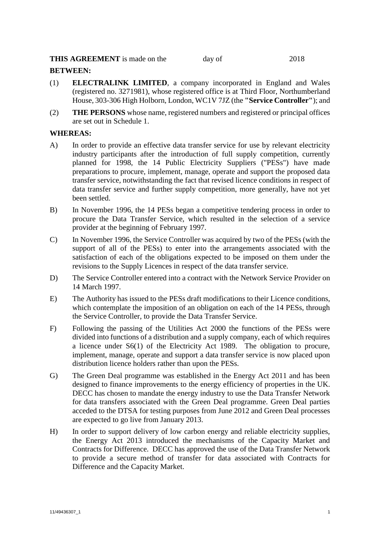## **THIS AGREEMENT** is made on the day of 2018

# **BETWEEN:**

- (1) **ELECTRALINK LIMITED**, a company incorporated in England and Wales (registered no. 3271981), whose registered office is at Third Floor, Northumberland House, 303-306 High Holborn, London, WC1V 7JZ (the **"Service Controller"**); and
- (2) **THE PERSONS** whose name, registered numbers and registered or principal offices are set out in Schedule 1.

# **WHEREAS:**

- A) In order to provide an effective data transfer service for use by relevant electricity industry participants after the introduction of full supply competition, currently planned for 1998, the 14 Public Electricity Suppliers ("PESs") have made preparations to procure, implement, manage, operate and support the proposed data transfer service, notwithstanding the fact that revised licence conditions in respect of data transfer service and further supply competition, more generally, have not yet been settled.
- B) In November 1996, the 14 PESs began a competitive tendering process in order to procure the Data Transfer Service, which resulted in the selection of a service provider at the beginning of February 1997.
- C) In November 1996, the Service Controller was acquired by two of the PESs (with the support of all of the PESs) to enter into the arrangements associated with the satisfaction of each of the obligations expected to be imposed on them under the revisions to the Supply Licences in respect of the data transfer service.
- D) The Service Controller entered into a contract with the Network Service Provider on 14 March 1997.
- E) The Authority has issued to the PESs draft modifications to their Licence conditions, which contemplate the imposition of an obligation on each of the 14 PESs, through the Service Controller, to provide the Data Transfer Service.
- F) Following the passing of the Utilities Act 2000 the functions of the PESs were divided into functions of a distribution and a supply company, each of which requires a licence under S6(1) of the Electricity Act 1989. The obligation to procure, implement, manage, operate and support a data transfer service is now placed upon distribution licence holders rather than upon the PESs.
- G) The Green Deal programme was established in the Energy Act 2011 and has been designed to finance improvements to the energy efficiency of properties in the UK. DECC has chosen to mandate the energy industry to use the Data Transfer Network for data transfers associated with the Green Deal programme. Green Deal parties acceded to the DTSA for testing purposes from June 2012 and Green Deal processes are expected to go live from January 2013.
- H) In order to support delivery of low carbon energy and reliable electricity supplies, the Energy Act 2013 introduced the mechanisms of the Capacity Market and Contracts for Difference. DECC has approved the use of the Data Transfer Network to provide a secure method of transfer for data associated with Contracts for Difference and the Capacity Market.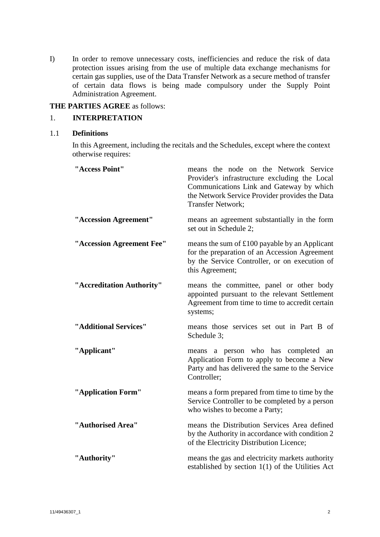I) In order to remove unnecessary costs, inefficiencies and reduce the risk of data protection issues arising from the use of multiple data exchange mechanisms for certain gas supplies, use of the Data Transfer Network as a secure method of transfer of certain data flows is being made compulsory under the Supply Point Administration Agreement.

## **THE PARTIES AGREE** as follows:

# <span id="page-4-0"></span>1. **INTERPRETATION**

#### 1.1 **Definitions**

In this Agreement, including the recitals and the Schedules, except where the context otherwise requires:

| "Access Point"            | means the node on the Network Service<br>Provider's infrastructure excluding the Local<br>Communications Link and Gateway by which<br>the Network Service Provider provides the Data<br>Transfer Network; |
|---------------------------|-----------------------------------------------------------------------------------------------------------------------------------------------------------------------------------------------------------|
| "Accession Agreement"     | means an agreement substantially in the form<br>set out in Schedule 2;                                                                                                                                    |
| "Accession Agreement Fee" | means the sum of £100 payable by an Applicant<br>for the preparation of an Accession Agreement<br>by the Service Controller, or on execution of<br>this Agreement;                                        |
| "Accreditation Authority" | means the committee, panel or other body<br>appointed pursuant to the relevant Settlement<br>Agreement from time to time to accredit certain<br>systems;                                                  |
| "Additional Services"     | means those services set out in Part B of<br>Schedule 3;                                                                                                                                                  |
| "Applicant"               | means a person who has completed an<br>Application Form to apply to become a New<br>Party and has delivered the same to the Service<br>Controller;                                                        |
| "Application Form"        | means a form prepared from time to time by the<br>Service Controller to be completed by a person<br>who wishes to become a Party;                                                                         |
| "Authorised Area"         | means the Distribution Services Area defined<br>by the Authority in accordance with condition 2<br>of the Electricity Distribution Licence;                                                               |
| "Authority"               | means the gas and electricity markets authority<br>established by section $1(1)$ of the Utilities Act                                                                                                     |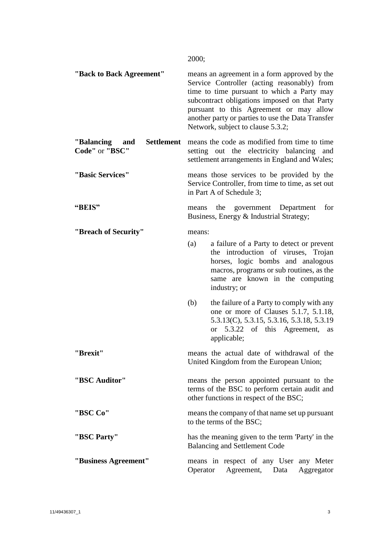2000;

| "Back to Back Agreement"                                  | means an agreement in a form approved by the<br>Service Controller (acting reasonably) from<br>time to time pursuant to which a Party may<br>subcontract obligations imposed on that Party<br>pursuant to this Agreement or may allow<br>another party or parties to use the Data Transfer<br>Network, subject to clause 5.3.2; |  |
|-----------------------------------------------------------|---------------------------------------------------------------------------------------------------------------------------------------------------------------------------------------------------------------------------------------------------------------------------------------------------------------------------------|--|
| <b>Settlement</b><br>"Balancing"<br>and<br>Code" or "BSC" | means the code as modified from time to time<br>setting out the electricity balancing<br>and<br>settlement arrangements in England and Wales;                                                                                                                                                                                   |  |
| "Basic Services"                                          | means those services to be provided by the<br>Service Controller, from time to time, as set out<br>in Part A of Schedule 3;                                                                                                                                                                                                     |  |
| "BEIS"                                                    | for<br>the<br>government<br>Department<br>means<br>Business, Energy & Industrial Strategy;                                                                                                                                                                                                                                      |  |
| "Breach of Security"                                      | means:                                                                                                                                                                                                                                                                                                                          |  |
|                                                           | (a)<br>a failure of a Party to detect or prevent<br>the introduction of viruses, Trojan<br>horses, logic bombs and analogous<br>macros, programs or sub routines, as the<br>same are known in the computing<br>industry; or                                                                                                     |  |
|                                                           | the failure of a Party to comply with any<br>(b)<br>one or more of Clauses 5.1.7, 5.1.18,<br>5.3.13(C), 5.3.15, 5.3.16, 5.3.18, 5.3.19<br>or 5.3.22 of this Agreement, as<br>applicable;                                                                                                                                        |  |
| "Brexit"                                                  | means the actual date of withdrawal of the<br>United Kingdom from the European Union;                                                                                                                                                                                                                                           |  |
| "BSC Auditor"                                             | means the person appointed pursuant to the<br>terms of the BSC to perform certain audit and<br>other functions in respect of the BSC;                                                                                                                                                                                           |  |
| "BSC Co"                                                  | means the company of that name set up pursuant<br>to the terms of the BSC;                                                                                                                                                                                                                                                      |  |
| "BSC Party"                                               | has the meaning given to the term 'Party' in the<br><b>Balancing and Settlement Code</b>                                                                                                                                                                                                                                        |  |
| "Business Agreement"                                      | means in respect of any User any Meter<br>Agreement, Data<br>Operator<br>Aggregator                                                                                                                                                                                                                                             |  |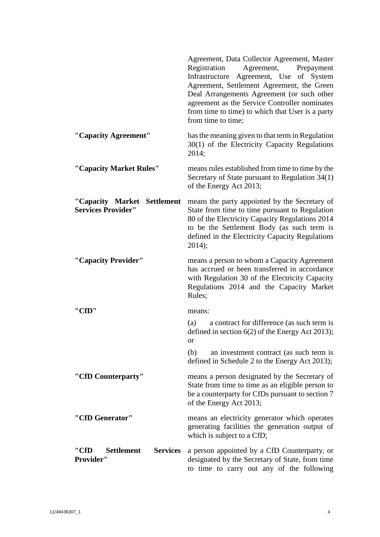|                                                                   | Agreement, Data Collector Agreement, Master<br>Agreement,<br>Registration<br>Prepayment<br>Infrastructure Agreement, Use of System<br>Agreement, Settlement Agreement, the Green<br>Deal Arrangements Agreement (or such other<br>agreement as the Service Controller nominates<br>from time to time) to which that User is a party<br>from time to time; |
|-------------------------------------------------------------------|-----------------------------------------------------------------------------------------------------------------------------------------------------------------------------------------------------------------------------------------------------------------------------------------------------------------------------------------------------------|
| "Capacity Agreement"                                              | has the meaning given to that term in Regulation<br>$30(1)$ of the Electricity Capacity Regulations<br>2014;                                                                                                                                                                                                                                              |
| "Capacity Market Rules"                                           | means rules established from time to time by the<br>Secretary of State pursuant to Regulation 34(1)<br>of the Energy Act 2013;                                                                                                                                                                                                                            |
| "Capacity Market Settlement<br><b>Services Provider"</b>          | means the party appointed by the Secretary of<br>State from time to time pursuant to Regulation<br>80 of the Electricity Capacity Regulations 2014<br>to be the Settlement Body (as such term is<br>defined in the Electricity Capacity Regulations<br>2014);                                                                                             |
| "Capacity Provider"                                               | means a person to whom a Capacity Agreement<br>has accrued or been transferred in accordance<br>with Regulation 30 of the Electricity Capacity<br>Regulations 2014 and the Capacity Market<br>Rules;                                                                                                                                                      |
| "CfD"                                                             | means:                                                                                                                                                                                                                                                                                                                                                    |
|                                                                   | (a)<br>a contract for difference (as such term is<br>defined in section $6(2)$ of the Energy Act 2013);<br>or                                                                                                                                                                                                                                             |
|                                                                   | (b)<br>an investment contract (as such term is<br>defined in Schedule 2 to the Energy Act 2013);                                                                                                                                                                                                                                                          |
| "CfD Counterparty"                                                | means a person designated by the Secretary of<br>State from time to time as an eligible person to<br>be a counterparty for CfDs pursuant to section 7<br>of the Energy Act 2013;                                                                                                                                                                          |
| "CfD Generator"                                                   | means an electricity generator which operates<br>generating facilities the generation output of<br>which is subject to a CfD;                                                                                                                                                                                                                             |
| <b>Settlement</b><br><b>Services</b><br>''CfD<br><b>Provider"</b> | a person appointed by a CfD Counterparty, or<br>designated by the Secretary of State, from time<br>to time to carry out any of the following                                                                                                                                                                                                              |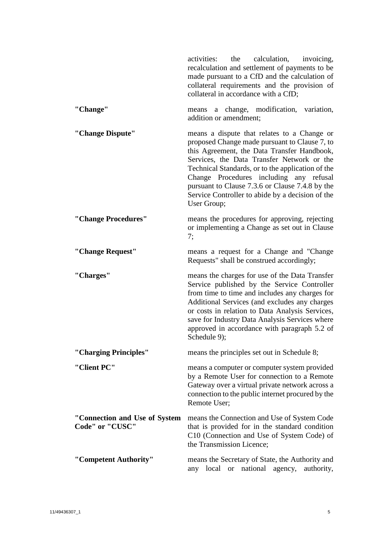|                                                  | the<br>calculation,<br>activities:<br>invoicing,<br>recalculation and settlement of payments to be<br>made pursuant to a CfD and the calculation of<br>collateral requirements and the provision of<br>collateral in accordance with a CfD;                                                                                                                                                                     |
|--------------------------------------------------|-----------------------------------------------------------------------------------------------------------------------------------------------------------------------------------------------------------------------------------------------------------------------------------------------------------------------------------------------------------------------------------------------------------------|
| "Change"                                         | a change, modification,<br>variation,<br>means<br>addition or amendment;                                                                                                                                                                                                                                                                                                                                        |
| "Change Dispute"                                 | means a dispute that relates to a Change or<br>proposed Change made pursuant to Clause 7, to<br>this Agreement, the Data Transfer Handbook,<br>Services, the Data Transfer Network or the<br>Technical Standards, or to the application of the<br>Change Procedures including any refusal<br>pursuant to Clause 7.3.6 or Clause 7.4.8 by the<br>Service Controller to abide by a decision of the<br>User Group; |
| "Change Procedures"                              | means the procedures for approving, rejecting<br>or implementing a Change as set out in Clause<br>7:                                                                                                                                                                                                                                                                                                            |
| "Change Request"                                 | means a request for a Change and "Change"<br>Requests" shall be construed accordingly;                                                                                                                                                                                                                                                                                                                          |
| "Charges"                                        | means the charges for use of the Data Transfer<br>Service published by the Service Controller<br>from time to time and includes any charges for<br>Additional Services (and excludes any charges<br>or costs in relation to Data Analysis Services,<br>save for Industry Data Analysis Services where<br>approved in accordance with paragraph 5.2 of<br>Schedule 9);                                           |
| "Charging Principles"                            | means the principles set out in Schedule 8;                                                                                                                                                                                                                                                                                                                                                                     |
| "Client PC"                                      | means a computer or computer system provided<br>by a Remote User for connection to a Remote<br>Gateway over a virtual private network across a<br>connection to the public internet procured by the<br>Remote User;                                                                                                                                                                                             |
| "Connection and Use of System<br>Code" or "CUSC" | means the Connection and Use of System Code<br>that is provided for in the standard condition<br>C10 (Connection and Use of System Code) of<br>the Transmission Licence;                                                                                                                                                                                                                                        |
| "Competent Authority"                            | means the Secretary of State, the Authority and<br>any local or national agency,<br>authority,                                                                                                                                                                                                                                                                                                                  |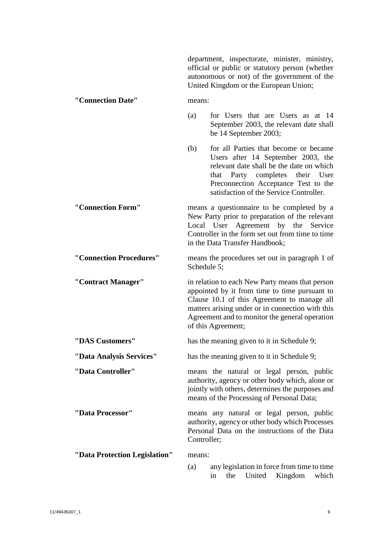department, inspectorate, minister, ministry, official or public or statutory person (whether autonomous or not) of the government of the United Kingdom or the European Union; **"Connection Date"** means: (a) for Users that are Users as at 14 September 2003, the relevant date shall be 14 September 2003; (b) for all Parties that become or became Users after 14 September 2003, the relevant date shall be the date on which that Party completes their User Preconnection Acceptance Test to the satisfaction of the Service Controller. **"Connection Form"** means a questionnaire to be completed by a New Party prior to preparation of the relevant Local User Agreement by the Service Controller in the form set out from time to time in the Data Transfer Handbook; **"Connection Procedures"** means the procedures set out in paragraph [1](#page-78-1) of Schedule 5: **"Contract Manager"** in relation to each New Party means that person appointed by it from time to time pursuant to Clause [10.1](#page-44-2) of this Agreement to manage all matters arising under or in connection with this Agreement and to monitor the general operation of this Agreement; **"DAS Customers"** has the meaning given to it in [Schedule 9;](#page-98-1) **"Data Analysis Services"** has the meaning given to it in [Schedule 9;](#page-98-1) **"Data Controller"** means the natural or legal person, public authority, agency or other body which, alone or jointly with others, determines the purposes and means of the Processing of Personal Data; **"Data Processor"** means any natural or legal person, public authority, agency or other body which Processes Personal Data on the instructions of the Data Controller; **"Data Protection Legislation"** means: (a) any legislation in force from time to time

11/49436307\_1 6

in the United Kingdom which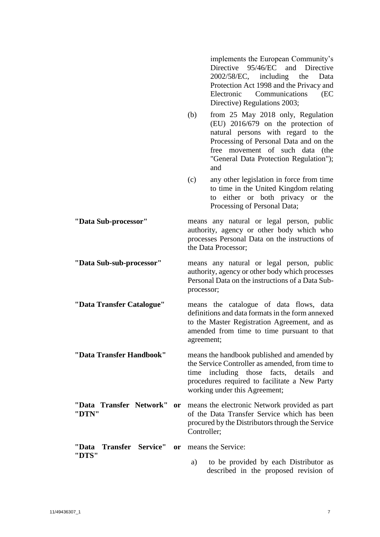implements the European Community's Directive 95/46/EC and Directive 2002/58/EC, including the Data Protection Act 1998 and the Privacy and Electronic Communications (EC Directive) Regulations 2003; (b) from 25 May 2018 only, Regulation (EU) 2016/679 on the protection of natural persons with regard to the Processing of Personal Data and on the free movement of such data (the "General Data Protection Regulation"); and (c) any other legislation in force from time to time in the United Kingdom relating to either or both privacy or the Processing of Personal Data; **"Data Sub-processor"** means any natural or legal person, public authority, agency or other body which who processes Personal Data on the instructions of the Data Processor; **"Data Sub-sub-processor"** means any natural or legal person, public authority, agency or other body which processes Personal Data on the instructions of a Data Subprocessor; **"Data Transfer Catalogue"** means the catalogue of data flows, data definitions and data formats in the form annexed to the Master Registration Agreement, and as amended from time to time pursuant to that agreement; **"Data Transfer Handbook"** means the handbook published and amended by the Service Controller as amended, from time to time including those facts, details and procedures required to facilitate a New Party working under this Agreement; **"Data Transfer Network" or "DTN"** means the electronic Network provided as part of the Data Transfer Service which has been procured by the Distributors through the Service Controller; **"Data Transfer Service" or "DTS"** means the Service: a) to be provided by each Distributor as described in the proposed revision of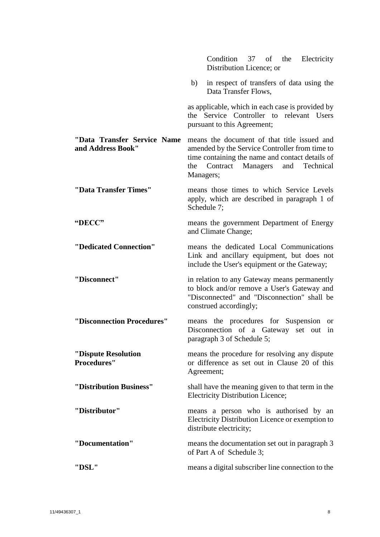|                                                  | Condition 37 of the<br>Electricity<br>Distribution Licence; or                                                                                                                                          |
|--------------------------------------------------|---------------------------------------------------------------------------------------------------------------------------------------------------------------------------------------------------------|
|                                                  | in respect of transfers of data using the<br>b)<br>Data Transfer Flows,                                                                                                                                 |
|                                                  | as applicable, which in each case is provided by<br>the Service Controller to relevant Users<br>pursuant to this Agreement;                                                                             |
| "Data Transfer Service Name<br>and Address Book" | means the document of that title issued and<br>amended by the Service Controller from time to<br>time containing the name and contact details of<br>Contract Managers and Technical<br>the<br>Managers; |
| "Data Transfer Times"                            | means those times to which Service Levels<br>apply, which are described in paragraph 1 of<br>Schedule 7;                                                                                                |
| "DECC"                                           | means the government Department of Energy<br>and Climate Change;                                                                                                                                        |
| "Dedicated Connection"                           | means the dedicated Local Communications<br>Link and ancillary equipment, but does not<br>include the User's equipment or the Gateway;                                                                  |
| "Disconnect"                                     | in relation to any Gateway means permanently<br>to block and/or remove a User's Gateway and<br>"Disconnected" and "Disconnection" shall be<br>construed accordingly;                                    |
| "Disconnection Procedures"                       | means the procedures for Suspension or<br>Disconnection of a Gateway set out<br>in<br>paragraph 3 of Schedule 5;                                                                                        |
| "Dispute Resolution<br><b>Procedures"</b>        | means the procedure for resolving any dispute<br>or difference as set out in Clause 20 of this<br>Agreement;                                                                                            |
| "Distribution Business"                          | shall have the meaning given to that term in the<br><b>Electricity Distribution Licence;</b>                                                                                                            |
| "Distributor"                                    | means a person who is authorised by an<br>Electricity Distribution Licence or exemption to<br>distribute electricity;                                                                                   |
| "Documentation"                                  | means the documentation set out in paragraph 3<br>of Part A of Schedule 3;                                                                                                                              |
| "DSL"                                            | means a digital subscriber line connection to the                                                                                                                                                       |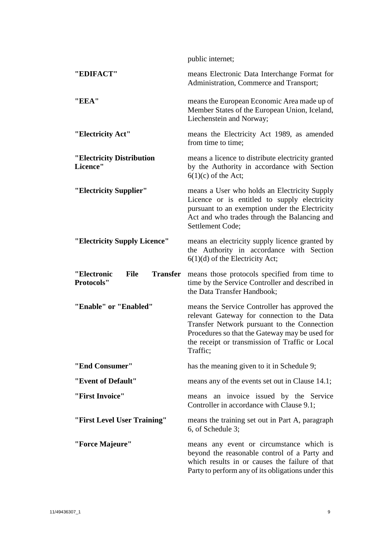|                                                                    | public internet;                                                                                                                                                                                                                                             |
|--------------------------------------------------------------------|--------------------------------------------------------------------------------------------------------------------------------------------------------------------------------------------------------------------------------------------------------------|
| "EDIFACT"                                                          | means Electronic Data Interchange Format for<br>Administration, Commerce and Transport;                                                                                                                                                                      |
| "EEA"                                                              | means the European Economic Area made up of<br>Member States of the European Union, Iceland,<br>Liechenstein and Norway;                                                                                                                                     |
| "Electricity Act"                                                  | means the Electricity Act 1989, as amended<br>from time to time;                                                                                                                                                                                             |
| "Electricity Distribution<br>Licence"                              | means a licence to distribute electricity granted<br>by the Authority in accordance with Section<br>$6(1)(c)$ of the Act;                                                                                                                                    |
| "Electricity Supplier"                                             | means a User who holds an Electricity Supply<br>Licence or is entitled to supply electricity<br>pursuant to an exemption under the Electricity<br>Act and who trades through the Balancing and<br>Settlement Code;                                           |
| "Electricity Supply Licence"                                       | means an electricity supply licence granted by<br>the Authority in accordance with Section<br>$6(1)(d)$ of the Electricity Act;                                                                                                                              |
| <b>Transfer</b><br>"Electronic<br><b>File</b><br><b>Protocols"</b> | means those protocols specified from time to<br>time by the Service Controller and described in<br>the Data Transfer Handbook;                                                                                                                               |
| "Enable" or "Enabled"                                              | means the Service Controller has approved the<br>relevant Gateway for connection to the Data<br>Transfer Network pursuant to the Connection<br>Procedures so that the Gateway may be used for<br>the receipt or transmission of Traffic or Local<br>Traffic; |
| "End Consumer"                                                     | has the meaning given to it in Schedule 9;                                                                                                                                                                                                                   |
| "Event of Default"                                                 | means any of the events set out in Clause 14.1;                                                                                                                                                                                                              |
| "First Invoice"                                                    | means an invoice issued by the Service<br>Controller in accordance with Clause 9.1;                                                                                                                                                                          |
| "First Level User Training"                                        | means the training set out in Part A, paragraph<br>6, of Schedule 3;                                                                                                                                                                                         |
| "Force Majeure"                                                    | means any event or circumstance which is<br>beyond the reasonable control of a Party and<br>which results in or causes the failure of that<br>Party to perform any of its obligations under this                                                             |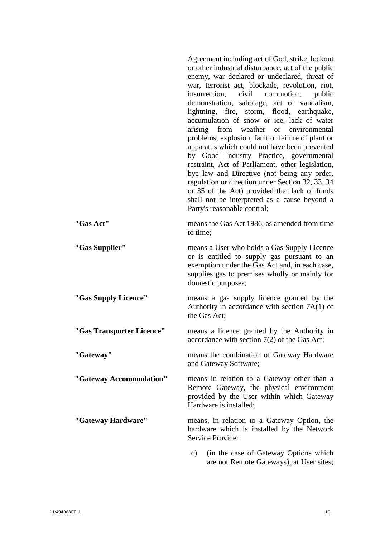|                           | Agreement including act of God, strike, lockout<br>or other industrial disturbance, act of the public<br>enemy, war declared or undeclared, threat of<br>war, terrorist act, blockade, revolution, riot,<br>civil commotion,<br>insurrection,<br>public<br>demonstration, sabotage, act of vandalism,<br>lightning, fire, storm, flood, earthquake,<br>accumulation of snow or ice, lack of water<br>weather or<br>arising<br>from<br>environmental<br>problems, explosion, fault or failure of plant or<br>apparatus which could not have been prevented<br>by Good Industry Practice, governmental<br>restraint, Act of Parliament, other legislation,<br>bye law and Directive (not being any order,<br>regulation or direction under Section 32, 33, 34<br>or 35 of the Act) provided that lack of funds<br>shall not be interpreted as a cause beyond a<br>Party's reasonable control; |
|---------------------------|---------------------------------------------------------------------------------------------------------------------------------------------------------------------------------------------------------------------------------------------------------------------------------------------------------------------------------------------------------------------------------------------------------------------------------------------------------------------------------------------------------------------------------------------------------------------------------------------------------------------------------------------------------------------------------------------------------------------------------------------------------------------------------------------------------------------------------------------------------------------------------------------|
| "Gas Act"                 | means the Gas Act 1986, as amended from time<br>to time;                                                                                                                                                                                                                                                                                                                                                                                                                                                                                                                                                                                                                                                                                                                                                                                                                                    |
| "Gas Supplier"            | means a User who holds a Gas Supply Licence<br>or is entitled to supply gas pursuant to an<br>exemption under the Gas Act and, in each case,<br>supplies gas to premises wholly or mainly for<br>domestic purposes;                                                                                                                                                                                                                                                                                                                                                                                                                                                                                                                                                                                                                                                                         |
| "Gas Supply Licence"      | means a gas supply licence granted by the<br>Authority in accordance with section 7A(1) of<br>the Gas Act;                                                                                                                                                                                                                                                                                                                                                                                                                                                                                                                                                                                                                                                                                                                                                                                  |
| "Gas Transporter Licence" | means a licence granted by the Authority in<br>accordance with section $7(2)$ of the Gas Act;                                                                                                                                                                                                                                                                                                                                                                                                                                                                                                                                                                                                                                                                                                                                                                                               |
| "Gateway"                 | means the combination of Gateway Hardware<br>and Gateway Software;                                                                                                                                                                                                                                                                                                                                                                                                                                                                                                                                                                                                                                                                                                                                                                                                                          |
| "Gateway Accommodation"   | means in relation to a Gateway other than a<br>Remote Gateway, the physical environment<br>provided by the User within which Gateway<br>Hardware is installed;                                                                                                                                                                                                                                                                                                                                                                                                                                                                                                                                                                                                                                                                                                                              |
| "Gateway Hardware"        | means, in relation to a Gateway Option, the<br>hardware which is installed by the Network<br>Service Provider:                                                                                                                                                                                                                                                                                                                                                                                                                                                                                                                                                                                                                                                                                                                                                                              |
|                           | (in the case of Gateway Options which<br>c)<br>are not Remote Gateways), at User sites;                                                                                                                                                                                                                                                                                                                                                                                                                                                                                                                                                                                                                                                                                                                                                                                                     |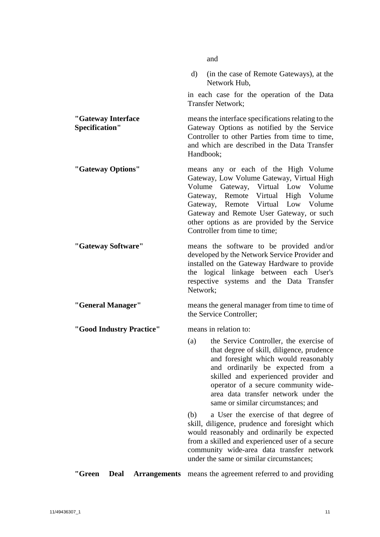|                                              | and                                                                                                                                                                                                                                                                                                                                 |
|----------------------------------------------|-------------------------------------------------------------------------------------------------------------------------------------------------------------------------------------------------------------------------------------------------------------------------------------------------------------------------------------|
|                                              | (in the case of Remote Gateways), at the<br>$\rm d)$<br>Network Hub,                                                                                                                                                                                                                                                                |
|                                              | in each case for the operation of the Data<br><b>Transfer Network;</b>                                                                                                                                                                                                                                                              |
| "Gateway Interface<br><b>Specification"</b>  | means the interface specifications relating to the<br>Gateway Options as notified by the Service<br>Controller to other Parties from time to time,<br>and which are described in the Data Transfer<br>Handbook;                                                                                                                     |
| "Gateway Options"                            | means any or each of the High Volume<br>Gateway, Low Volume Gateway, Virtual High<br>Volume Gateway, Virtual Low Volume<br>Gateway, Remote Virtual High Volume<br>Gateway, Remote Virtual Low Volume<br>Gateway and Remote User Gateway, or such<br>other options as are provided by the Service<br>Controller from time to time;   |
| "Gateway Software"                           | means the software to be provided and/or<br>developed by the Network Service Provider and<br>installed on the Gateway Hardware to provide<br>the logical linkage between each User's<br>respective systems and the Data Transfer<br>Network;                                                                                        |
| "General Manager"                            | means the general manager from time to time of<br>the Service Controller;                                                                                                                                                                                                                                                           |
| "Good Industry Practice"                     | means in relation to:                                                                                                                                                                                                                                                                                                               |
|                                              | (a) the Service Controller, the exercise of<br>that degree of skill, diligence, prudence<br>and foresight which would reasonably<br>and ordinarily be expected from a<br>skilled and experienced provider and<br>operator of a secure community wide-<br>area data transfer network under the<br>same or similar circumstances; and |
|                                              | (b)<br>a User the exercise of that degree of<br>skill, diligence, prudence and foresight which<br>would reasonably and ordinarily be expected<br>from a skilled and experienced user of a secure<br>community wide-area data transfer network<br>under the same or similar circumstances;                                           |
| "Green<br><b>Deal</b><br><b>Arrangements</b> | means the agreement referred to and providing                                                                                                                                                                                                                                                                                       |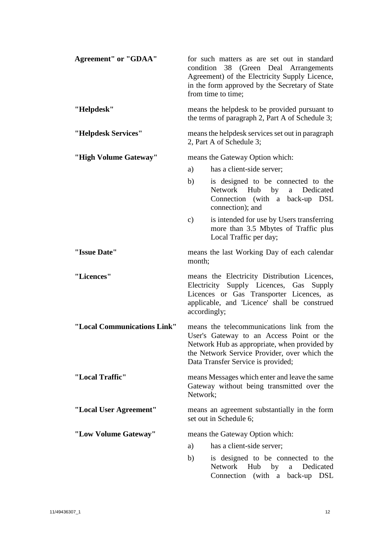| <b>Agreement"</b> or "GDAA" |                                 | for such matters as are set out in standard<br>condition 38 (Green Deal Arrangements<br>Agreement) of the Electricity Supply Licence,<br>in the form approved by the Secretary of State<br>from time to time;                |
|-----------------------------|---------------------------------|------------------------------------------------------------------------------------------------------------------------------------------------------------------------------------------------------------------------------|
| "Helpdesk"                  |                                 | means the helpdesk to be provided pursuant to<br>the terms of paragraph 2, Part A of Schedule 3;                                                                                                                             |
| "Helpdesk Services"         |                                 | means the helpdesk services set out in paragraph<br>2, Part A of Schedule 3;                                                                                                                                                 |
| "High Volume Gateway"       |                                 | means the Gateway Option which:                                                                                                                                                                                              |
|                             | a)                              | has a client-side server;                                                                                                                                                                                                    |
|                             | b)                              | is designed to be connected to the<br>Network Hub by<br>Dedicated<br>a<br>Connection (with a back-up DSL<br>connection); and                                                                                                 |
|                             | $\mathbf{c})$                   | is intended for use by Users transferring<br>more than 3.5 Mbytes of Traffic plus<br>Local Traffic per day;                                                                                                                  |
| "Issue Date"                | month;                          | means the last Working Day of each calendar                                                                                                                                                                                  |
| "Licences"                  |                                 | means the Electricity Distribution Licences,<br>Electricity Supply Licences, Gas<br>Supply<br>Licences or Gas Transporter Licences, as<br>applicable, and 'Licence' shall be construed<br>accordingly;                       |
| "Local Communications Link" |                                 | means the telecommunications link from the<br>User's Gateway to an Access Point or the<br>Network Hub as appropriate, when provided by<br>the Network Service Provider, over which the<br>Data Transfer Service is provided; |
| "Local Traffic"             | Network;                        | means Messages which enter and leave the same<br>Gateway without being transmitted over the                                                                                                                                  |
| "Local User Agreement"      |                                 | means an agreement substantially in the form<br>set out in Schedule 6;                                                                                                                                                       |
| "Low Volume Gateway"        | means the Gateway Option which: |                                                                                                                                                                                                                              |
|                             | a)                              | has a client-side server;                                                                                                                                                                                                    |
|                             | b)                              | is designed to be connected to the<br>Network<br>Hub<br>by<br>Dedicated<br>a<br>(with a<br>Connection<br>back-up DSL                                                                                                         |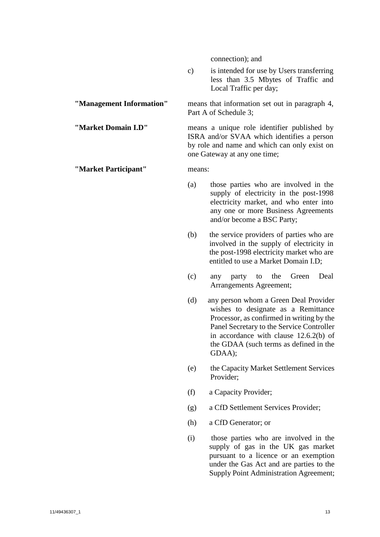connection); and

Part A of [Schedule 3;](#page-68-0)

one Gateway at any one time;

c) is intended for use by Users transferring less than 3.5 Mbytes of Traffic and Local Traffic per day;

**"Management Information"** means that information set out in paragraph [4,](#page-68-3)

#### **"Market Domain I.D"** means a unique role identifier published by

#### **"Market Participant"** means:

(a) those parties who are involved in the supply of electricity in the post-1998

ISRA and/or SVAA which identifies a person by role and name and which can only exist on

- electricity market, and who enter into any one or more Business Agreements and/or become a BSC Party;
- (b) the service providers of parties who are involved in the supply of electricity in the post-1998 electricity market who are entitled to use a Market Domain I.D;
- (c) any party to the Green Deal Arrangements Agreement;
- (d) any person whom a Green Deal Provider wishes to designate as a Remittance Processor, as confirmed in writing by the Panel Secretary to the Service Controller in accordance with clause 12.6.2(b) of the GDAA (such terms as defined in the GDAA);
- (e) the Capacity Market Settlement Services Provider;
- (f) a Capacity Provider;
- (g) a CfD Settlement Services Provider;
- (h) a CfD Generator; or
- (i) those parties who are involved in the supply of gas in the UK gas market pursuant to a licence or an exemption under the Gas Act and are parties to the Supply Point Administration Agreement;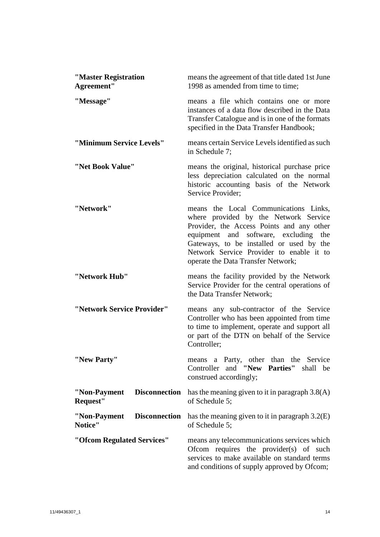| "Master Registration<br>Agreement"               | means the agreement of that title dated 1st June<br>1998 as amended from time to time;                                                                                                                                                                                                                |
|--------------------------------------------------|-------------------------------------------------------------------------------------------------------------------------------------------------------------------------------------------------------------------------------------------------------------------------------------------------------|
| "Message"                                        | means a file which contains one or more<br>instances of a data flow described in the Data<br>Transfer Catalogue and is in one of the formats<br>specified in the Data Transfer Handbook;                                                                                                              |
| "Minimum Service Levels"                         | means certain Service Levels identified as such<br>in Schedule 7;                                                                                                                                                                                                                                     |
| "Net Book Value"                                 | means the original, historical purchase price<br>less depreciation calculated on the normal<br>historic accounting basis of the Network<br>Service Provider:                                                                                                                                          |
| "Network"                                        | means the Local Communications Links,<br>where provided by the Network Service<br>Provider, the Access Points and any other<br>equipment and software, excluding<br>the<br>Gateways, to be installed or used by the<br>Network Service Provider to enable it to<br>operate the Data Transfer Network; |
| "Network Hub"                                    | means the facility provided by the Network<br>Service Provider for the central operations of<br>the Data Transfer Network;                                                                                                                                                                            |
| "Network Service Provider"                       | means any sub-contractor of the Service<br>Controller who has been appointed from time<br>to time to implement, operate and support all<br>or part of the DTN on behalf of the Service<br>Controller:                                                                                                 |
| "New Party"                                      | means a Party, other than the Service<br>Controller and "New Parties" shall be<br>construed accordingly;                                                                                                                                                                                              |
| <b>Disconnection</b><br>"Non-Payment<br>Request" | has the meaning given to it in paragraph $3.8(A)$<br>of Schedule 5;                                                                                                                                                                                                                                   |
| <b>Disconnection</b><br>"Non-Payment<br>Notice"  | has the meaning given to it in paragraph $3.2(E)$<br>of Schedule 5;                                                                                                                                                                                                                                   |
| "Ofcom Regulated Services"                       | means any telecommunications services which<br>Ofcom requires the provider(s) of such<br>services to make available on standard terms<br>and conditions of supply approved by Ofcom;                                                                                                                  |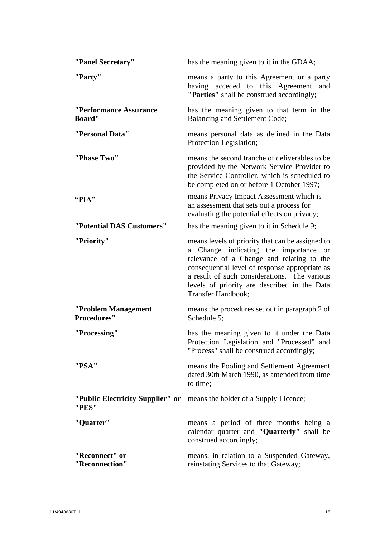| "Panel Secretary"                         | has the meaning given to it in the GDAA;                                                                                                                                                                                                                                                                       |
|-------------------------------------------|----------------------------------------------------------------------------------------------------------------------------------------------------------------------------------------------------------------------------------------------------------------------------------------------------------------|
| "Party"                                   | means a party to this Agreement or a party<br>having acceded to this Agreement<br>and<br>"Parties" shall be construed accordingly;                                                                                                                                                                             |
| "Performance Assurance<br><b>Board</b> "  | has the meaning given to that term in the<br>Balancing and Settlement Code;                                                                                                                                                                                                                                    |
| "Personal Data"                           | means personal data as defined in the Data<br>Protection Legislation;                                                                                                                                                                                                                                          |
| "Phase Two"                               | means the second tranche of deliverables to be<br>provided by the Network Service Provider to<br>the Service Controller, which is scheduled to<br>be completed on or before 1 October 1997;                                                                                                                    |
| " $PIA"$                                  | means Privacy Impact Assessment which is<br>an assessment that sets out a process for<br>evaluating the potential effects on privacy;                                                                                                                                                                          |
| "Potential DAS Customers"                 | has the meaning given to it in Schedule 9;                                                                                                                                                                                                                                                                     |
| "Priority"                                | means levels of priority that can be assigned to<br>a Change indicating the importance or<br>relevance of a Change and relating to the<br>consequential level of response appropriate as<br>a result of such considerations. The various<br>levels of priority are described in the Data<br>Transfer Handbook; |
| "Problem Management<br><b>Procedures"</b> | means the procedures set out in paragraph 2 of<br>Schedule 5;                                                                                                                                                                                                                                                  |
| "Processing"                              | has the meaning given to it under the Data<br>Protection Legislation and "Processed" and<br>"Process" shall be construed accordingly;                                                                                                                                                                          |
| "PSA"                                     | means the Pooling and Settlement Agreement<br>dated 30th March 1990, as amended from time<br>to time;                                                                                                                                                                                                          |
| "Public Electricity Supplier" or<br>"PES" | means the holder of a Supply Licence;                                                                                                                                                                                                                                                                          |
| "Quarter"                                 | means a period of three months being a<br>calendar quarter and "Quarterly" shall be<br>construed accordingly;                                                                                                                                                                                                  |
| "Reconnect" or<br>"Reconnection"          | means, in relation to a Suspended Gateway,<br>reinstating Services to that Gateway;                                                                                                                                                                                                                            |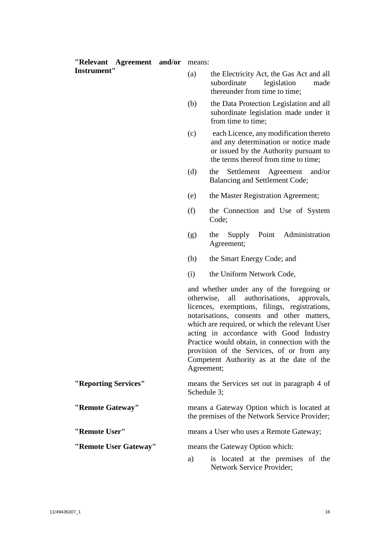| "Relevant Agreement and/or | means:     |                                                                                                                                                                                                                                                                                                                                                                                                                                        |
|----------------------------|------------|----------------------------------------------------------------------------------------------------------------------------------------------------------------------------------------------------------------------------------------------------------------------------------------------------------------------------------------------------------------------------------------------------------------------------------------|
| <b>Instrument"</b>         | (a)        | the Electricity Act, the Gas Act and all<br>legislation<br>subordinate<br>made<br>thereunder from time to time;                                                                                                                                                                                                                                                                                                                        |
|                            | (b)        | the Data Protection Legislation and all<br>subordinate legislation made under it<br>from time to time;                                                                                                                                                                                                                                                                                                                                 |
|                            | (c)        | each Licence, any modification thereto<br>and any determination or notice made<br>or issued by the Authority pursuant to<br>the terms thereof from time to time;                                                                                                                                                                                                                                                                       |
|                            | (d)        | Settlement<br>Agreement<br>and/or<br>the<br>Balancing and Settlement Code;                                                                                                                                                                                                                                                                                                                                                             |
|                            | (e)        | the Master Registration Agreement;                                                                                                                                                                                                                                                                                                                                                                                                     |
|                            | (f)        | the Connection and Use of System<br>Code;                                                                                                                                                                                                                                                                                                                                                                                              |
|                            | (g)        | Point<br>Administration<br>Supply<br>the<br>Agreement;                                                                                                                                                                                                                                                                                                                                                                                 |
|                            | (h)        | the Smart Energy Code; and                                                                                                                                                                                                                                                                                                                                                                                                             |
|                            | (i)        | the Uniform Network Code,                                                                                                                                                                                                                                                                                                                                                                                                              |
|                            | otherwise, | and whether under any of the foregoing or<br>all<br>authorisations,<br>approvals,<br>licences, exemptions, filings, registrations,<br>notarisations, consents and other matters,<br>which are required, or which the relevant User<br>acting in accordance with Good Industry<br>Practice would obtain, in connection with the<br>provision of the Services, of or from any<br>Competent Authority as at the date of the<br>Agreement; |
| "Reporting Services"       |            | means the Services set out in paragraph 4 of<br>Schedule 3;                                                                                                                                                                                                                                                                                                                                                                            |
| "Remote Gateway"           |            | means a Gateway Option which is located at<br>the premises of the Network Service Provider;                                                                                                                                                                                                                                                                                                                                            |
| "Remote User"              |            | means a User who uses a Remote Gateway;                                                                                                                                                                                                                                                                                                                                                                                                |
| "Remote User Gateway"      |            | means the Gateway Option which:                                                                                                                                                                                                                                                                                                                                                                                                        |
|                            | a)         | is located at the premises of the<br><b>Network Service Provider;</b>                                                                                                                                                                                                                                                                                                                                                                  |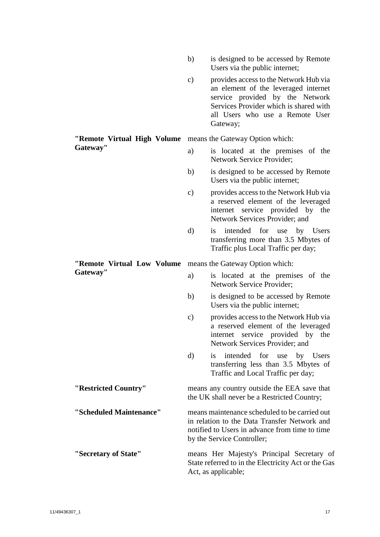- b) is designed to be accessed by Remote Users via the public internet;
- c) provides access to the Network Hub via an element of the leveraged internet service provided by the Network Services Provider which is shared with all Users who use a Remote User Gateway;

#### **"Remote Virtual High Volume**  means the Gateway Option which: **Gateway"**

- a) is located at the premises of the Network Service Provider;
- b) is designed to be accessed by Remote Users via the public internet;
- c) provides access to the Network Hub via a reserved element of the leveraged internet service provided by the Network Services Provider; and
- d) is intended for use by Users transferring more than 3.5 Mbytes of Traffic plus Local Traffic per day;

**"Remote Virtual Low Volume**  means the Gateway Option which:

**Gateway"**

- a) is located at the premises of the Network Service Provider;
- b) is designed to be accessed by Remote Users via the public internet;
- c) provides access to the Network Hub via a reserved element of the leveraged internet service provided by the Network Services Provider; and
- d) is intended for use by Users transferring less than 3.5 Mbytes of Traffic and Local Traffic per day;

**"Restricted Country"** means any country outside the EEA save that the UK shall never be a Restricted Country;

**"Scheduled Maintenance"** means maintenance scheduled to be carried out in relation to the Data Transfer Network and notified to Users in advance from time to time by the Service Controller;

**"Secretary of State"** means Her Majesty's Principal Secretary of State referred to in the Electricity Act or the Gas Act, as applicable;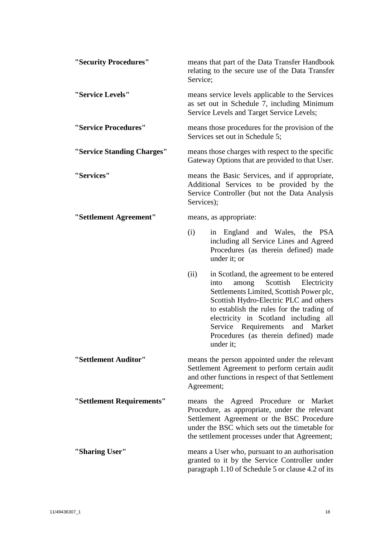| "Security Procedures"      | means that part of the Data Transfer Handbook<br>relating to the secure use of the Data Transfer<br>Service;                                                                                                                                                                                                                                                        |
|----------------------------|---------------------------------------------------------------------------------------------------------------------------------------------------------------------------------------------------------------------------------------------------------------------------------------------------------------------------------------------------------------------|
| "Service Levels"           | means service levels applicable to the Services<br>as set out in Schedule 7, including Minimum<br>Service Levels and Target Service Levels;                                                                                                                                                                                                                         |
| "Service Procedures"       | means those procedures for the provision of the<br>Services set out in Schedule 5;                                                                                                                                                                                                                                                                                  |
| "Service Standing Charges" | means those charges with respect to the specific<br>Gateway Options that are provided to that User.                                                                                                                                                                                                                                                                 |
| "Services"                 | means the Basic Services, and if appropriate,<br>Additional Services to be provided by the<br>Service Controller (but not the Data Analysis<br>Services);                                                                                                                                                                                                           |
| "Settlement Agreement"     | means, as appropriate:                                                                                                                                                                                                                                                                                                                                              |
|                            | (i)<br>in England and Wales, the PSA<br>including all Service Lines and Agreed<br>Procedures (as therein defined) made<br>under it; or                                                                                                                                                                                                                              |
|                            | (ii)<br>in Scotland, the agreement to be entered<br>Scottish<br>among<br>Electricity<br>into<br>Settlements Limited, Scottish Power plc,<br>Scottish Hydro-Electric PLC and others<br>to establish the rules for the trading of<br>electricity in Scotland including all<br>Service Requirements<br>and Market<br>Procedures (as therein defined) made<br>under it; |
| "Settlement Auditor"       | means the person appointed under the relevant<br>Settlement Agreement to perform certain audit<br>and other functions in respect of that Settlement<br>Agreement;                                                                                                                                                                                                   |
| "Settlement Requirements"  | the Agreed Procedure or Market<br>means<br>Procedure, as appropriate, under the relevant<br>Settlement Agreement or the BSC Procedure<br>under the BSC which sets out the timetable for<br>the settlement processes under that Agreement;                                                                                                                           |
| "Sharing User"             | means a User who, pursuant to an authorisation<br>granted to it by the Service Controller under<br>paragraph 1.10 of Schedule 5 or clause 4.2 of its                                                                                                                                                                                                                |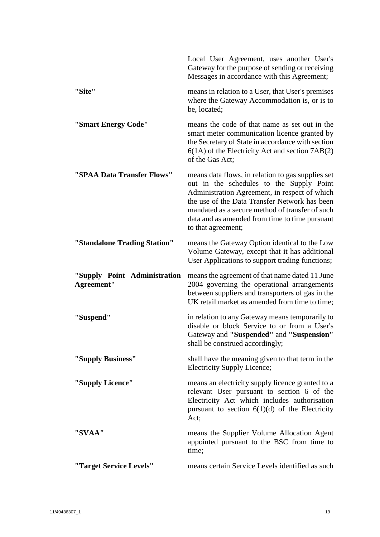|                                            | Local User Agreement, uses another User's<br>Gateway for the purpose of sending or receiving<br>Messages in accordance with this Agreement;                                                                                                                                                                                |
|--------------------------------------------|----------------------------------------------------------------------------------------------------------------------------------------------------------------------------------------------------------------------------------------------------------------------------------------------------------------------------|
| "Site"                                     | means in relation to a User, that User's premises<br>where the Gateway Accommodation is, or is to<br>be, located;                                                                                                                                                                                                          |
| "Smart Energy Code"                        | means the code of that name as set out in the<br>smart meter communication licence granted by<br>the Secretary of State in accordance with section<br>$6(1A)$ of the Electricity Act and section $7AB(2)$<br>of the Gas Act;                                                                                               |
| "SPAA Data Transfer Flows"                 | means data flows, in relation to gas supplies set<br>out in the schedules to the Supply Point<br>Administration Agreement, in respect of which<br>the use of the Data Transfer Network has been<br>mandated as a secure method of transfer of such<br>data and as amended from time to time pursuant<br>to that agreement; |
| "Standalone Trading Station"               | means the Gateway Option identical to the Low<br>Volume Gateway, except that it has additional<br>User Applications to support trading functions;                                                                                                                                                                          |
| "Supply Point Administration<br>Agreement" | means the agreement of that name dated 11 June<br>2004 governing the operational arrangements<br>between suppliers and transporters of gas in the<br>UK retail market as amended from time to time;                                                                                                                        |
| "Suspend"                                  | in relation to any Gateway means temporarily to<br>disable or block Service to or from a User's<br>Gateway and "Suspended" and "Suspension"<br>shall be construed accordingly;                                                                                                                                             |
| "Supply Business"                          | shall have the meaning given to that term in the<br>Electricity Supply Licence;                                                                                                                                                                                                                                            |
| "Supply Licence"                           | means an electricity supply licence granted to a<br>relevant User pursuant to section 6 of the<br>Electricity Act which includes authorisation<br>pursuant to section $6(1)(d)$ of the Electricity<br>Act;                                                                                                                 |
| "SVAA"                                     | means the Supplier Volume Allocation Agent<br>appointed pursuant to the BSC from time to<br>time;                                                                                                                                                                                                                          |
| "Target Service Levels"                    | means certain Service Levels identified as such                                                                                                                                                                                                                                                                            |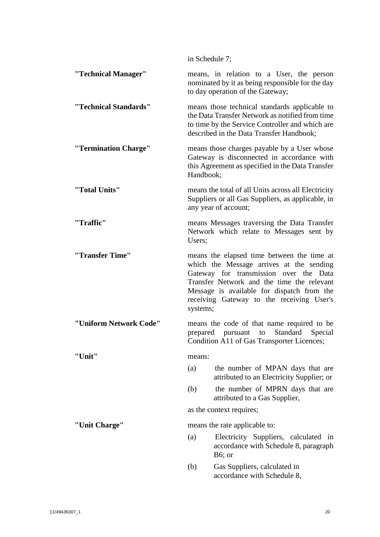|                        | in Schedule 7; |                                                                                                                                                                                                                                                                           |
|------------------------|----------------|---------------------------------------------------------------------------------------------------------------------------------------------------------------------------------------------------------------------------------------------------------------------------|
| "Technical Manager"    |                | means, in relation to a User, the person<br>nominated by it as being responsible for the day<br>to day operation of the Gateway;                                                                                                                                          |
| "Technical Standards"  |                | means those technical standards applicable to<br>the Data Transfer Network as notified from time<br>to time by the Service Controller and which are<br>described in the Data Transfer Handbook;                                                                           |
| "Termination Charge"   | Handbook;      | means those charges payable by a User whose<br>Gateway is disconnected in accordance with<br>this Agreement as specified in the Data Transfer                                                                                                                             |
| "Total Units"          |                | means the total of all Units across all Electricity<br>Suppliers or all Gas Suppliers, as applicable, in<br>any year of account;                                                                                                                                          |
| "Traffic"              | Users;         | means Messages traversing the Data Transfer<br>Network which relate to Messages sent by                                                                                                                                                                                   |
| "Transfer Time"        | systems;       | means the elapsed time between the time at<br>which the Message arrives at the sending<br>Gateway for transmission over the Data<br>Transfer Network and the time the relevant<br>Message is available for dispatch from the<br>receiving Gateway to the receiving User's |
| "Uniform Network Code" |                | means the code of that name required to be<br>Standard<br>Special<br>prepared pursuant to<br>Condition A11 of Gas Transporter Licences;                                                                                                                                   |
| "Unit"                 | means:         |                                                                                                                                                                                                                                                                           |
|                        | (a)            | the number of MPAN days that are<br>attributed to an Electricity Supplier; or                                                                                                                                                                                             |
|                        | (b)            | the number of MPRN days that are<br>attributed to a Gas Supplier,                                                                                                                                                                                                         |
|                        |                | as the context requires;                                                                                                                                                                                                                                                  |
| "Unit Charge"          |                | means the rate applicable to:                                                                                                                                                                                                                                             |
|                        | (a)            | Electricity Suppliers, calculated in<br>accordance with Schedule 8, paragraph<br>B6; or                                                                                                                                                                                   |
|                        | (b)            | Gas Suppliers, calculated in<br>accordance with Schedule 8,                                                                                                                                                                                                               |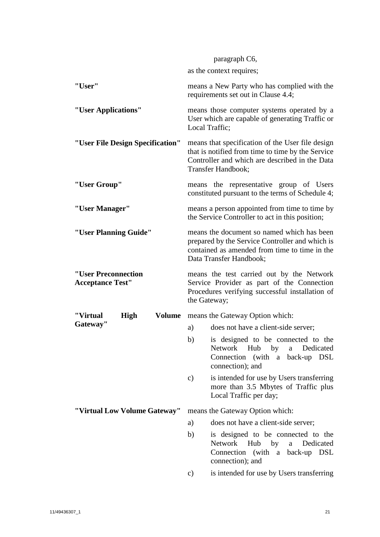|                                                | paragraph C6,                                                                                                                                                                 |
|------------------------------------------------|-------------------------------------------------------------------------------------------------------------------------------------------------------------------------------|
|                                                | as the context requires;                                                                                                                                                      |
| "User"                                         | means a New Party who has complied with the<br>requirements set out in Clause 4.4;                                                                                            |
| "User Applications"                            | means those computer systems operated by a<br>User which are capable of generating Traffic or<br>Local Traffic;                                                               |
| "User File Design Specification"               | means that specification of the User file design<br>that is notified from time to time by the Service<br>Controller and which are described in the Data<br>Transfer Handbook; |
| "User Group"                                   | means the representative group of Users<br>constituted pursuant to the terms of Schedule 4;                                                                                   |
| "User Manager"                                 | means a person appointed from time to time by<br>the Service Controller to act in this position;                                                                              |
| "User Planning Guide"                          | means the document so named which has been<br>prepared by the Service Controller and which is<br>contained as amended from time to time in the<br>Data Transfer Handbook;     |
| "User Preconnection<br><b>Acceptance Test"</b> | means the test carried out by the Network<br>Service Provider as part of the Connection                                                                                       |
|                                                | Procedures verifying successful installation of<br>the Gateway;                                                                                                               |
| <b>Volume</b><br><b>High</b><br>"Virtual       | means the Gateway Option which:                                                                                                                                               |
| Gateway"                                       | does not have a client-side server;<br>a)                                                                                                                                     |
|                                                | b) is designed to be connected to the<br>Network Hub by<br>Dedicated<br>a<br>Connection (with a back-up DSL<br>connection); and                                               |
|                                                | is intended for use by Users transferring<br>c)<br>more than 3.5 Mbytes of Traffic plus<br>Local Traffic per day;                                                             |
| "Virtual Low Volume Gateway"                   | means the Gateway Option which:                                                                                                                                               |
|                                                | does not have a client-side server;<br>a)                                                                                                                                     |
|                                                | b)<br>is designed to be connected to the<br>Network Hub<br>Dedicated<br>$-$ by<br>a<br>Connection (with a back-up DSL<br>connection); and                                     |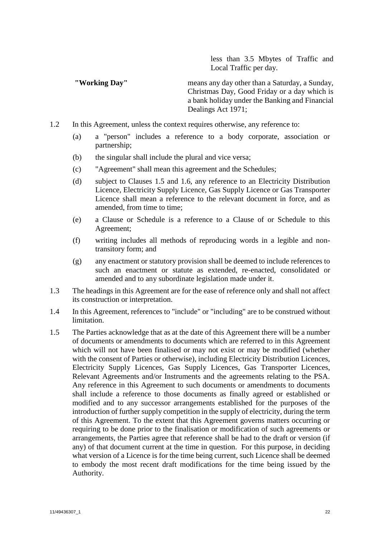less than 3.5 Mbytes of Traffic and Local Traffic per day.

**"Working Day"** means any day other than a Saturday, a Sunday, Christmas Day, Good Friday or a day which is a bank holiday under the Banking and Financial Dealings Act 1971;

- 1.2 In this Agreement, unless the context requires otherwise, any reference to:
	- (a) a "person" includes a reference to a body corporate, association or partnership;
	- (b) the singular shall include the plural and vice versa;
	- (c) "Agreement" shall mean this agreement and the Schedules;
	- (d) subject to Clauses [1.5](#page-24-0) and [1.6,](#page-25-3) any reference to an Electricity Distribution Licence, Electricity Supply Licence, Gas Supply Licence or Gas Transporter Licence shall mean a reference to the relevant document in force, and as amended, from time to time;
	- (e) a Clause or Schedule is a reference to a Clause of or Schedule to this Agreement;
	- (f) writing includes all methods of reproducing words in a legible and nontransitory form; and
	- (g) any enactment or statutory provision shall be deemed to include references to such an enactment or statute as extended, re-enacted, consolidated or amended and to any subordinate legislation made under it.
- 1.3 The headings in this Agreement are for the ease of reference only and shall not affect its construction or interpretation.
- 1.4 In this Agreement, references to "include" or "including" are to be construed without limitation.
- <span id="page-24-0"></span>1.5 The Parties acknowledge that as at the date of this Agreement there will be a number of documents or amendments to documents which are referred to in this Agreement which will not have been finalised or may not exist or may be modified (whether with the consent of Parties or otherwise), including Electricity Distribution Licences, Electricity Supply Licences, Gas Supply Licences, Gas Transporter Licences, Relevant Agreements and/or Instruments and the agreements relating to the PSA. Any reference in this Agreement to such documents or amendments to documents shall include a reference to those documents as finally agreed or established or modified and to any successor arrangements established for the purposes of the introduction of further supply competition in the supply of electricity, during the term of this Agreement. To the extent that this Agreement governs matters occurring or requiring to be done prior to the finalisation or modification of such agreements or arrangements, the Parties agree that reference shall be had to the draft or version (if any) of that document current at the time in question. For this purpose, in deciding what version of a Licence is for the time being current, such Licence shall be deemed to embody the most recent draft modifications for the time being issued by the Authority.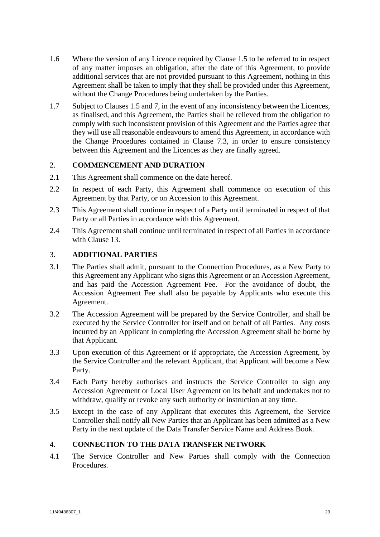- <span id="page-25-3"></span>1.6 Where the version of any Licence required by Clause [1.5](#page-24-0) to be referred to in respect of any matter imposes an obligation, after the date of this Agreement, to provide additional services that are not provided pursuant to this Agreement, nothing in this Agreement shall be taken to imply that they shall be provided under this Agreement, without the Change Procedures being undertaken by the Parties.
- 1.7 Subject to Clauses [1.5](#page-24-0) an[d 7,](#page-36-0) in the event of any inconsistency between the Licences, as finalised, and this Agreement, the Parties shall be relieved from the obligation to comply with such inconsistent provision of this Agreement and the Parties agree that they will use all reasonable endeavours to amend this Agreement, in accordance with the Change Procedures contained in Clause [7.3,](#page-36-1) in order to ensure consistency between this Agreement and the Licences as they are finally agreed.

# <span id="page-25-0"></span>2. **COMMENCEMENT AND DURATION**

- 2.1 This Agreement shall commence on the date hereof.
- 2.2 In respect of each Party, this Agreement shall commence on execution of this Agreement by that Party, or on Accession to this Agreement.
- 2.3 This Agreement shall continue in respect of a Party until terminated in respect of that Party or all Parties in accordance with this Agreement.
- 2.4 This Agreement shall continue until terminated in respect of all Parties in accordance with Clause [13.](#page-49-0)

# <span id="page-25-1"></span>3. **ADDITIONAL PARTIES**

- 3.1 The Parties shall admit, pursuant to the Connection Procedures, as a New Party to this Agreement any Applicant who signs this Agreement or an Accession Agreement, and has paid the Accession Agreement Fee. For the avoidance of doubt, the Accession Agreement Fee shall also be payable by Applicants who execute this Agreement.
- 3.2 The Accession Agreement will be prepared by the Service Controller, and shall be executed by the Service Controller for itself and on behalf of all Parties. Any costs incurred by an Applicant in completing the Accession Agreement shall be borne by that Applicant.
- 3.3 Upon execution of this Agreement or if appropriate, the Accession Agreement, by the Service Controller and the relevant Applicant, that Applicant will become a New Party.
- 3.4 Each Party hereby authorises and instructs the Service Controller to sign any Accession Agreement or Local User Agreement on its behalf and undertakes not to withdraw, qualify or revoke any such authority or instruction at any time.
- 3.5 Except in the case of any Applicant that executes this Agreement, the Service Controller shall notify all New Parties that an Applicant has been admitted as a New Party in the next update of the Data Transfer Service Name and Address Book.

# <span id="page-25-2"></span>4. **CONNECTION TO THE DATA TRANSFER NETWORK**

4.1 The Service Controller and New Parties shall comply with the Connection Procedures.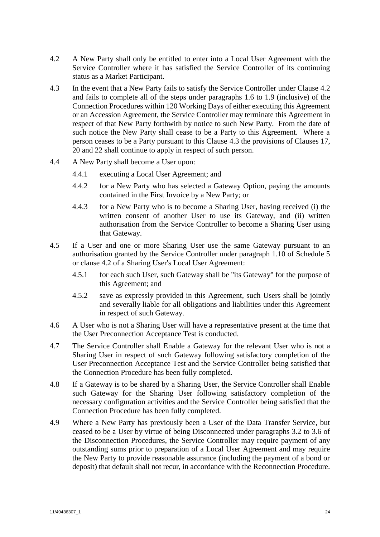- <span id="page-26-1"></span>4.2 A New Party shall only be entitled to enter into a Local User Agreement with the Service Controller where it has satisfied the Service Controller of its continuing status as a Market Participant.
- <span id="page-26-2"></span>4.3 In the event that a New Party fails to satisfy the Service Controller under Clause [4.2](#page-26-1) and fails to complete all of the steps under paragraphs 1.6 to 1.9 (inclusive) of the Connection Procedures within 120 Working Days of either executing this Agreement or an Accession Agreement, the Service Controller may terminate this Agreement in respect of that New Party forthwith by notice to such New Party. From the date of such notice the New Party shall cease to be a Party to this Agreement. Where a person ceases to be a Party pursuant to this Clause [4.3](#page-26-2) the provisions of Clauses [17,](#page-52-0) [20](#page-58-0) and [22](#page-61-0) shall continue to apply in respect of such person.
- <span id="page-26-0"></span>4.4 A New Party shall become a User upon:
	- 4.4.1 executing a Local User Agreement; and
	- 4.4.2 for a New Party who has selected a Gateway Option, paying the amounts contained in the First Invoice by a New Party; or
	- 4.4.3 for a New Party who is to become a Sharing User, having received (i) the written consent of another User to use its Gateway, and (ii) written authorisation from the Service Controller to become a Sharing User using that Gateway.
- 4.5 If a User and one or more Sharing User use the same Gateway pursuant to an authorisation granted by the Service Controller under paragraph [1.10](#page-78-3) of [Schedule 5](#page-78-2) or clause 4.2 of a Sharing User's Local User Agreement:
	- 4.5.1 for each such User, such Gateway shall be "its Gateway" for the purpose of this Agreement; and
	- 4.5.2 save as expressly provided in this Agreement, such Users shall be jointly and severally liable for all obligations and liabilities under this Agreement in respect of such Gateway.
- 4.6 A User who is not a Sharing User will have a representative present at the time that the User Preconnection Acceptance Test is conducted.
- 4.7 The Service Controller shall Enable a Gateway for the relevant User who is not a Sharing User in respect of such Gateway following satisfactory completion of the User Preconnection Acceptance Test and the Service Controller being satisfied that the Connection Procedure has been fully completed.
- 4.8 If a Gateway is to be shared by a Sharing User, the Service Controller shall Enable such Gateway for the Sharing User following satisfactory completion of the necessary configuration activities and the Service Controller being satisfied that the Connection Procedure has been fully completed.
- 4.9 Where a New Party has previously been a User of the Data Transfer Service, but ceased to be a User by virtue of being Disconnected under paragraphs 3.2 to 3.6 of the Disconnection Procedures, the Service Controller may require payment of any outstanding sums prior to preparation of a Local User Agreement and may require the New Party to provide reasonable assurance (including the payment of a bond or deposit) that default shall not recur, in accordance with the Reconnection Procedure.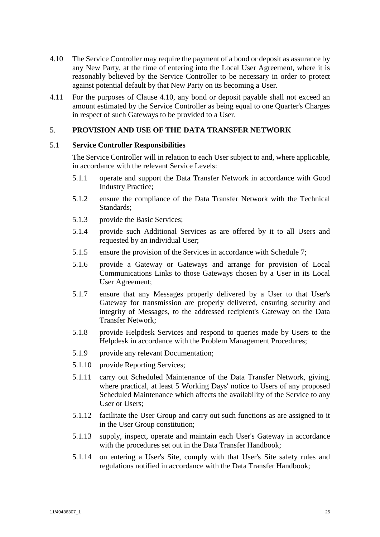- <span id="page-27-2"></span>4.10 The Service Controller may require the payment of a bond or deposit as assurance by any New Party, at the time of entering into the Local User Agreement, where it is reasonably believed by the Service Controller to be necessary in order to protect against potential default by that New Party on its becoming a User.
- 4.11 For the purposes of Clause [4.10,](#page-27-2) any bond or deposit payable shall not exceed an amount estimated by the Service Controller as being equal to one Quarter's Charges in respect of such Gateways to be provided to a User.

# <span id="page-27-0"></span>5. **PROVISION AND USE OF THE DATA TRANSFER NETWORK**

## 5.1 **Service Controller Responsibilities**

The Service Controller will in relation to each User subject to and, where applicable, in accordance with the relevant Service Levels:

- 5.1.1 operate and support the Data Transfer Network in accordance with Good Industry Practice;
- 5.1.2 ensure the compliance of the Data Transfer Network with the Technical Standards;
- 5.1.3 provide the Basic Services;
- 5.1.4 provide such Additional Services as are offered by it to all Users and requested by an individual User;
- 5.1.5 ensure the provision of the Services in accordance with [Schedule 7;](#page-89-2)
- 5.1.6 provide a Gateway or Gateways and arrange for provision of Local Communications Links to those Gateways chosen by a User in its Local User Agreement;
- <span id="page-27-1"></span>5.1.7 ensure that any Messages properly delivered by a User to that User's Gateway for transmission are properly delivered, ensuring security and integrity of Messages, to the addressed recipient's Gateway on the Data Transfer Network;
- 5.1.8 provide Helpdesk Services and respond to queries made by Users to the Helpdesk in accordance with the Problem Management Procedures;
- 5.1.9 provide any relevant Documentation;
- 5.1.10 provide Reporting Services;
- 5.1.11 carry out Scheduled Maintenance of the Data Transfer Network, giving, where practical, at least 5 Working Days' notice to Users of any proposed Scheduled Maintenance which affects the availability of the Service to any User or Users;
- 5.1.12 facilitate the User Group and carry out such functions as are assigned to it in the User Group constitution;
- 5.1.13 supply, inspect, operate and maintain each User's Gateway in accordance with the procedures set out in the Data Transfer Handbook;
- 5.1.14 on entering a User's Site, comply with that User's Site safety rules and regulations notified in accordance with the Data Transfer Handbook;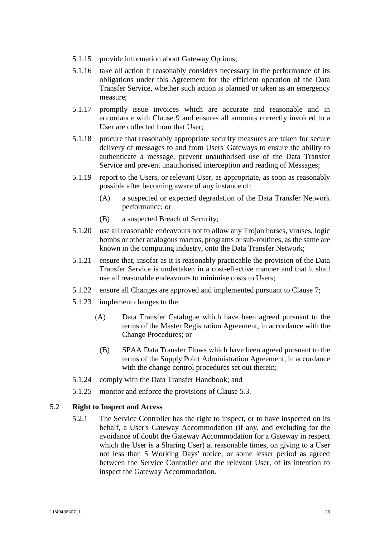- <span id="page-28-2"></span>5.1.15 provide information about Gateway Options;
- 5.1.16 take all action it reasonably considers necessary in the performance of its obligations under this Agreement for the efficient operation of the Data Transfer Service, whether such action is planned or taken as an emergency measure;
- 5.1.17 promptly issue invoices which are accurate and reasonable and in accordance with Clause [9](#page-43-0) and ensures all amounts correctly invoiced to a User are collected from that User;
- <span id="page-28-0"></span>5.1.18 procure that reasonably appropriate security measures are taken for secure delivery of messages to and from Users' Gateways to ensure the ability to authenticate a message, prevent unauthorised use of the Data Transfer Service and prevent unauthorised interception and reading of Messages;
- 5.1.19 report to the Users, or relevant User, as appropriate, as soon as reasonably possible after becoming aware of any instance of:
	- (A) a suspected or expected degradation of the Data Transfer Network performance; or
	- (B) a suspected Breach of Security;
- 5.1.20 use all reasonable endeavours not to allow any Trojan horses, viruses, logic bombs or other analogous macros, programs or sub-routines, as the same are known in the computing industry, onto the Data Transfer Network;
- 5.1.21 ensure that, insofar as it is reasonably practicable the provision of the Data Transfer Service is undertaken in a cost-effective manner and that it shall use all reasonable endeavours to minimise costs to Users;
- 5.1.22 ensure all Changes are approved and implemented pursuant to Clause [7;](#page-36-0)
- 5.1.23 implement changes to the:
	- (A) Data Transfer Catalogue which have been agreed pursuant to the terms of the Master Registration Agreement, in accordance with the Change Procedures; or
	- (B) SPAA Data Transfer Flows which have been agreed pursuant to the terms of the Supply Point Administration Agreement, in accordance with the change control procedures set out therein;
- 5.1.24 comply with the Data Transfer Handbook; and
- 5.1.25 monitor and enforce the provisions of Clause [5.3.](#page-29-1)

#### <span id="page-28-1"></span>5.2 **Right to Inspect and Access**

5.2.1 The Service Controller has the right to inspect, or to have inspected on its behalf, a User's Gateway Accommodation (if any, and excluding for the avoidance of doubt the Gateway Accommodation for a Gateway in respect which the User is a Sharing User) at reasonable times, on giving to a User not less than 5 Working Days' notice, or some lesser period as agreed between the Service Controller and the relevant User, of its intention to inspect the Gateway Accommodation.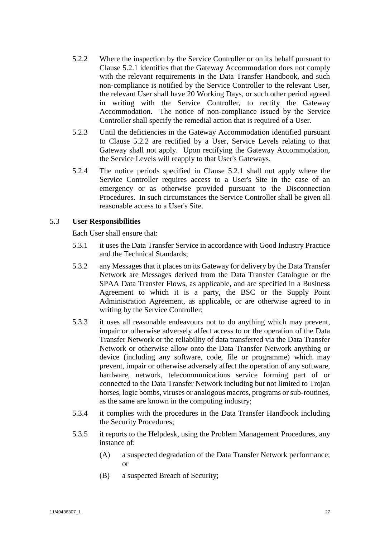- <span id="page-29-2"></span>5.2.2 Where the inspection by the Service Controller or on its behalf pursuant to Clause [5.2.1](#page-28-1) identifies that the Gateway Accommodation does not comply with the relevant requirements in the Data Transfer Handbook, and such non-compliance is notified by the Service Controller to the relevant User, the relevant User shall have 20 Working Days, or such other period agreed in writing with the Service Controller, to rectify the Gateway Accommodation. The notice of non-compliance issued by the Service Controller shall specify the remedial action that is required of a User.
- 5.2.3 Until the deficiencies in the Gateway Accommodation identified pursuant to Clause [5.2.2](#page-29-2) are rectified by a User, Service Levels relating to that Gateway shall not apply. Upon rectifying the Gateway Accommodation, the Service Levels will reapply to that User's Gateways.
- 5.2.4 The notice periods specified in Clause [5.2.1](#page-28-1) shall not apply where the Service Controller requires access to a User's Site in the case of an emergency or as otherwise provided pursuant to the Disconnection Procedures. In such circumstances the Service Controller shall be given all reasonable access to a User's Site.

# <span id="page-29-1"></span>5.3 **User Responsibilities**

Each User shall ensure that:

- 5.3.1 it uses the Data Transfer Service in accordance with Good Industry Practice and the Technical Standards;
- <span id="page-29-0"></span>5.3.2 any Messages that it places on its Gateway for delivery by the Data Transfer Network are Messages derived from the Data Transfer Catalogue or the SPAA Data Transfer Flows, as applicable, and are specified in a Business Agreement to which it is a party, the BSC or the Supply Point Administration Agreement, as applicable, or are otherwise agreed to in writing by the Service Controller;
- 5.3.3 it uses all reasonable endeavours not to do anything which may prevent, impair or otherwise adversely affect access to or the operation of the Data Transfer Network or the reliability of data transferred via the Data Transfer Network or otherwise allow onto the Data Transfer Network anything or device (including any software, code, file or programme) which may prevent, impair or otherwise adversely affect the operation of any software, hardware, network, telecommunications service forming part of or connected to the Data Transfer Network including but not limited to Trojan horses, logic bombs, viruses or analogous macros, programs or sub-routines, as the same are known in the computing industry;
- 5.3.4 it complies with the procedures in the Data Transfer Handbook including the Security Procedures;
- 5.3.5 it reports to the Helpdesk, using the Problem Management Procedures, any instance of:
	- (A) a suspected degradation of the Data Transfer Network performance; or
	- (B) a suspected Breach of Security;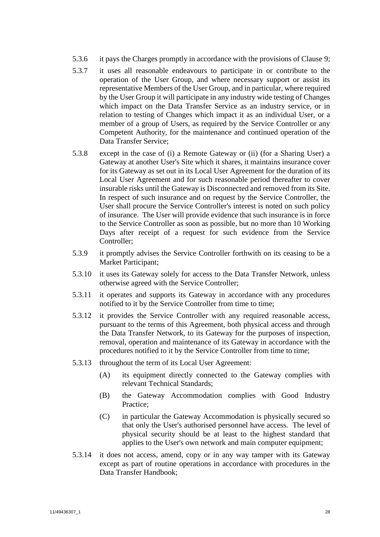- 5.3.6 it pays the Charges promptly in accordance with the provisions of Clause [9;](#page-43-0)
- 5.3.7 it uses all reasonable endeavours to participate in or contribute to the operation of the User Group, and where necessary support or assist its representative Members of the User Group, and in particular, where required by the User Group it will participate in any industry wide testing of Changes which impact on the Data Transfer Service as an industry service, or in relation to testing of Changes which impact it as an individual User, or a member of a group of Users, as required by the Service Controller or any Competent Authority, for the maintenance and continued operation of the Data Transfer Service;
- 5.3.8 except in the case of (i) a Remote Gateway or (ii) (for a Sharing User) a Gateway at another User's Site which it shares, it maintains insurance cover for its Gateway as set out in its Local User Agreement for the duration of its Local User Agreement and for such reasonable period thereafter to cover insurable risks until the Gateway is Disconnected and removed from its Site. In respect of such insurance and on request by the Service Controller, the User shall procure the Service Controller's interest is noted on such policy of insurance. The User will provide evidence that such insurance is in force to the Service Controller as soon as possible, but no more than 10 Working Days after receipt of a request for such evidence from the Service Controller;
- 5.3.9 it promptly advises the Service Controller forthwith on its ceasing to be a Market Participant;
- 5.3.10 it uses its Gateway solely for access to the Data Transfer Network, unless otherwise agreed with the Service Controller;
- 5.3.11 it operates and supports its Gateway in accordance with any procedures notified to it by the Service Controller from time to time;
- 5.3.12 it provides the Service Controller with any required reasonable access, pursuant to the terms of this Agreement, both physical access and through the Data Transfer Network, to its Gateway for the purposes of inspection, removal, operation and maintenance of its Gateway in accordance with the procedures notified to it by the Service Controller from time to time;
- 5.3.13 throughout the term of its Local User Agreement:
	- (A) its equipment directly connected to the Gateway complies with relevant Technical Standards;
	- (B) the Gateway Accommodation complies with Good Industry Practice;
	- (C) in particular the Gateway Accommodation is physically secured so that only the User's authorised personnel have access. The level of physical security should be at least to the highest standard that applies to the User's own network and main computer equipment;
- <span id="page-30-0"></span>5.3.14 it does not access, amend, copy or in any way tamper with its Gateway except as part of routine operations in accordance with procedures in the Data Transfer Handbook;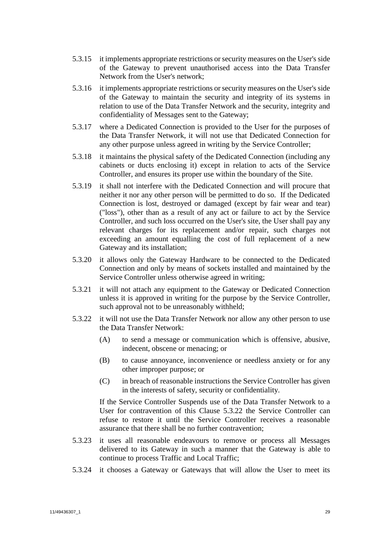- <span id="page-31-0"></span>5.3.15 it implements appropriate restrictions or security measures on the User's side of the Gateway to prevent unauthorised access into the Data Transfer Network from the User's network;
- <span id="page-31-1"></span>5.3.16 it implements appropriate restrictions or security measures on the User's side of the Gateway to maintain the security and integrity of its systems in relation to use of the Data Transfer Network and the security, integrity and confidentiality of Messages sent to the Gateway;
- 5.3.17 where a Dedicated Connection is provided to the User for the purposes of the Data Transfer Network, it will not use that Dedicated Connection for any other purpose unless agreed in writing by the Service Controller;
- <span id="page-31-2"></span>5.3.18 it maintains the physical safety of the Dedicated Connection (including any cabinets or ducts enclosing it) except in relation to acts of the Service Controller, and ensures its proper use within the boundary of the Site.
- <span id="page-31-3"></span>5.3.19 it shall not interfere with the Dedicated Connection and will procure that neither it nor any other person will be permitted to do so. If the Dedicated Connection is lost, destroyed or damaged (except by fair wear and tear) ("loss"), other than as a result of any act or failure to act by the Service Controller, and such loss occurred on the User's site, the User shall pay any relevant charges for its replacement and/or repair, such charges not exceeding an amount equalling the cost of full replacement of a new Gateway and its installation;
- 5.3.20 it allows only the Gateway Hardware to be connected to the Dedicated Connection and only by means of sockets installed and maintained by the Service Controller unless otherwise agreed in writing;
- 5.3.21 it will not attach any equipment to the Gateway or Dedicated Connection unless it is approved in writing for the purpose by the Service Controller, such approval not to be unreasonably withheld;
- <span id="page-31-4"></span>5.3.22 it will not use the Data Transfer Network nor allow any other person to use the Data Transfer Network:
	- (A) to send a message or communication which is offensive, abusive, indecent, obscene or menacing; or
	- (B) to cause annoyance, inconvenience or needless anxiety or for any other improper purpose; or
	- (C) in breach of reasonable instructions the Service Controller has given in the interests of safety, security or confidentiality.

If the Service Controller Suspends use of the Data Transfer Network to a User for contravention of this Clause [5.3.22](#page-31-4) the Service Controller can refuse to restore it until the Service Controller receives a reasonable assurance that there shall be no further contravention;

- 5.3.23 it uses all reasonable endeavours to remove or process all Messages delivered to its Gateway in such a manner that the Gateway is able to continue to process Traffic and Local Traffic;
- 5.3.24 it chooses a Gateway or Gateways that will allow the User to meet its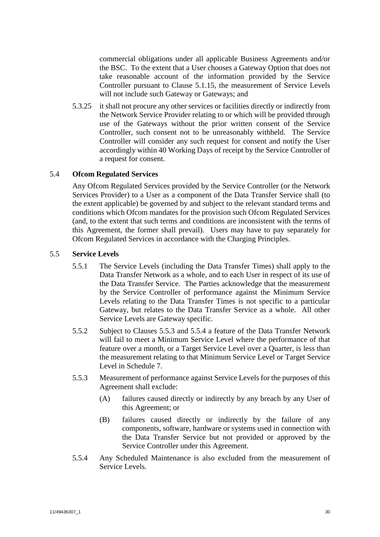commercial obligations under all applicable Business Agreements and/or the BSC. To the extent that a User chooses a Gateway Option that does not take reasonable account of the information provided by the Service Controller pursuant to Clause [5.1.15,](#page-28-2) the measurement of Service Levels will not include such Gateway or Gateways; and

5.3.25 it shall not procure any other services or facilities directly or indirectly from the Network Service Provider relating to or which will be provided through use of the Gateways without the prior written consent of the Service Controller, such consent not to be unreasonably withheld. The Service Controller will consider any such request for consent and notify the User accordingly within 40 Working Days of receipt by the Service Controller of a request for consent.

# 5.4 **Ofcom Regulated Services**

Any Ofcom Regulated Services provided by the Service Controller (or the Network Services Provider) to a User as a component of the Data Transfer Service shall (to the extent applicable) be governed by and subject to the relevant standard terms and conditions which Ofcom mandates for the provision such Ofcom Regulated Services (and, to the extent that such terms and conditions are inconsistent with the terms of this Agreement, the former shall prevail). Users may have to pay separately for Ofcom Regulated Services in accordance with the Charging Principles.

## <span id="page-32-2"></span>5.5 **Service Levels**

- 5.5.1 The Service Levels (including the Data Transfer Times) shall apply to the Data Transfer Network as a whole, and to each User in respect of its use of the Data Transfer Service. The Parties acknowledge that the measurement by the Service Controller of performance against the Minimum Service Levels relating to the Data Transfer Times is not specific to a particular Gateway, but relates to the Data Transfer Service as a whole. All other Service Levels are Gateway specific.
- 5.5.2 Subject to Clauses [5.5.3](#page-32-0) and [5.5.4](#page-32-1) a feature of the Data Transfer Network will fail to meet a Minimum Service Level where the performance of that feature over a month, or a Target Service Level over a Quarter, is less than the measurement relating to that Minimum Service Level or Target Service Level in [Schedule 7.](#page-89-2)
- <span id="page-32-0"></span>5.5.3 Measurement of performance against Service Levels for the purposes of this Agreement shall exclude:
	- (A) failures caused directly or indirectly by any breach by any User of this Agreement; or
	- (B) failures caused directly or indirectly by the failure of any components, software, hardware or systems used in connection with the Data Transfer Service but not provided or approved by the Service Controller under this Agreement.
- <span id="page-32-1"></span>5.5.4 Any Scheduled Maintenance is also excluded from the measurement of Service Levels.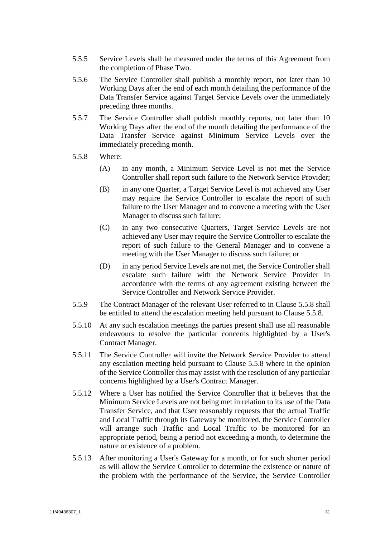- 5.5.5 Service Levels shall be measured under the terms of this Agreement from the completion of Phase Two.
- 5.5.6 The Service Controller shall publish a monthly report, not later than 10 Working Days after the end of each month detailing the performance of the Data Transfer Service against Target Service Levels over the immediately preceding three months.
- 5.5.7 The Service Controller shall publish monthly reports, not later than 10 Working Days after the end of the month detailing the performance of the Data Transfer Service against Minimum Service Levels over the immediately preceding month.
- <span id="page-33-0"></span>5.5.8 Where:
	- (A) in any month, a Minimum Service Level is not met the Service Controller shall report such failure to the Network Service Provider;
	- (B) in any one Quarter, a Target Service Level is not achieved any User may require the Service Controller to escalate the report of such failure to the User Manager and to convene a meeting with the User Manager to discuss such failure;
	- (C) in any two consecutive Quarters, Target Service Levels are not achieved any User may require the Service Controller to escalate the report of such failure to the General Manager and to convene a meeting with the User Manager to discuss such failure; or
	- (D) in any period Service Levels are not met, the Service Controller shall escalate such failure with the Network Service Provider in accordance with the terms of any agreement existing between the Service Controller and Network Service Provider.
- 5.5.9 The Contract Manager of the relevant User referred to in Clause [5.5.8](#page-33-0) shall be entitled to attend the escalation meeting held pursuant to Clause [5.5.8.](#page-33-0)
- 5.5.10 At any such escalation meetings the parties present shall use all reasonable endeavours to resolve the particular concerns highlighted by a User's Contract Manager.
- 5.5.11 The Service Controller will invite the Network Service Provider to attend any escalation meeting held pursuant to Clause [5.5.8](#page-33-0) where in the opinion of the Service Controller this may assist with the resolution of any particular concerns highlighted by a User's Contract Manager.
- <span id="page-33-1"></span>5.5.12 Where a User has notified the Service Controller that it believes that the Minimum Service Levels are not being met in relation to its use of the Data Transfer Service, and that User reasonably requests that the actual Traffic and Local Traffic through its Gateway be monitored, the Service Controller will arrange such Traffic and Local Traffic to be monitored for an appropriate period, being a period not exceeding a month, to determine the nature or existence of a problem.
- 5.5.13 After monitoring a User's Gateway for a month, or for such shorter period as will allow the Service Controller to determine the existence or nature of the problem with the performance of the Service, the Service Controller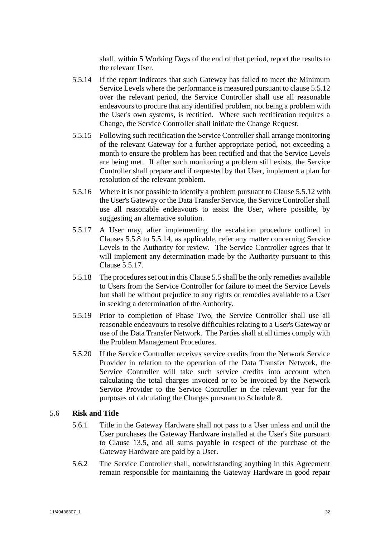shall, within 5 Working Days of the end of that period, report the results to the relevant User.

- <span id="page-34-0"></span>5.5.14 If the report indicates that such Gateway has failed to meet the Minimum Service Levels where the performance is measured pursuant to claus[e 5.5.12](#page-33-1) over the relevant period, the Service Controller shall use all reasonable endeavours to procure that any identified problem, not being a problem with the User's own systems, is rectified. Where such rectification requires a Change, the Service Controller shall initiate the Change Request.
- 5.5.15 Following such rectification the Service Controller shall arrange monitoring of the relevant Gateway for a further appropriate period, not exceeding a month to ensure the problem has been rectified and that the Service Levels are being met. If after such monitoring a problem still exists, the Service Controller shall prepare and if requested by that User, implement a plan for resolution of the relevant problem.
- 5.5.16 Where it is not possible to identify a problem pursuant to Claus[e 5.5.12](#page-33-1) with the User's Gateway or the Data Transfer Service, the Service Controller shall use all reasonable endeavours to assist the User, where possible, by suggesting an alternative solution.
- <span id="page-34-1"></span>5.5.17 A User may, after implementing the escalation procedure outlined in Clauses [5.5.8](#page-33-0) to [5.5.14,](#page-34-0) as applicable, refer any matter concerning Service Levels to the Authority for review. The Service Controller agrees that it will implement any determination made by the Authority pursuant to this Clause [5.5.17.](#page-34-1)
- 5.5.18 The procedures set out in this Claus[e 5.5](#page-32-2) shall be the only remedies available to Users from the Service Controller for failure to meet the Service Levels but shall be without prejudice to any rights or remedies available to a User in seeking a determination of the Authority.
- 5.5.19 Prior to completion of Phase Two, the Service Controller shall use all reasonable endeavours to resolve difficulties relating to a User's Gateway or use of the Data Transfer Network. The Parties shall at all times comply with the Problem Management Procedures.
- 5.5.20 If the Service Controller receives service credits from the Network Service Provider in relation to the operation of the Data Transfer Network, the Service Controller will take such service credits into account when calculating the total charges invoiced or to be invoiced by the Network Service Provider to the Service Controller in the relevant year for the purposes of calculating the Charges pursuant to [Schedule 8.](#page-94-1)

## <span id="page-34-2"></span>5.6 **Risk and Title**

- 5.6.1 Title in the Gateway Hardware shall not pass to a User unless and until the User purchases the Gateway Hardware installed at the User's Site pursuant to Clause [13.5,](#page-49-3) and all sums payable in respect of the purchase of the Gateway Hardware are paid by a User.
- 5.6.2 The Service Controller shall, notwithstanding anything in this Agreement remain responsible for maintaining the Gateway Hardware in good repair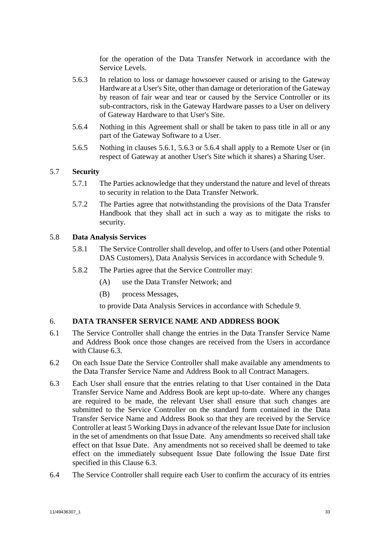for the operation of the Data Transfer Network in accordance with the Service Levels.

- <span id="page-35-1"></span>5.6.3 In relation to loss or damage howsoever caused or arising to the Gateway Hardware at a User's Site, other than damage or deterioration of the Gateway by reason of fair wear and tear or caused by the Service Controller or its sub-contractors, risk in the Gateway Hardware passes to a User on delivery of Gateway Hardware to that User's Site.
- <span id="page-35-2"></span>5.6.4 Nothing in this Agreement shall or shall be taken to pass title in all or any part of the Gateway Software to a User.
- 5.6.5 Nothing in clauses [5.6.1,](#page-34-2) [5.6.3](#page-35-1) or [5.6.4](#page-35-2) shall apply to a Remote User or (in respect of Gateway at another User's Site which it shares) a Sharing User.

# 5.7 **Security**

- 5.7.1 The Parties acknowledge that they understand the nature and level of threats to security in relation to the Data Transfer Network.
- 5.7.2 The Parties agree that notwithstanding the provisions of the Data Transfer Handbook that they shall act in such a way as to mitigate the risks to security.

## 5.8 **Data Analysis Services**

- 5.8.1 The Service Controller shall develop, and offer to Users (and other Potential DAS Customers), Data Analysis Services in accordance with [Schedule 9.](#page-98-1)
- 5.8.2 The Parties agree that the Service Controller may:
	- (A) use the Data Transfer Network; and
	- (B) process Messages,

to provide Data Analysis Services in accordance with [Schedule 9.](#page-98-1)

# <span id="page-35-0"></span>6. **DATA TRANSFER SERVICE NAME AND ADDRESS BOOK**

- 6.1 The Service Controller shall change the entries in the Data Transfer Service Name and Address Book once those changes are received from the Users in accordance with Clause [6.3.](#page-35-3)
- 6.2 On each Issue Date the Service Controller shall make available any amendments to the Data Transfer Service Name and Address Book to all Contract Managers.
- <span id="page-35-3"></span>6.3 Each User shall ensure that the entries relating to that User contained in the Data Transfer Service Name and Address Book are kept up-to-date. Where any changes are required to be made, the relevant User shall ensure that such changes are submitted to the Service Controller on the standard form contained in the Data Transfer Service Name and Address Book so that they are received by the Service Controller at least 5 Working Days in advance of the relevant Issue Date for inclusion in the set of amendments on that Issue Date. Any amendments so received shall take effect on that Issue Date. Any amendments not so received shall be deemed to take effect on the immediately subsequent Issue Date following the Issue Date first specified in this Clause [6.3.](#page-35-3)
- 6.4 The Service Controller shall require each User to confirm the accuracy of its entries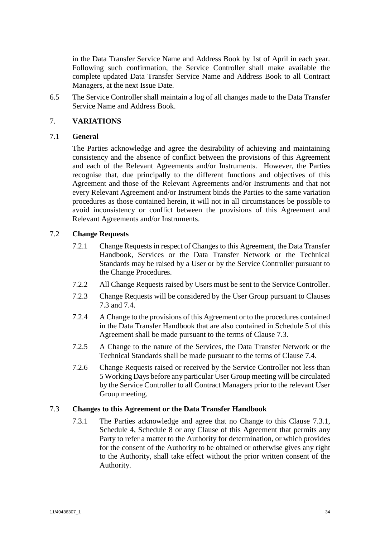in the Data Transfer Service Name and Address Book by 1st of April in each year. Following such confirmation, the Service Controller shall make available the complete updated Data Transfer Service Name and Address Book to all Contract Managers, at the next Issue Date.

6.5 The Service Controller shall maintain a log of all changes made to the Data Transfer Service Name and Address Book.

# <span id="page-36-2"></span>7. **VARIATIONS**

## 7.1 **General**

The Parties acknowledge and agree the desirability of achieving and maintaining consistency and the absence of conflict between the provisions of this Agreement and each of the Relevant Agreements and/or Instruments. However, the Parties recognise that, due principally to the different functions and objectives of this Agreement and those of the Relevant Agreements and/or Instruments and that not every Relevant Agreement and/or Instrument binds the Parties to the same variation procedures as those contained herein, it will not in all circumstances be possible to avoid inconsistency or conflict between the provisions of this Agreement and Relevant Agreements and/or Instruments.

# <span id="page-36-3"></span>7.2 **Change Requests**

- 7.2.1 Change Requests in respect of Changes to this Agreement, the Data Transfer Handbook, Services or the Data Transfer Network or the Technical Standards may be raised by a User or by the Service Controller pursuant to the Change Procedures.
- 7.2.2 All Change Requests raised by Users must be sent to the Service Controller.
- 7.2.3 Change Requests will be considered by the User Group pursuant to Clauses [7.3](#page-36-0) and [7.4.](#page-38-0)
- 7.2.4 A Change to the provisions of this Agreement or to the procedures contained in the Data Transfer Handbook that are also contained in [Schedule 5](#page-78-0) of this Agreement shall be made pursuant to the terms of Clause [7.3.](#page-36-0)
- 7.2.5 A Change to the nature of the Services, the Data Transfer Network or the Technical Standards shall be made pursuant to the terms of Clause [7.4.](#page-38-0)
- 7.2.6 Change Requests raised or received by the Service Controller not less than 5 Working Days before any particular User Group meeting will be circulated by the Service Controller to all Contract Managers prior to the relevant User Group meeting.

# <span id="page-36-1"></span><span id="page-36-0"></span>7.3 **Changes to this Agreement or the Data Transfer Handbook**

7.3.1 The Parties acknowledge and agree that no Change to this Clause [7.3.1,](#page-36-1) [Schedule 4,](#page-71-0) [Schedule 8](#page-94-0) or any Clause of this Agreement that permits any Party to refer a matter to the Authority for determination, or which provides for the consent of the Authority to be obtained or otherwise gives any right to the Authority, shall take effect without the prior written consent of the Authority.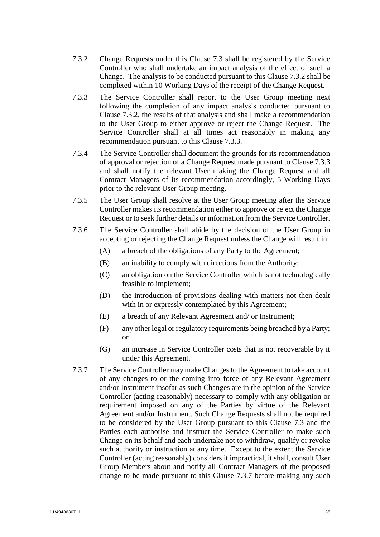- <span id="page-37-0"></span>7.3.2 Change Requests under this Clause [7.3](#page-36-0) shall be registered by the Service Controller who shall undertake an impact analysis of the effect of such a Change. The analysis to be conducted pursuant to this Clause [7.3.2](#page-37-0) shall be completed within 10 Working Days of the receipt of the Change Request.
- <span id="page-37-1"></span>7.3.3 The Service Controller shall report to the User Group meeting next following the completion of any impact analysis conducted pursuant to Clause [7.3.2,](#page-37-0) the results of that analysis and shall make a recommendation to the User Group to either approve or reject the Change Request. The Service Controller shall at all times act reasonably in making any recommendation pursuant to this Clause [7.3.3.](#page-37-1)
- 7.3.4 The Service Controller shall document the grounds for its recommendation of approval or rejection of a Change Request made pursuant to Clause [7.3.3](#page-37-1) and shall notify the relevant User making the Change Request and all Contract Managers of its recommendation accordingly, 5 Working Days prior to the relevant User Group meeting.
- 7.3.5 The User Group shall resolve at the User Group meeting after the Service Controller makes its recommendation either to approve or reject the Change Request or to seek further details or information from the Service Controller.
- 7.3.6 The Service Controller shall abide by the decision of the User Group in accepting or rejecting the Change Request unless the Change will result in:
	- (A) a breach of the obligations of any Party to the Agreement;
	- (B) an inability to comply with directions from the Authority;
	- (C) an obligation on the Service Controller which is not technologically feasible to implement;
	- (D) the introduction of provisions dealing with matters not then dealt with in or expressly contemplated by this Agreement;
	- (E) a breach of any Relevant Agreement and/ or Instrument;
	- (F) any other legal or regulatory requirements being breached by a Party; or
	- (G) an increase in Service Controller costs that is not recoverable by it under this Agreement.
- <span id="page-37-2"></span>7.3.7 The Service Controller may make Changes to the Agreement to take account of any changes to or the coming into force of any Relevant Agreement and/or Instrument insofar as such Changes are in the opinion of the Service Controller (acting reasonably) necessary to comply with any obligation or requirement imposed on any of the Parties by virtue of the Relevant Agreement and/or Instrument. Such Change Requests shall not be required to be considered by the User Group pursuant to this Clause [7.3](#page-36-0) and the Parties each authorise and instruct the Service Controller to make such Change on its behalf and each undertake not to withdraw, qualify or revoke such authority or instruction at any time. Except to the extent the Service Controller (acting reasonably) considers it impractical, it shall, consult User Group Members about and notify all Contract Managers of the proposed change to be made pursuant to this Clause [7.3.7](#page-37-2) before making any such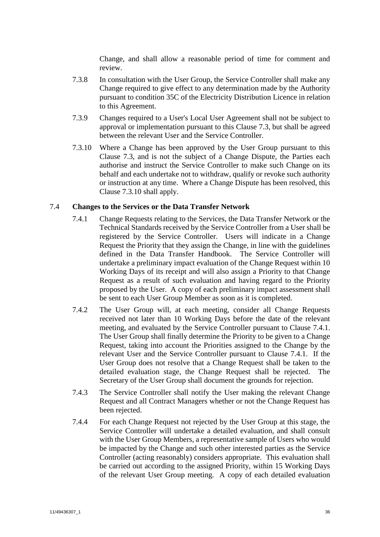Change, and shall allow a reasonable period of time for comment and review.

- 7.3.8 In consultation with the User Group, the Service Controller shall make any Change required to give effect to any determination made by the Authority pursuant to condition 35C of the Electricity Distribution Licence in relation to this Agreement.
- 7.3.9 Changes required to a User's Local User Agreement shall not be subject to approval or implementation pursuant to this Clause [7.3,](#page-36-0) but shall be agreed between the relevant User and the Service Controller.
- <span id="page-38-1"></span>7.3.10 Where a Change has been approved by the User Group pursuant to this Clause [7.3,](#page-36-0) and is not the subject of a Change Dispute, the Parties each authorise and instruct the Service Controller to make such Change on its behalf and each undertake not to withdraw, qualify or revoke such authority or instruction at any time. Where a Change Dispute has been resolved, this Clause [7.3.10](#page-38-1) shall apply.

## <span id="page-38-2"></span><span id="page-38-0"></span>7.4 **Changes to the Services or the Data Transfer Network**

- 7.4.1 Change Requests relating to the Services, the Data Transfer Network or the Technical Standards received by the Service Controller from a User shall be registered by the Service Controller. Users will indicate in a Change Request the Priority that they assign the Change, in line with the guidelines defined in the Data Transfer Handbook. The Service Controller will undertake a preliminary impact evaluation of the Change Request within 10 Working Days of its receipt and will also assign a Priority to that Change Request as a result of such evaluation and having regard to the Priority proposed by the User. A copy of each preliminary impact assessment shall be sent to each User Group Member as soon as it is completed.
- 7.4.2 The User Group will, at each meeting, consider all Change Requests received not later than 10 Working Days before the date of the relevant meeting, and evaluated by the Service Controller pursuant to Clause [7.4.1.](#page-38-2) The User Group shall finally determine the Priority to be given to a Change Request, taking into account the Priorities assigned to the Change by the relevant User and the Service Controller pursuant to Clause [7.4.1.](#page-38-2) If the User Group does not resolve that a Change Request shall be taken to the detailed evaluation stage, the Change Request shall be rejected. The Secretary of the User Group shall document the grounds for rejection.
- 7.4.3 The Service Controller shall notify the User making the relevant Change Request and all Contract Managers whether or not the Change Request has been rejected.
- <span id="page-38-3"></span>7.4.4 For each Change Request not rejected by the User Group at this stage, the Service Controller will undertake a detailed evaluation, and shall consult with the User Group Members, a representative sample of Users who would be impacted by the Change and such other interested parties as the Service Controller (acting reasonably) considers appropriate. This evaluation shall be carried out according to the assigned Priority, within 15 Working Days of the relevant User Group meeting. A copy of each detailed evaluation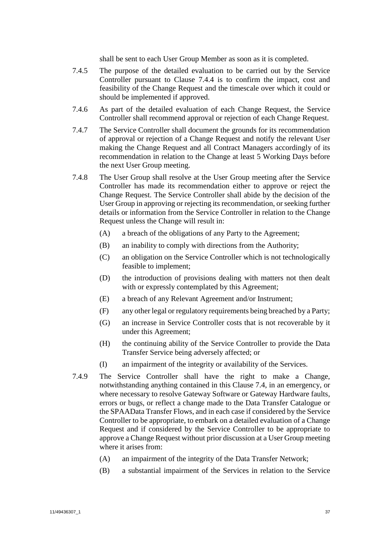shall be sent to each User Group Member as soon as it is completed.

- 7.4.5 The purpose of the detailed evaluation to be carried out by the Service Controller pursuant to Clause [7.4.4](#page-38-3) is to confirm the impact, cost and feasibility of the Change Request and the timescale over which it could or should be implemented if approved.
- 7.4.6 As part of the detailed evaluation of each Change Request, the Service Controller shall recommend approval or rejection of each Change Request.
- 7.4.7 The Service Controller shall document the grounds for its recommendation of approval or rejection of a Change Request and notify the relevant User making the Change Request and all Contract Managers accordingly of its recommendation in relation to the Change at least 5 Working Days before the next User Group meeting.
- 7.4.8 The User Group shall resolve at the User Group meeting after the Service Controller has made its recommendation either to approve or reject the Change Request. The Service Controller shall abide by the decision of the User Group in approving or rejecting its recommendation, or seeking further details or information from the Service Controller in relation to the Change Request unless the Change will result in:
	- (A) a breach of the obligations of any Party to the Agreement;
	- (B) an inability to comply with directions from the Authority;
	- (C) an obligation on the Service Controller which is not technologically feasible to implement;
	- (D) the introduction of provisions dealing with matters not then dealt with or expressly contemplated by this Agreement;
	- (E) a breach of any Relevant Agreement and/or Instrument;
	- (F) any other legal or regulatory requirements being breached by a Party;
	- (G) an increase in Service Controller costs that is not recoverable by it under this Agreement;
	- (H) the continuing ability of the Service Controller to provide the Data Transfer Service being adversely affected; or
	- (I) an impairment of the integrity or availability of the Services.
- <span id="page-39-0"></span>7.4.9 The Service Controller shall have the right to make a Change, notwithstanding anything contained in this Clause [7.4,](#page-38-0) in an emergency, or where necessary to resolve Gateway Software or Gateway Hardware faults, errors or bugs, or reflect a change made to the Data Transfer Catalogue or the SPAAData Transfer Flows, and in each case if considered by the Service Controller to be appropriate, to embark on a detailed evaluation of a Change Request and if considered by the Service Controller to be appropriate to approve a Change Request without prior discussion at a User Group meeting where it arises from:
	- (A) an impairment of the integrity of the Data Transfer Network;
	- (B) a substantial impairment of the Services in relation to the Service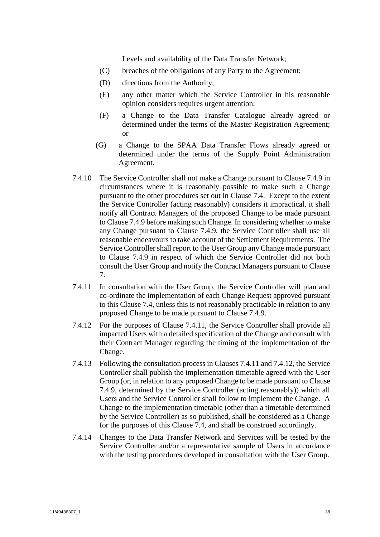Levels and availability of the Data Transfer Network;

- (C) breaches of the obligations of any Party to the Agreement;
- (D) directions from the Authority;
- (E) any other matter which the Service Controller in his reasonable opinion considers requires urgent attention;
- (F) a Change to the Data Transfer Catalogue already agreed or determined under the terms of the Master Registration Agreement; or
- (G) a Change to the SPAA Data Transfer Flows already agreed or determined under the terms of the Supply Point Administration Agreement.
- 7.4.10 The Service Controller shall not make a Change pursuant to Clause [7.4.9](#page-39-0) in circumstances where it is reasonably possible to make such a Change pursuant to the other procedures set out in Clause [7.4.](#page-38-0) Except to the extent the Service Controller (acting reasonably) considers it impractical, it shall notify all Contract Managers of the proposed Change to be made pursuant to Clause [7.4.9](#page-39-0) before making such Change. In considering whether to make any Change pursuant to Clause [7.4.9,](#page-39-0) the Service Controller shall use all reasonable endeavours to take account of the Settlement Requirements. The Service Controller shall report to the User Group any Change made pursuant to Clause [7.4.9](#page-39-0) in respect of which the Service Controller did not both consult the User Group and notify the Contract Managers pursuant to Clause [7.](#page-36-2)
- <span id="page-40-0"></span>7.4.11 In consultation with the User Group, the Service Controller will plan and co-ordinate the implementation of each Change Request approved pursuant to this Clause [7.4,](#page-38-0) unless this is not reasonably practicable in relation to any proposed Change to be made pursuant to Clause [7.4.9.](#page-39-0)
- <span id="page-40-1"></span>7.4.12 For the purposes of Clause [7.4.11,](#page-40-0) the Service Controller shall provide all impacted Users with a detailed specification of the Change and consult with their Contract Manager regarding the timing of the implementation of the Change.
- <span id="page-40-3"></span>7.4.13 Following the consultation process in Clauses [7.4.11](#page-40-0) an[d 7.4.12,](#page-40-1) the Service Controller shall publish the implementation timetable agreed with the User Group (or, in relation to any proposed Change to be made pursuant to Clause [7.4.9,](#page-39-0) determined by the Service Controller (acting reasonably)) which all Users and the Service Controller shall follow to implement the Change. A Change to the implementation timetable (other than a timetable determined by the Service Controller) as so published, shall be considered as a Change for the purposes of this Clause [7.4,](#page-38-0) and shall be construed accordingly.
- <span id="page-40-2"></span>7.4.14 Changes to the Data Transfer Network and Services will be tested by the Service Controller and/or a representative sample of Users in accordance with the testing procedures developed in consultation with the User Group.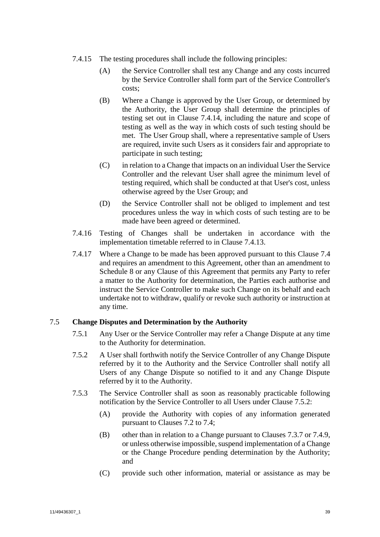- 7.4.15 The testing procedures shall include the following principles:
	- (A) the Service Controller shall test any Change and any costs incurred by the Service Controller shall form part of the Service Controller's costs;
	- (B) Where a Change is approved by the User Group, or determined by the Authority, the User Group shall determine the principles of testing set out in Clause [7.4.14,](#page-40-2) including the nature and scope of testing as well as the way in which costs of such testing should be met. The User Group shall, where a representative sample of Users are required, invite such Users as it considers fair and appropriate to participate in such testing;
	- (C) in relation to a Change that impacts on an individual User the Service Controller and the relevant User shall agree the minimum level of testing required, which shall be conducted at that User's cost, unless otherwise agreed by the User Group; and
	- (D) the Service Controller shall not be obliged to implement and test procedures unless the way in which costs of such testing are to be made have been agreed or determined.
- 7.4.16 Testing of Changes shall be undertaken in accordance with the implementation timetable referred to in Clause [7.4.13.](#page-40-3)
- 7.4.17 Where a Change to be made has been approved pursuant to this Clause [7.4](#page-38-0) and requires an amendment to this Agreement, other than an amendment to [Schedule 8](#page-94-0) or any Clause of this Agreement that permits any Party to refer a matter to the Authority for determination, the Parties each authorise and instruct the Service Controller to make such Change on its behalf and each undertake not to withdraw, qualify or revoke such authority or instruction at any time.

# <span id="page-41-3"></span>7.5 **Change Disputes and Determination by the Authority**

- 7.5.1 Any User or the Service Controller may refer a Change Dispute at any time to the Authority for determination.
- <span id="page-41-0"></span>7.5.2 A User shall forthwith notify the Service Controller of any Change Dispute referred by it to the Authority and the Service Controller shall notify all Users of any Change Dispute so notified to it and any Change Dispute referred by it to the Authority.
- <span id="page-41-2"></span><span id="page-41-1"></span>7.5.3 The Service Controller shall as soon as reasonably practicable following notification by the Service Controller to all Users under Clause [7.5.2:](#page-41-0)
	- (A) provide the Authority with copies of any information generated pursuant to Clauses [7.2](#page-36-3) to [7.4;](#page-38-0)
	- (B) other than in relation to a Change pursuant to Clauses [7.3.7](#page-37-2) or [7.4.9,](#page-39-0) or unless otherwise impossible, suspend implementation of a Change or the Change Procedure pending determination by the Authority; and
	- (C) provide such other information, material or assistance as may be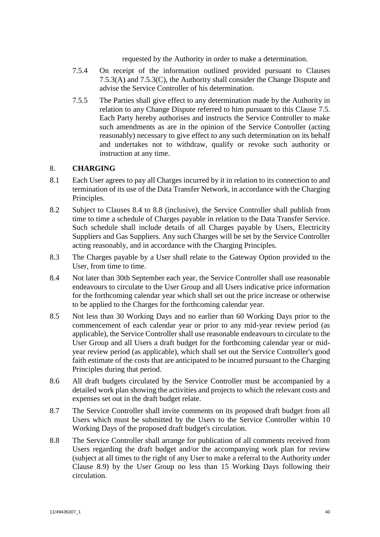requested by the Authority in order to make a determination.

- 7.5.4 On receipt of the information outlined provided pursuant to Clauses [7.5.3\(A\)](#page-41-1) and [7.5.3\(C\),](#page-41-2) the Authority shall consider the Change Dispute and advise the Service Controller of his determination.
- 7.5.5 The Parties shall give effect to any determination made by the Authority in relation to any Change Dispute referred to him pursuant to this Clause [7.5.](#page-41-3) Each Party hereby authorises and instructs the Service Controller to make such amendments as are in the opinion of the Service Controller (acting reasonably) necessary to give effect to any such determination on its behalf and undertakes not to withdraw, qualify or revoke such authority or instruction at any time.

# <span id="page-42-2"></span>8. **CHARGING**

- 8.1 Each User agrees to pay all Charges incurred by it in relation to its connection to and termination of its use of the Data Transfer Network, in accordance with the Charging Principles.
- 8.2 Subject to Clauses [8.4](#page-42-0) to [8.8](#page-42-1) (inclusive), the Service Controller shall publish from time to time a schedule of Charges payable in relation to the Data Transfer Service. Such schedule shall include details of all Charges payable by Users, Electricity Suppliers and Gas Suppliers. Any such Charges will be set by the Service Controller acting reasonably, and in accordance with the Charging Principles.
- 8.3 The Charges payable by a User shall relate to the Gateway Option provided to the User, from time to time.
- <span id="page-42-0"></span>8.4 Not later than 30th September each year, the Service Controller shall use reasonable endeavours to circulate to the User Group and all Users indicative price information for the forthcoming calendar year which shall set out the price increase or otherwise to be applied to the Charges for the forthcoming calendar year.
- 8.5 Not less than 30 Working Days and no earlier than 60 Working Days prior to the commencement of each calendar year or prior to any mid-year review period (as applicable), the Service Controller shall use reasonable endeavours to circulate to the User Group and all Users a draft budget for the forthcoming calendar year or midyear review period (as applicable), which shall set out the Service Controller's good faith estimate of the costs that are anticipated to be incurred pursuant to the Charging Principles during that period.
- 8.6 All draft budgets circulated by the Service Controller must be accompanied by a detailed work plan showing the activities and projects to which the relevant costs and expenses set out in the draft budget relate.
- 8.7 The Service Controller shall invite comments on its proposed draft budget from all Users which must be submitted by the Users to the Service Controller within 10 Working Days of the proposed draft budget's circulation.
- <span id="page-42-1"></span>8.8 The Service Controller shall arrange for publication of all comments received from Users regarding the draft budget and/or the accompanying work plan for review (subject at all times to the right of any User to make a referral to the Authority under Clause [8.9\)](#page-43-0) by the User Group no less than 15 Working Days following their circulation.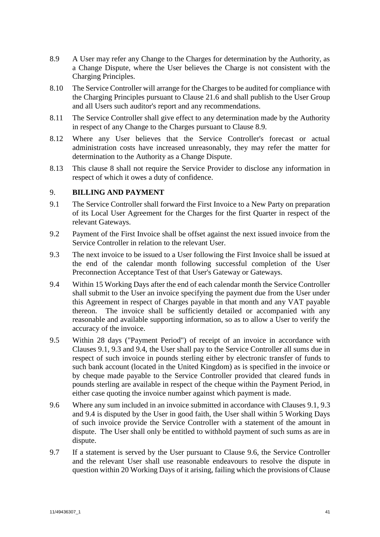- <span id="page-43-0"></span>8.9 A User may refer any Change to the Charges for determination by the Authority, as a Change Dispute, where the User believes the Charge is not consistent with the Charging Principles.
- 8.10 The Service Controller will arrange for the Charges to be audited for compliance with the Charging Principles pursuant to Clause [21.6](#page-60-0) and shall publish to the User Group and all Users such auditor's report and any recommendations.
- 8.11 The Service Controller shall give effect to any determination made by the Authority in respect of any Change to the Charges pursuant to Clause [8.9.](#page-43-0)
- 8.12 Where any User believes that the Service Controller's forecast or actual administration costs have increased unreasonably, they may refer the matter for determination to the Authority as a Change Dispute.
- 8.13 This clause [8](#page-42-2) shall not require the Service Provider to disclose any information in respect of which it owes a duty of confidence.

# <span id="page-43-5"></span>9. **BILLING AND PAYMENT**

- <span id="page-43-1"></span>9.1 The Service Controller shall forward the First Invoice to a New Party on preparation of its Local User Agreement for the Charges for the first Quarter in respect of the relevant Gateways.
- 9.2 Payment of the First Invoice shall be offset against the next issued invoice from the Service Controller in relation to the relevant User.
- <span id="page-43-2"></span>9.3 The next invoice to be issued to a User following the First Invoice shall be issued at the end of the calendar month following successful completion of the User Preconnection Acceptance Test of that User's Gateway or Gateways.
- <span id="page-43-3"></span>9.4 Within 15 Working Days after the end of each calendar month the Service Controller shall submit to the User an invoice specifying the payment due from the User under this Agreement in respect of Charges payable in that month and any VAT payable thereon. The invoice shall be sufficiently detailed or accompanied with any reasonable and available supporting information, so as to allow a User to verify the accuracy of the invoice.
- 9.5 Within 28 days ("Payment Period") of receipt of an invoice in accordance with Clauses [9.1,](#page-43-1) [9.3](#page-43-2) and [9.4,](#page-43-3) the User shall pay to the Service Controller all sums due in respect of such invoice in pounds sterling either by electronic transfer of funds to such bank account (located in the United Kingdom) as is specified in the invoice or by cheque made payable to the Service Controller provided that cleared funds in pounds sterling are available in respect of the cheque within the Payment Period, in either case quoting the invoice number against which payment is made.
- <span id="page-43-4"></span>9.6 Where any sum included in an invoice submitted in accordance with Clauses [9.1,](#page-43-1) [9.3](#page-43-2) and [9.4](#page-43-3) is disputed by the User in good faith, the User shall within 5 Working Days of such invoice provide the Service Controller with a statement of the amount in dispute. The User shall only be entitled to withhold payment of such sums as are in dispute.
- 9.7 If a statement is served by the User pursuant to Clause [9.6,](#page-43-4) the Service Controller and the relevant User shall use reasonable endeavours to resolve the dispute in question within 20 Working Days of it arising, failing which the provisions of Clause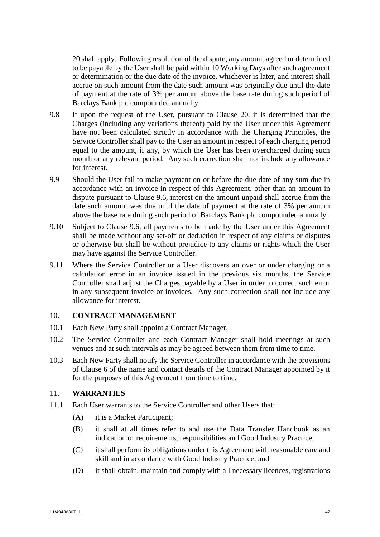[20](#page-58-0) shall apply. Following resolution of the dispute, any amount agreed or determined to be payable by the User shall be paid within 10 Working Days after such agreement or determination or the due date of the invoice, whichever is later, and interest shall accrue on such amount from the date such amount was originally due until the date of payment at the rate of 3% per annum above the base rate during such period of Barclays Bank plc compounded annually.

- 9.8 If upon the request of the User, pursuant to Clause [20,](#page-58-0) it is determined that the Charges (including any variations thereof) paid by the User under this Agreement have not been calculated strictly in accordance with the Charging Principles, the Service Controller shall pay to the User an amount in respect of each charging period equal to the amount, if any, by which the User has been overcharged during such month or any relevant period. Any such correction shall not include any allowance for interest.
- 9.9 Should the User fail to make payment on or before the due date of any sum due in accordance with an invoice in respect of this Agreement, other than an amount in dispute pursuant to Clause [9.6,](#page-43-4) interest on the amount unpaid shall accrue from the date such amount was due until the date of payment at the rate of 3% per annum above the base rate during such period of Barclays Bank plc compounded annually.
- 9.10 Subject to Clause [9.6,](#page-43-4) all payments to be made by the User under this Agreement shall be made without any set-off or deduction in respect of any claims or disputes or otherwise but shall be without prejudice to any claims or rights which the User may have against the Service Controller.
- 9.11 Where the Service Controller or a User discovers an over or under charging or a calculation error in an invoice issued in the previous six months, the Service Controller shall adjust the Charges payable by a User in order to correct such error in any subsequent invoice or invoices. Any such correction shall not include any allowance for interest.

## 10. **CONTRACT MANAGEMENT**

- 10.1 Each New Party shall appoint a Contract Manager.
- 10.2 The Service Controller and each Contract Manager shall hold meetings at such venues and at such intervals as may be agreed between them from time to time.
- 10.3 Each New Party shall notify the Service Controller in accordance with the provisions of Clause [6](#page-35-0) of the name and contact details of the Contract Manager appointed by it for the purposes of this Agreement from time to time.

#### 11. **WARRANTIES**

- 11.1 Each User warrants to the Service Controller and other Users that:
	- (A) it is a Market Participant;
	- (B) it shall at all times refer to and use the Data Transfer Handbook as an indication of requirements, responsibilities and Good Industry Practice;
	- (C) it shall perform its obligations under this Agreement with reasonable care and skill and in accordance with Good Industry Practice; and
	- (D) it shall obtain, maintain and comply with all necessary licences, registrations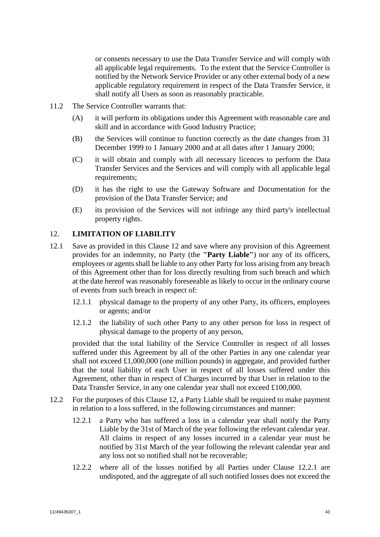or consents necessary to use the Data Transfer Service and will comply with all applicable legal requirements. To the extent that the Service Controller is notified by the Network Service Provider or any other external body of a new applicable regulatory requirement in respect of the Data Transfer Service, it shall notify all Users as soon as reasonably practicable.

- 11.2 The Service Controller warrants that:
	- (A) it will perform its obligations under this Agreement with reasonable care and skill and in accordance with Good Industry Practice;
	- (B) the Services will continue to function correctly as the date changes from 31 December 1999 to 1 January 2000 and at all dates after 1 January 2000;
	- (C) it will obtain and comply with all necessary licences to perform the Data Transfer Services and the Services and will comply with all applicable legal requirements;
	- (D) it has the right to use the Gateway Software and Documentation for the provision of the Data Transfer Service; and
	- (E) its provision of the Services will not infringe any third party's intellectual property rights.

# <span id="page-45-0"></span>12. **LIMITATION OF LIABILITY**

- <span id="page-45-2"></span>12.1 Save as provided in this Clause [12](#page-45-0) and save where any provision of this Agreement provides for an indemnity, no Party (the **"Party Liable"**) nor any of its officers, employees or agents shall be liable to any other Party for loss arising from any breach of this Agreement other than for loss directly resulting from such breach and which at the date hereof was reasonably foreseeable as likely to occur in the ordinary course of events from such breach in respect of:
	- 12.1.1 physical damage to the property of any other Party, its officers, employees or agents; and/or
	- 12.1.2 the liability of such other Party to any other person for loss in respect of physical damage to the property of any person,

provided that the total liability of the Service Controller in respect of all losses suffered under this Agreement by all of the other Parties in any one calendar year shall not exceed £1,000,000 (one million pounds) in aggregate, and provided further that the total liability of each User in respect of all losses suffered under this Agreement, other than in respect of Charges incurred by that User in relation to the Data Transfer Service, in any one calendar year shall not exceed £100,000.

- <span id="page-45-3"></span><span id="page-45-1"></span>12.2 For the purposes of this Clause [12,](#page-45-0) a Party Liable shall be required to make payment in relation to a loss suffered, in the following circumstances and manner:
	- 12.2.1 a Party who has suffered a loss in a calendar year shall notify the Party Liable by the 31st of March of the year following the relevant calendar year. All claims in respect of any losses incurred in a calendar year must be notified by 31st March of the year following the relevant calendar year and any loss not so notified shall not be recoverable;
	- 12.2.2 where all of the losses notified by all Parties under Clause [12.2.1](#page-45-1) are undisputed, and the aggregate of all such notified losses does not exceed the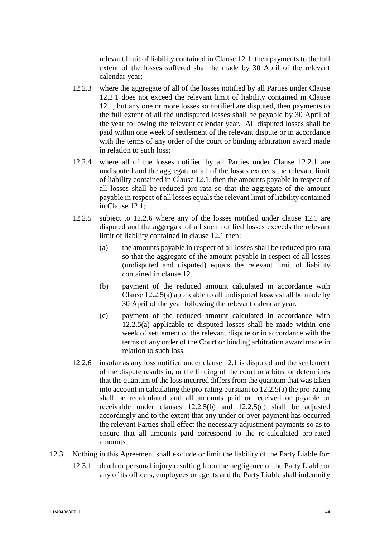relevant limit of liability contained in Clause [12.1,](#page-45-2) then payments to the full extent of the losses suffered shall be made by 30 April of the relevant calendar year;

- 12.2.3 where the aggregate of all of the losses notified by all Parties under Clause [12.2.1](#page-45-1) does not exceed the relevant limit of liability contained in Clause [12.1,](#page-45-2) but any one or more losses so notified are disputed, then payments to the full extent of all the undisputed losses shall be payable by 30 April of the year following the relevant calendar year. All disputed losses shall be paid within one week of settlement of the relevant dispute or in accordance with the terms of any order of the court or binding arbitration award made in relation to such loss;
- 12.2.4 where all of the losses notified by all Parties under Clause [12.2.1](#page-45-1) are undisputed and the aggregate of all of the losses exceeds the relevant limit of liability contained in Clause [12.1,](#page-45-2) then the amounts payable in respect of all losses shall be reduced pro-rata so that the aggregate of the amount payable in respect of all losses equals the relevant limit of liability contained in Clause [12.1;](#page-45-2)
- <span id="page-46-2"></span><span id="page-46-1"></span>12.2.5 subject to [12.2.6](#page-46-0) where any of the losses notified under clause [12.1](#page-45-2) are disputed and the aggregate of all such notified losses exceeds the relevant limit of liability contained in clause [12.1](#page-45-2) then:
	- (a) the amounts payable in respect of all losses shall be reduced pro-rata so that the aggregate of the amount payable in respect of all losses (undisputed and disputed) equals the relevant limit of liability contained in clause [12.1.](#page-45-2)
	- (b) payment of the reduced amount calculated in accordance with Claus[e 12.2.5\(a\)](#page-46-1) applicable to all undisputed losses shall be made by 30 April of the year following the relevant calendar year.
	- (c) payment of the reduced amount calculated in accordance with [12.2.5\(a\)](#page-46-1) applicable to disputed losses shall be made within one week of settlement of the relevant dispute or in accordance with the terms of any order of the Court or binding arbitration award made in relation to such loss.
- <span id="page-46-3"></span><span id="page-46-0"></span>12.2.6 insofar as any loss notified under clause [12.1](#page-45-2) is disputed and the settlement of the dispute results in, or the finding of the court or arbitrator determines that the quantum of the loss incurred differs from the quantum that was taken into account in calculating the pro-rating pursuant t[o 12.2.5\(a\)](#page-46-1) the pro-rating shall be recalculated and all amounts paid or received or payable or receivable under clauses [12.2.5\(b\)](#page-46-2) and [12.2.5\(c\)](#page-46-3) shall be adjusted accordingly and to the extent that any under or over payment has occurred the relevant Parties shall effect the necessary adjustment payments so as to ensure that all amounts paid correspond to the re-calculated pro-rated amounts.
- <span id="page-46-4"></span>12.3 Nothing in this Agreement shall exclude or limit the liability of the Party Liable for:
	- 12.3.1 death or personal injury resulting from the negligence of the Party Liable or any of its officers, employees or agents and the Party Liable shall indemnify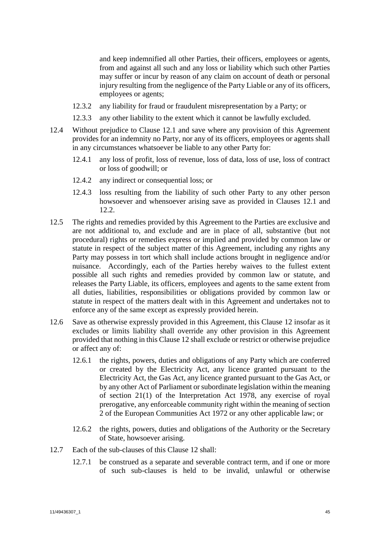and keep indemnified all other Parties, their officers, employees or agents, from and against all such and any loss or liability which such other Parties may suffer or incur by reason of any claim on account of death or personal injury resulting from the negligence of the Party Liable or any of its officers, employees or agents;

- 12.3.2 any liability for fraud or fraudulent misrepresentation by a Party; or
- 12.3.3 any other liability to the extent which it cannot be lawfully excluded.
- 12.4 Without prejudice to Clause [12.1](#page-45-2) and save where any provision of this Agreement provides for an indemnity no Party, nor any of its officers, employees or agents shall in any circumstances whatsoever be liable to any other Party for:
	- 12.4.1 any loss of profit, loss of revenue, loss of data, loss of use, loss of contract or loss of goodwill; or
	- 12.4.2 any indirect or consequential loss; or
	- 12.4.3 loss resulting from the liability of such other Party to any other person howsoever and whensoever arising save as provided in Clauses [12.1](#page-45-2) and [12.2.](#page-45-3)
- 12.5 The rights and remedies provided by this Agreement to the Parties are exclusive and are not additional to, and exclude and are in place of all, substantive (but not procedural) rights or remedies express or implied and provided by common law or statute in respect of the subject matter of this Agreement, including any rights any Party may possess in tort which shall include actions brought in negligence and/or nuisance. Accordingly, each of the Parties hereby waives to the fullest extent possible all such rights and remedies provided by common law or statute, and releases the Party Liable, its officers, employees and agents to the same extent from all duties, liabilities, responsibilities or obligations provided by common law or statute in respect of the matters dealt with in this Agreement and undertakes not to enforce any of the same except as expressly provided herein.
- 12.6 Save as otherwise expressly provided in this Agreement, this Clause [12](#page-45-0) insofar as it excludes or limits liability shall override any other provision in this Agreement provided that nothing in this Claus[e 12](#page-45-0) shall exclude or restrict or otherwise prejudice or affect any of:
	- 12.6.1 the rights, powers, duties and obligations of any Party which are conferred or created by the Electricity Act, any licence granted pursuant to the Electricity Act, the Gas Act, any licence granted pursuant to the Gas Act, or by any other Act of Parliament or subordinate legislation within the meaning of section 21(1) of the Interpretation Act 1978, any exercise of royal prerogative, any enforceable community right within the meaning of section 2 of the European Communities Act 1972 or any other applicable law; or
	- 12.6.2 the rights, powers, duties and obligations of the Authority or the Secretary of State, howsoever arising.
- 12.7 Each of the sub-clauses of this Clause [12](#page-45-0) shall:
	- 12.7.1 be construed as a separate and severable contract term, and if one or more of such sub-clauses is held to be invalid, unlawful or otherwise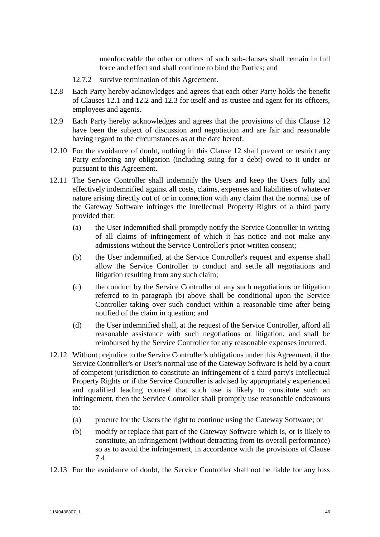unenforceable the other or others of such sub-clauses shall remain in full force and effect and shall continue to bind the Parties; and

- 12.7.2 survive termination of this Agreement.
- 12.8 Each Party hereby acknowledges and agrees that each other Party holds the benefit of Clauses [12.1](#page-45-2) and [12.2](#page-45-3) and [12.3](#page-46-4) for itself and as trustee and agent for its officers, employees and agents.
- 12.9 Each Party hereby acknowledges and agrees that the provisions of this Clause [12](#page-45-0) have been the subject of discussion and negotiation and are fair and reasonable having regard to the circumstances as at the date hereof.
- 12.10 For the avoidance of doubt, nothing in this Clause [12](#page-45-0) shall prevent or restrict any Party enforcing any obligation (including suing for a debt) owed to it under or pursuant to this Agreement.
- 12.11 The Service Controller shall indemnify the Users and keep the Users fully and effectively indemnified against all costs, claims, expenses and liabilities of whatever nature arising directly out of or in connection with any claim that the normal use of the Gateway Software infringes the Intellectual Property Rights of a third party provided that:
	- (a) the User indemnified shall promptly notify the Service Controller in writing of all claims of infringement of which it has notice and not make any admissions without the Service Controller's prior written consent;
	- (b) the User indemnified, at the Service Controller's request and expense shall allow the Service Controller to conduct and settle all negotiations and litigation resulting from any such claim;
	- (c) the conduct by the Service Controller of any such negotiations or litigation referred to in paragraph (b) above shall be conditional upon the Service Controller taking over such conduct within a reasonable time after being notified of the claim in question; and
	- (d) the User indemnified shall, at the request of the Service Controller, afford all reasonable assistance with such negotiations or litigation, and shall be reimbursed by the Service Controller for any reasonable expenses incurred.
- 12.12 Without prejudice to the Service Controller's obligations under this Agreement, if the Service Controller's or User's normal use of the Gateway Software is held by a court of competent jurisdiction to constitute an infringement of a third party's Intellectual Property Rights or if the Service Controller is advised by appropriately experienced and qualified leading counsel that such use is likely to constitute such an infringement, then the Service Controller shall promptly use reasonable endeavours to:
	- (a) procure for the Users the right to continue using the Gateway Software; or
	- (b) modify or replace that part of the Gateway Software which is, or is likely to constitute, an infringement (without detracting from its overall performance) so as to avoid the infringement, in accordance with the provisions of Clause [7.4.](#page-38-0)
- 12.13 For the avoidance of doubt, the Service Controller shall not be liable for any loss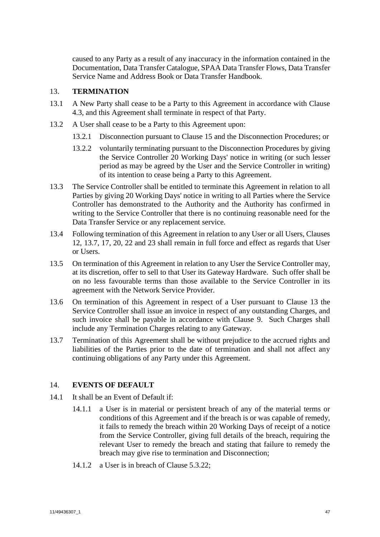caused to any Party as a result of any inaccuracy in the information contained in the Documentation, Data Transfer Catalogue, SPAA Data Transfer Flows, Data Transfer Service Name and Address Book or Data Transfer Handbook.

## <span id="page-49-1"></span>13. **TERMINATION**

- 13.1 A New Party shall cease to be a Party to this Agreement in accordance with Clause [4.3,](#page-26-0) and this Agreement shall terminate in respect of that Party.
- <span id="page-49-2"></span>13.2 A User shall cease to be a Party to this Agreement upon:
	- 13.2.1 Disconnection pursuant to Clause [15](#page-50-0) and the Disconnection Procedures; or
	- 13.2.2 voluntarily terminating pursuant to the Disconnection Procedures by giving the Service Controller 20 Working Days' notice in writing (or such lesser period as may be agreed by the User and the Service Controller in writing) of its intention to cease being a Party to this Agreement.
- 13.3 The Service Controller shall be entitled to terminate this Agreement in relation to all Parties by giving 20 Working Days' notice in writing to all Parties where the Service Controller has demonstrated to the Authority and the Authority has confirmed in writing to the Service Controller that there is no continuing reasonable need for the Data Transfer Service or any replacement service.
- 13.4 Following termination of this Agreement in relation to any User or all Users, Clauses [12,](#page-45-0) [13.7,](#page-49-0) [17,](#page-52-0) [20,](#page-58-0) [22](#page-61-0) and [23](#page-61-1) shall remain in full force and effect as regards that User or Users.
- 13.5 On termination of this Agreement in relation to any User the Service Controller may, at its discretion, offer to sell to that User its Gateway Hardware. Such offer shall be on no less favourable terms than those available to the Service Controller in its agreement with the Network Service Provider.
- 13.6 On termination of this Agreement in respect of a User pursuant to Clause [13](#page-49-1) the Service Controller shall issue an invoice in respect of any outstanding Charges, and such invoice shall be payable in accordance with Clause [9.](#page-43-5) Such Charges shall include any Termination Charges relating to any Gateway.
- <span id="page-49-0"></span>13.7 Termination of this Agreement shall be without prejudice to the accrued rights and liabilities of the Parties prior to the date of termination and shall not affect any continuing obligations of any Party under this Agreement.

## 14. **EVENTS OF DEFAULT**

- 14.1 It shall be an Event of Default if:
	- 14.1.1 a User is in material or persistent breach of any of the material terms or conditions of this Agreement and if the breach is or was capable of remedy, it fails to remedy the breach within 20 Working Days of receipt of a notice from the Service Controller, giving full details of the breach, requiring the relevant User to remedy the breach and stating that failure to remedy the breach may give rise to termination and Disconnection;
	- 14.1.2 a User is in breach of Clause [5.3.22;](#page-31-0)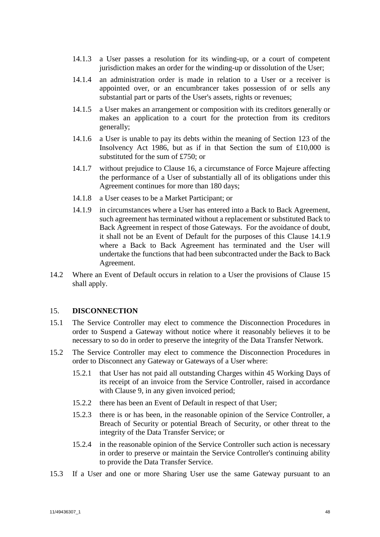- 14.1.3 a User passes a resolution for its winding-up, or a court of competent jurisdiction makes an order for the winding-up or dissolution of the User;
- 14.1.4 an administration order is made in relation to a User or a receiver is appointed over, or an encumbrancer takes possession of or sells any substantial part or parts of the User's assets, rights or revenues;
- 14.1.5 a User makes an arrangement or composition with its creditors generally or makes an application to a court for the protection from its creditors generally;
- 14.1.6 a User is unable to pay its debts within the meaning of Section 123 of the Insolvency Act 1986, but as if in that Section the sum of £10,000 is substituted for the sum of £750; or
- 14.1.7 without prejudice to Clause [16,](#page-51-0) a circumstance of Force Majeure affecting the performance of a User of substantially all of its obligations under this Agreement continues for more than 180 days;
- 14.1.8 a User ceases to be a Market Participant; or
- <span id="page-50-1"></span>14.1.9 in circumstances where a User has entered into a Back to Back Agreement, such agreement has terminated without a replacement or substituted Back to Back Agreement in respect of those Gateways. For the avoidance of doubt, it shall not be an Event of Default for the purposes of this Clause [14.1.9](#page-50-1) where a Back to Back Agreement has terminated and the User will undertake the functions that had been subcontracted under the Back to Back Agreement.
- 14.2 Where an Event of Default occurs in relation to a User the provisions of Clause [15](#page-50-0) shall apply.

## <span id="page-50-0"></span>15. **DISCONNECTION**

- 15.1 The Service Controller may elect to commence the Disconnection Procedures in order to Suspend a Gateway without notice where it reasonably believes it to be necessary to so do in order to preserve the integrity of the Data Transfer Network.
- <span id="page-50-2"></span>15.2 The Service Controller may elect to commence the Disconnection Procedures in order to Disconnect any Gateway or Gateways of a User where:
	- 15.2.1 that User has not paid all outstanding Charges within 45 Working Days of its receipt of an invoice from the Service Controller, raised in accordance with Clause [9,](#page-43-5) in any given invoiced period;
	- 15.2.2 there has been an Event of Default in respect of that User;
	- 15.2.3 there is or has been, in the reasonable opinion of the Service Controller, a Breach of Security or potential Breach of Security, or other threat to the integrity of the Data Transfer Service; or
	- 15.2.4 in the reasonable opinion of the Service Controller such action is necessary in order to preserve or maintain the Service Controller's continuing ability to provide the Data Transfer Service.
- 15.3 If a User and one or more Sharing User use the same Gateway pursuant to an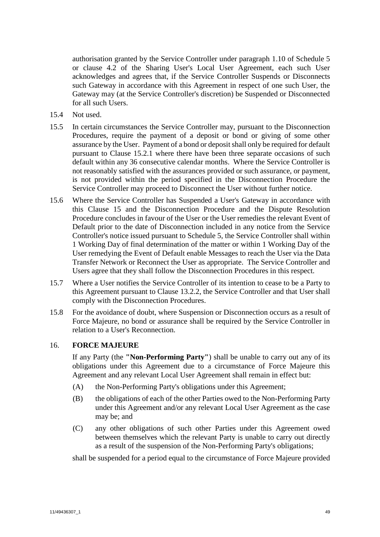authorisation granted by the Service Controller under paragraph [1.10](#page-78-1) of [Schedule 5](#page-78-0) or clause 4.2 of the Sharing User's Local User Agreement, each such User acknowledges and agrees that, if the Service Controller Suspends or Disconnects such Gateway in accordance with this Agreement in respect of one such User, the Gateway may (at the Service Controller's discretion) be Suspended or Disconnected for all such Users.

- 15.4 Not used.
- 15.5 In certain circumstances the Service Controller may, pursuant to the Disconnection Procedures, require the payment of a deposit or bond or giving of some other assurance by the User. Payment of a bond or deposit shall only be required for default pursuant to Clause [15.2.1](#page-50-2) where there have been three separate occasions of such default within any 36 consecutive calendar months. Where the Service Controller is not reasonably satisfied with the assurances provided or such assurance, or payment, is not provided within the period specified in the Disconnection Procedure the Service Controller may proceed to Disconnect the User without further notice.
- 15.6 Where the Service Controller has Suspended a User's Gateway in accordance with this Clause [15](#page-50-0) and the Disconnection Procedure and the Dispute Resolution Procedure concludes in favour of the User or the User remedies the relevant Event of Default prior to the date of Disconnection included in any notice from the Service Controller's notice issued pursuant to [Schedule 5,](#page-78-0) the Service Controller shall within 1 Working Day of final determination of the matter or within 1 Working Day of the User remedying the Event of Default enable Messages to reach the User via the Data Transfer Network or Reconnect the User as appropriate. The Service Controller and Users agree that they shall follow the Disconnection Procedures in this respect.
- 15.7 Where a User notifies the Service Controller of its intention to cease to be a Party to this Agreement pursuant to Clause [13.2.2,](#page-49-2) the Service Controller and that User shall comply with the Disconnection Procedures.
- 15.8 For the avoidance of doubt, where Suspension or Disconnection occurs as a result of Force Majeure, no bond or assurance shall be required by the Service Controller in relation to a User's Reconnection.

# <span id="page-51-0"></span>16. **FORCE MAJEURE**

If any Party (the **"Non-Performing Party"**) shall be unable to carry out any of its obligations under this Agreement due to a circumstance of Force Majeure this Agreement and any relevant Local User Agreement shall remain in effect but:

- (A) the Non-Performing Party's obligations under this Agreement;
- (B) the obligations of each of the other Parties owed to the Non-Performing Party under this Agreement and/or any relevant Local User Agreement as the case may be; and
- (C) any other obligations of such other Parties under this Agreement owed between themselves which the relevant Party is unable to carry out directly as a result of the suspension of the Non-Performing Party's obligations;

shall be suspended for a period equal to the circumstance of Force Majeure provided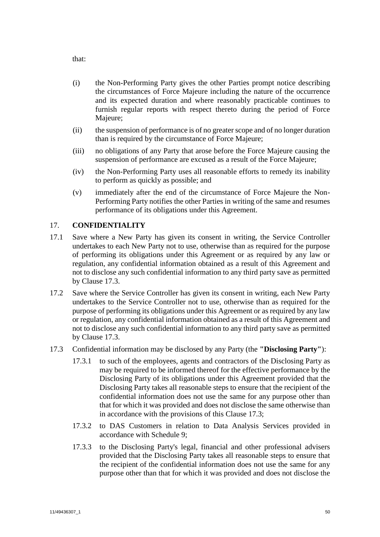that:

- (i) the Non-Performing Party gives the other Parties prompt notice describing the circumstances of Force Majeure including the nature of the occurrence and its expected duration and where reasonably practicable continues to furnish regular reports with respect thereto during the period of Force Majeure;
- (ii) the suspension of performance is of no greaterscope and of no longer duration than is required by the circumstance of Force Majeure;
- (iii) no obligations of any Party that arose before the Force Majeure causing the suspension of performance are excused as a result of the Force Majeure;
- (iv) the Non-Performing Party uses all reasonable efforts to remedy its inability to perform as quickly as possible; and
- (v) immediately after the end of the circumstance of Force Majeure the Non-Performing Party notifies the other Parties in writing of the same and resumes performance of its obligations under this Agreement.

# <span id="page-52-0"></span>17. **CONFIDENTIALITY**

- 17.1 Save where a New Party has given its consent in writing, the Service Controller undertakes to each New Party not to use, otherwise than as required for the purpose of performing its obligations under this Agreement or as required by any law or regulation, any confidential information obtained as a result of this Agreement and not to disclose any such confidential information to any third party save as permitted by Clause [17.3.](#page-52-1)
- 17.2 Save where the Service Controller has given its consent in writing, each New Party undertakes to the Service Controller not to use, otherwise than as required for the purpose of performing its obligations under this Agreement or as required by any law or regulation, any confidential information obtained as a result of this Agreement and not to disclose any such confidential information to any third party save as permitted by Clause [17.3.](#page-52-1)
- <span id="page-52-1"></span>17.3 Confidential information may be disclosed by any Party (the **"Disclosing Party"**):
	- 17.3.1 to such of the employees, agents and contractors of the Disclosing Party as may be required to be informed thereof for the effective performance by the Disclosing Party of its obligations under this Agreement provided that the Disclosing Party takes all reasonable steps to ensure that the recipient of the confidential information does not use the same for any purpose other than that for which it was provided and does not disclose the same otherwise than in accordance with the provisions of this Clause [17.3;](#page-52-1)
	- 17.3.2 to DAS Customers in relation to Data Analysis Services provided in accordance with [Schedule 9;](#page-98-0)
	- 17.3.3 to the Disclosing Party's legal, financial and other professional advisers provided that the Disclosing Party takes all reasonable steps to ensure that the recipient of the confidential information does not use the same for any purpose other than that for which it was provided and does not disclose the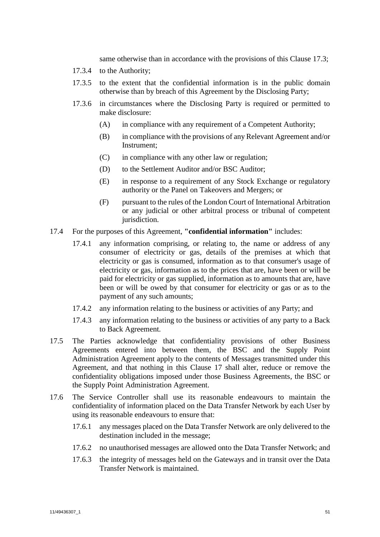same otherwise than in accordance with the provisions of this Clause [17.3;](#page-52-1)

- 17.3.4 to the Authority;
- 17.3.5 to the extent that the confidential information is in the public domain otherwise than by breach of this Agreement by the Disclosing Party;
- 17.3.6 in circumstances where the Disclosing Party is required or permitted to make disclosure:
	- (A) in compliance with any requirement of a Competent Authority;
	- (B) in compliance with the provisions of any Relevant Agreement and/or Instrument;
	- (C) in compliance with any other law or regulation;
	- (D) to the Settlement Auditor and/or BSC Auditor;
	- (E) in response to a requirement of any Stock Exchange or regulatory authority or the Panel on Takeovers and Mergers; or
	- (F) pursuant to the rules of the London Court of International Arbitration or any judicial or other arbitral process or tribunal of competent jurisdiction.
- 17.4 For the purposes of this Agreement, **"confidential information"** includes:
	- 17.4.1 any information comprising, or relating to, the name or address of any consumer of electricity or gas, details of the premises at which that electricity or gas is consumed, information as to that consumer's usage of electricity or gas, information as to the prices that are, have been or will be paid for electricity or gas supplied, information as to amounts that are, have been or will be owed by that consumer for electricity or gas or as to the payment of any such amounts;
	- 17.4.2 any information relating to the business or activities of any Party; and
	- 17.4.3 any information relating to the business or activities of any party to a Back to Back Agreement.
- 17.5 The Parties acknowledge that confidentiality provisions of other Business Agreements entered into between them, the BSC and the Supply Point Administration Agreement apply to the contents of Messages transmitted under this Agreement, and that nothing in this Clause [17](#page-52-0) shall alter, reduce or remove the confidentiality obligations imposed under those Business Agreements, the BSC or the Supply Point Administration Agreement.
- 17.6 The Service Controller shall use its reasonable endeavours to maintain the confidentiality of information placed on the Data Transfer Network by each User by using its reasonable endeavours to ensure that:
	- 17.6.1 any messages placed on the Data Transfer Network are only delivered to the destination included in the message;
	- 17.6.2 no unauthorised messages are allowed onto the Data Transfer Network; and
	- 17.6.3 the integrity of messages held on the Gateways and in transit over the Data Transfer Network is maintained.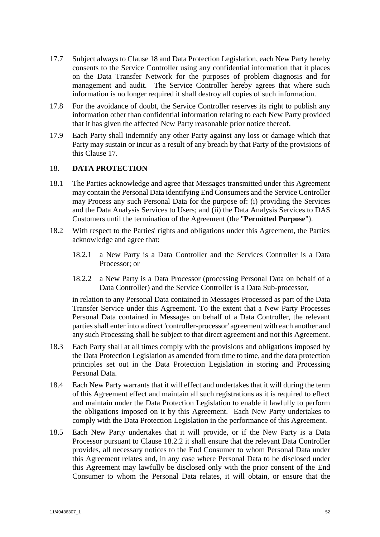- 17.7 Subject always to Clause [18](#page-54-0) and Data Protection Legislation, each New Party hereby consents to the Service Controller using any confidential information that it places on the Data Transfer Network for the purposes of problem diagnosis and for management and audit. The Service Controller hereby agrees that where such information is no longer required it shall destroy all copies of such information.
- 17.8 For the avoidance of doubt, the Service Controller reserves its right to publish any information other than confidential information relating to each New Party provided that it has given the affected New Party reasonable prior notice thereof.
- 17.9 Each Party shall indemnify any other Party against any loss or damage which that Party may sustain or incur as a result of any breach by that Party of the provisions of this Clause 17.

## <span id="page-54-0"></span>18. **DATA PROTECTION**

- 18.1 The Parties acknowledge and agree that Messages transmitted under this Agreement may contain the Personal Data identifying End Consumers and the Service Controller may Process any such Personal Data for the purpose of: (i) providing the Services and the Data Analysis Services to Users; and (ii) the Data Analysis Services to DAS Customers until the termination of the Agreement (the "**Permitted Purpose**").
- 18.2 With respect to the Parties' rights and obligations under this Agreement, the Parties acknowledge and agree that:
	- 18.2.1 a New Party is a Data Controller and the Services Controller is a Data Processor; or
	- 18.2.2 a New Party is a Data Processor (processing Personal Data on behalf of a Data Controller) and the Service Controller is a Data Sub-processor,

<span id="page-54-1"></span>in relation to any Personal Data contained in Messages Processed as part of the Data Transfer Service under this Agreement. To the extent that a New Party Processes Personal Data contained in Messages on behalf of a Data Controller, the relevant parties shall enter into a direct 'controller-processor' agreement with each another and any such Processing shall be subject to that direct agreement and not this Agreement.

- 18.3 Each Party shall at all times comply with the provisions and obligations imposed by the Data Protection Legislation as amended from time to time, and the data protection principles set out in the Data Protection Legislation in storing and Processing Personal Data.
- 18.4 Each New Party warrants that it will effect and undertakes that it will during the term of this Agreement effect and maintain all such registrations as it is required to effect and maintain under the Data Protection Legislation to enable it lawfully to perform the obligations imposed on it by this Agreement. Each New Party undertakes to comply with the Data Protection Legislation in the performance of this Agreement.
- 18.5 Each New Party undertakes that it will provide, or if the New Party is a Data Processor pursuant to Clause [18.2.2](#page-54-1) it shall ensure that the relevant Data Controller provides, all necessary notices to the End Consumer to whom Personal Data under this Agreement relates and, in any case where Personal Data to be disclosed under this Agreement may lawfully be disclosed only with the prior consent of the End Consumer to whom the Personal Data relates, it will obtain, or ensure that the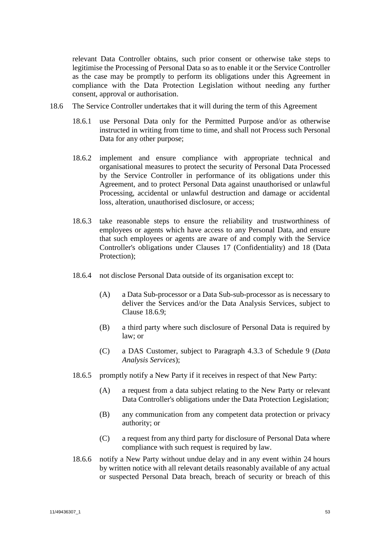relevant Data Controller obtains, such prior consent or otherwise take steps to legitimise the Processing of Personal Data so as to enable it or the Service Controller as the case may be promptly to perform its obligations under this Agreement in compliance with the Data Protection Legislation without needing any further consent, approval or authorisation.

- 18.6 The Service Controller undertakes that it will during the term of this Agreement
	- 18.6.1 use Personal Data only for the Permitted Purpose and/or as otherwise instructed in writing from time to time, and shall not Process such Personal Data for any other purpose;
	- 18.6.2 implement and ensure compliance with appropriate technical and organisational measures to protect the security of Personal Data Processed by the Service Controller in performance of its obligations under this Agreement, and to protect Personal Data against unauthorised or unlawful Processing, accidental or unlawful destruction and damage or accidental loss, alteration, unauthorised disclosure, or access;
	- 18.6.3 take reasonable steps to ensure the reliability and trustworthiness of employees or agents which have access to any Personal Data, and ensure that such employees or agents are aware of and comply with the Service Controller's obligations under Clauses [17](#page-52-0) (Confidentiality) and [18](#page-54-0) (Data Protection);
	- 18.6.4 not disclose Personal Data outside of its organisation except to:
		- (A) a Data Sub-processor or a Data Sub-sub-processor as is necessary to deliver the Services and/or the Data Analysis Services, subject to Clause [18.6.9;](#page-56-0)
		- (B) a third party where such disclosure of Personal Data is required by law; or
		- (C) a DAS Customer, subject to Paragraph [4.3.3](#page-104-0) of Schedule 9 (*Data Analysis Services*);
	- 18.6.5 promptly notify a New Party if it receives in respect of that New Party:
		- (A) a request from a data subject relating to the New Party or relevant Data Controller's obligations under the Data Protection Legislation;
		- (B) any communication from any competent data protection or privacy authority; or
		- (C) a request from any third party for disclosure of Personal Data where compliance with such request is required by law.
	- 18.6.6 notify a New Party without undue delay and in any event within 24 hours by written notice with all relevant details reasonably available of any actual or suspected Personal Data breach, breach of security or breach of this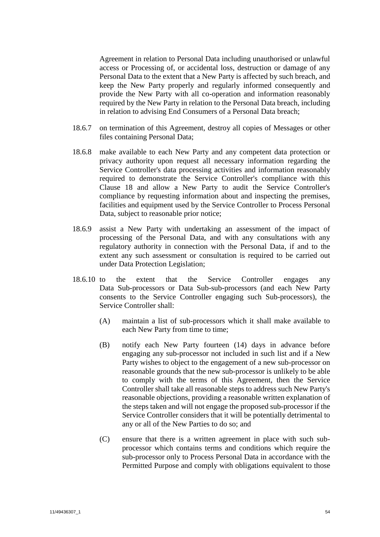Agreement in relation to Personal Data including unauthorised or unlawful access or Processing of, or accidental loss, destruction or damage of any Personal Data to the extent that a New Party is affected by such breach, and keep the New Party properly and regularly informed consequently and provide the New Party with all co-operation and information reasonably required by the New Party in relation to the Personal Data breach, including in relation to advising End Consumers of a Personal Data breach;

- 18.6.7 on termination of this Agreement, destroy all copies of Messages or other files containing Personal Data;
- 18.6.8 make available to each New Party and any competent data protection or privacy authority upon request all necessary information regarding the Service Controller's data processing activities and information reasonably required to demonstrate the Service Controller's compliance with this Clause [18](#page-54-0) and allow a New Party to audit the Service Controller's compliance by requesting information about and inspecting the premises, facilities and equipment used by the Service Controller to Process Personal Data, subject to reasonable prior notice;
- <span id="page-56-0"></span>18.6.9 assist a New Party with undertaking an assessment of the impact of processing of the Personal Data, and with any consultations with any regulatory authority in connection with the Personal Data, if and to the extent any such assessment or consultation is required to be carried out under Data Protection Legislation;
- <span id="page-56-1"></span>18.6.10 to the extent that the Service Controller engages any Data Sub-processors or Data Sub-sub-processors (and each New Party consents to the Service Controller engaging such Sub-processors), the Service Controller shall:
	- (A) maintain a list of sub-processors which it shall make available to each New Party from time to time;
	- (B) notify each New Party fourteen (14) days in advance before engaging any sub-processor not included in such list and if a New Party wishes to object to the engagement of a new sub-processor on reasonable grounds that the new sub-processor is unlikely to be able to comply with the terms of this Agreement, then the Service Controller shall take all reasonable steps to address such New Party's reasonable objections, providing a reasonable written explanation of the steps taken and will not engage the proposed sub-processor if the Service Controller considers that it will be potentially detrimental to any or all of the New Parties to do so; and
	- (C) ensure that there is a written agreement in place with such subprocessor which contains terms and conditions which require the sub-processor only to Process Personal Data in accordance with the Permitted Purpose and comply with obligations equivalent to those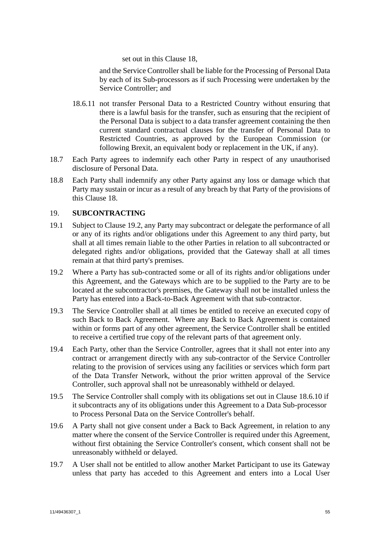set out in this Clause 18,

and the Service Controller shall be liable for the Processing of Personal Data by each of its Sub-processors as if such Processing were undertaken by the Service Controller; and

- 18.6.11 not transfer Personal Data to a Restricted Country without ensuring that there is a lawful basis for the transfer, such as ensuring that the recipient of the Personal Data is subject to a data transfer agreement containing the then current standard contractual clauses for the transfer of Personal Data to Restricted Countries, as approved by the European Commission (or following Brexit, an equivalent body or replacement in the UK, if any).
- 18.7 Each Party agrees to indemnify each other Party in respect of any unauthorised disclosure of Personal Data.
- 18.8 Each Party shall indemnify any other Party against any loss or damage which that Party may sustain or incur as a result of any breach by that Party of the provisions of this Clause 18.

## 19. **SUBCONTRACTING**

- 19.1 Subject to Clause [19.2,](#page-57-0) any Party may subcontract or delegate the performance of all or any of its rights and/or obligations under this Agreement to any third party, but shall at all times remain liable to the other Parties in relation to all subcontracted or delegated rights and/or obligations, provided that the Gateway shall at all times remain at that third party's premises.
- <span id="page-57-0"></span>19.2 Where a Party has sub-contracted some or all of its rights and/or obligations under this Agreement, and the Gateways which are to be supplied to the Party are to be located at the subcontractor's premises, the Gateway shall not be installed unless the Party has entered into a Back-to-Back Agreement with that sub-contractor.
- 19.3 The Service Controller shall at all times be entitled to receive an executed copy of such Back to Back Agreement. Where any Back to Back Agreement is contained within or forms part of any other agreement, the Service Controller shall be entitled to receive a certified true copy of the relevant parts of that agreement only.
- 19.4 Each Party, other than the Service Controller, agrees that it shall not enter into any contract or arrangement directly with any sub-contractor of the Service Controller relating to the provision of services using any facilities or services which form part of the Data Transfer Network, without the prior written approval of the Service Controller, such approval shall not be unreasonably withheld or delayed.
- 19.5 The Service Controller shall comply with its obligations set out in Clause [18.6.10](#page-56-1) if it subcontracts any of its obligations under this Agreement to a Data Sub-processor to Process Personal Data on the Service Controller's behalf.
- 19.6 A Party shall not give consent under a Back to Back Agreement, in relation to any matter where the consent of the Service Controller is required under this Agreement, without first obtaining the Service Controller's consent, which consent shall not be unreasonably withheld or delayed.
- 19.7 A User shall not be entitled to allow another Market Participant to use its Gateway unless that party has acceded to this Agreement and enters into a Local User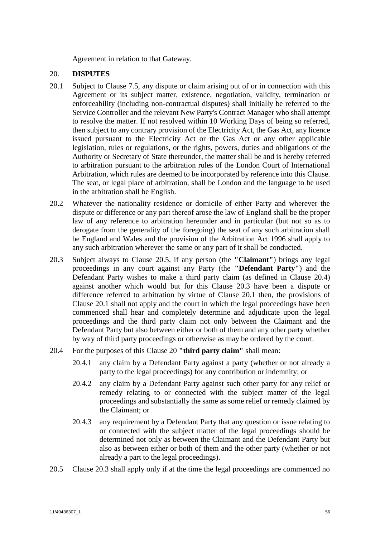Agreement in relation to that Gateway.

## <span id="page-58-0"></span>20. **DISPUTES**

- <span id="page-58-4"></span>20.1 Subject to Clause [7.5,](#page-41-3) any dispute or claim arising out of or in connection with this Agreement or its subject matter, existence, negotiation, validity, termination or enforceability (including non-contractual disputes) shall initially be referred to the Service Controller and the relevant New Party's Contract Manager who shall attempt to resolve the matter. If not resolved within 10 Working Days of being so referred, then subject to any contrary provision of the Electricity Act, the Gas Act, any licence issued pursuant to the Electricity Act or the Gas Act or any other applicable legislation, rules or regulations, or the rights, powers, duties and obligations of the Authority or Secretary of State thereunder, the matter shall be and is hereby referred to arbitration pursuant to the arbitration rules of the London Court of International Arbitration, which rules are deemed to be incorporated by reference into this Clause. The seat, or legal place of arbitration, shall be London and the language to be used in the arbitration shall be English.
- 20.2 Whatever the nationality residence or domicile of either Party and wherever the dispute or difference or any part thereof arose the law of England shall be the proper law of any reference to arbitration hereunder and in particular (but not so as to derogate from the generality of the foregoing) the seat of any such arbitration shall be England and Wales and the provision of the Arbitration Act 1996 shall apply to any such arbitration wherever the same or any part of it shall be conducted.
- <span id="page-58-3"></span>20.3 Subject always to Clause [20.5,](#page-58-1) if any person (the **"Claimant"**) brings any legal proceedings in any court against any Party (the **"Defendant Party"**) and the Defendant Party wishes to make a third party claim (as defined in Clause [20.4\)](#page-58-2) against another which would but for this Clause [20.3](#page-58-3) have been a dispute or difference referred to arbitration by virtue of Clause [20.1](#page-58-4) then, the provisions of Clause [20.1](#page-58-4) shall not apply and the court in which the legal proceedings have been commenced shall hear and completely determine and adjudicate upon the legal proceedings and the third party claim not only between the Claimant and the Defendant Party but also between either or both of them and any other party whether by way of third party proceedings or otherwise as may be ordered by the court.
- <span id="page-58-2"></span>20.4 For the purposes of this Clause [20](#page-58-0) **"third party claim"** shall mean:
	- 20.4.1 any claim by a Defendant Party against a party (whether or not already a party to the legal proceedings) for any contribution or indemnity; or
	- 20.4.2 any claim by a Defendant Party against such other party for any relief or remedy relating to or connected with the subject matter of the legal proceedings and substantially the same as some relief or remedy claimed by the Claimant; or
	- 20.4.3 any requirement by a Defendant Party that any question or issue relating to or connected with the subject matter of the legal proceedings should be determined not only as between the Claimant and the Defendant Party but also as between either or both of them and the other party (whether or not already a part to the legal proceedings).
- <span id="page-58-1"></span>20.5 Clause [20.3](#page-58-3) shall apply only if at the time the legal proceedings are commenced no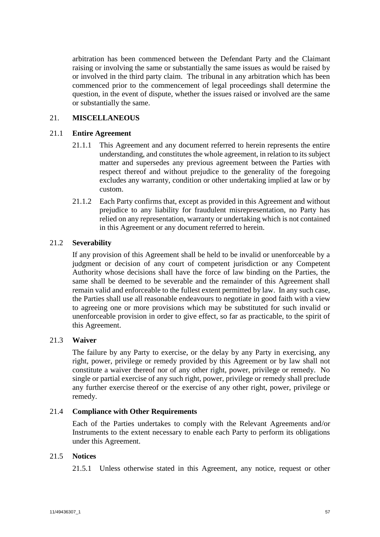arbitration has been commenced between the Defendant Party and the Claimant raising or involving the same or substantially the same issues as would be raised by or involved in the third party claim. The tribunal in any arbitration which has been commenced prior to the commencement of legal proceedings shall determine the question, in the event of dispute, whether the issues raised or involved are the same or substantially the same.

# 21. **MISCELLANEOUS**

## 21.1 **Entire Agreement**

- 21.1.1 This Agreement and any document referred to herein represents the entire understanding, and constitutes the whole agreement, in relation to its subject matter and supersedes any previous agreement between the Parties with respect thereof and without prejudice to the generality of the foregoing excludes any warranty, condition or other undertaking implied at law or by custom.
- 21.1.2 Each Party confirms that, except as provided in this Agreement and without prejudice to any liability for fraudulent misrepresentation, no Party has relied on any representation, warranty or undertaking which is not contained in this Agreement or any document referred to herein.

# 21.2 **Severability**

If any provision of this Agreement shall be held to be invalid or unenforceable by a judgment or decision of any court of competent jurisdiction or any Competent Authority whose decisions shall have the force of law binding on the Parties, the same shall be deemed to be severable and the remainder of this Agreement shall remain valid and enforceable to the fullest extent permitted by law. In any such case, the Parties shall use all reasonable endeavours to negotiate in good faith with a view to agreeing one or more provisions which may be substituted for such invalid or unenforceable provision in order to give effect, so far as practicable, to the spirit of this Agreement.

## 21.3 **Waiver**

The failure by any Party to exercise, or the delay by any Party in exercising, any right, power, privilege or remedy provided by this Agreement or by law shall not constitute a waiver thereof nor of any other right, power, privilege or remedy. No single or partial exercise of any such right, power, privilege or remedy shall preclude any further exercise thereof or the exercise of any other right, power, privilege or remedy.

## 21.4 **Compliance with Other Requirements**

Each of the Parties undertakes to comply with the Relevant Agreements and/or Instruments to the extent necessary to enable each Party to perform its obligations under this Agreement.

# <span id="page-59-0"></span>21.5 **Notices**

21.5.1 Unless otherwise stated in this Agreement, any notice, request or other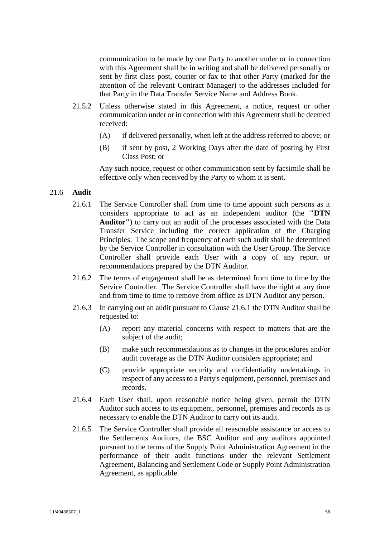communication to be made by one Party to another under or in connection with this Agreement shall be in writing and shall be delivered personally or sent by first class post, courier or fax to that other Party (marked for the attention of the relevant Contract Manager) to the addresses included for that Party in the Data Transfer Service Name and Address Book.

- 21.5.2 Unless otherwise stated in this Agreement, a notice, request or other communication under or in connection with this Agreement shall be deemed received:
	- (A) if delivered personally, when left at the address referred to above; or
	- (B) if sent by post, 2 Working Days after the date of posting by First Class Post; or

Any such notice, request or other communication sent by facsimile shall be effective only when received by the Party to whom it is sent.

#### <span id="page-60-1"></span><span id="page-60-0"></span>21.6 **Audit**

- 21.6.1 The Service Controller shall from time to time appoint such persons as it considers appropriate to act as an independent auditor (the **"DTN Auditor"**) to carry out an audit of the processes associated with the Data Transfer Service including the correct application of the Charging Principles. The scope and frequency of each such audit shall be determined by the Service Controller in consultation with the User Group. The Service Controller shall provide each User with a copy of any report or recommendations prepared by the DTN Auditor.
- 21.6.2 The terms of engagement shall be as determined from time to time by the Service Controller. The Service Controller shall have the right at any time and from time to time to remove from office as DTN Auditor any person.
- 21.6.3 In carrying out an audit pursuant to Clause [21.6.1](#page-60-1) the DTN Auditor shall be requested to:
	- (A) report any material concerns with respect to matters that are the subject of the audit;
	- (B) make such recommendations as to changes in the procedures and/or audit coverage as the DTN Auditor considers appropriate; and
	- (C) provide appropriate security and confidentiality undertakings in respect of any access to a Party's equipment, personnel, premises and records.
- 21.6.4 Each User shall, upon reasonable notice being given, permit the DTN Auditor such access to its equipment, personnel, premises and records as is necessary to enable the DTN Auditor to carry out its audit.
- 21.6.5 The Service Controller shall provide all reasonable assistance or access to the Settlements Auditors, the BSC Auditor and any auditors appointed pursuant to the terms of the Supply Point Administration Agreement in the performance of their audit functions under the relevant Settlement Agreement, Balancing and Settlement Code or Supply Point Administration Agreement, as applicable.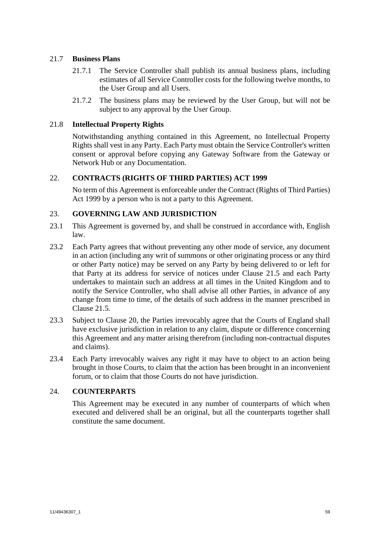# 21.7 **Business Plans**

- 21.7.1 The Service Controller shall publish its annual business plans, including estimates of all Service Controller costs for the following twelve months, to the User Group and all Users.
- 21.7.2 The business plans may be reviewed by the User Group, but will not be subject to any approval by the User Group.

# 21.8 **Intellectual Property Rights**

Notwithstanding anything contained in this Agreement, no Intellectual Property Rights shall vest in any Party. Each Party must obtain the Service Controller's written consent or approval before copying any Gateway Software from the Gateway or Network Hub or any Documentation.

# <span id="page-61-0"></span>22. **CONTRACTS (RIGHTS OF THIRD PARTIES) ACT 1999**

No term of this Agreement is enforceable under the Contract (Rights of Third Parties) Act 1999 by a person who is not a party to this Agreement.

## <span id="page-61-1"></span>23. **GOVERNING LAW AND JURISDICTION**

- 23.1 This Agreement is governed by, and shall be construed in accordance with, English law.
- 23.2 Each Party agrees that without preventing any other mode of service, any document in an action (including any writ of summons or other originating process or any third or other Party notice) may be served on any Party by being delivered to or left for that Party at its address for service of notices under Clause [21.5](#page-59-0) and each Party undertakes to maintain such an address at all times in the United Kingdom and to notify the Service Controller, who shall advise all other Parties, in advance of any change from time to time, of the details of such address in the manner prescribed in Clause [21.5.](#page-59-0)
- 23.3 Subject to Clause [20,](#page-58-0) the Parties irrevocably agree that the Courts of England shall have exclusive jurisdiction in relation to any claim, dispute or difference concerning this Agreement and any matter arising therefrom (including non-contractual disputes and claims).
- 23.4 Each Party irrevocably waives any right it may have to object to an action being brought in those Courts, to claim that the action has been brought in an inconvenient forum, or to claim that those Courts do not have jurisdiction.

## 24. **COUNTERPARTS**

This Agreement may be executed in any number of counterparts of which when executed and delivered shall be an original, but all the counterparts together shall constitute the same document.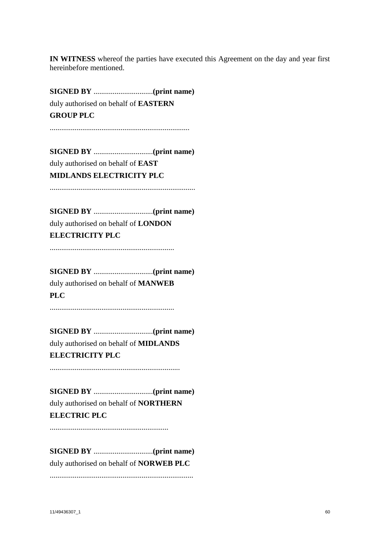**IN WITNESS** whereof the parties have executed this Agreement on the day and year first hereinbefore mentioned.

**SIGNED BY** ...............................**(print name)** duly authorised on behalf of **EASTERN GROUP PLC**

.........................................................................

**SIGNED BY** ...............................**(print name)** duly authorised on behalf of **EAST MIDLANDS ELECTRICITY PLC**

............................................................................

**SIGNED BY** ...............................**(print name)** duly authorised on behalf of **LONDON ELECTRICITY PLC**

.................................................................

**SIGNED BY** ...............................**(print name)** duly authorised on behalf of **MANWEB PLC**

.................................................................

**SIGNED BY** ...............................**(print name)** duly authorised on behalf of **MIDLANDS ELECTRICITY PLC**

....................................................................

**SIGNED BY** ...............................**(print name)** duly authorised on behalf of **NORTHERN ELECTRIC PLC**

..............................................................

**SIGNED BY** ...............................**(print name)** duly authorised on behalf of **NORWEB PLC** ...........................................................................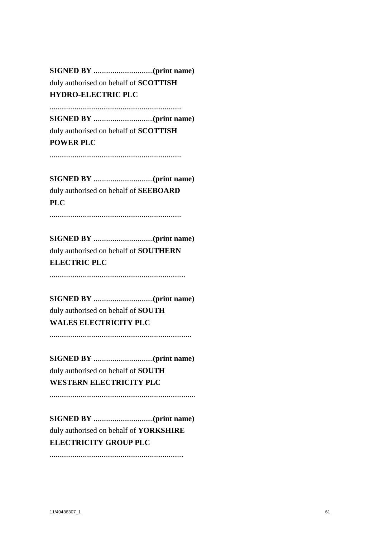**SIGNED BY** ...............................**(print name)** duly authorised on behalf of **SCOTTISH HYDRO-ELECTRIC PLC**

.....................................................................

**SIGNED BY** ...............................**(print name)** duly authorised on behalf of **SCOTTISH POWER PLC**

.....................................................................

**SIGNED BY** ...............................**(print name)** duly authorised on behalf of **SEEBOARD PLC**

.....................................................................

**SIGNED BY** ...............................**(print name)** duly authorised on behalf of **SOUTHERN ELECTRIC PLC**

.......................................................................

**SIGNED BY** ...............................**(print name)** duly authorised on behalf of **SOUTH WALES ELECTRICITY PLC**

..........................................................................

**SIGNED BY** ...............................**(print name)** duly authorised on behalf of **SOUTH WESTERN ELECTRICITY PLC**

............................................................................

**SIGNED BY** ...............................**(print name)** duly authorised on behalf of **YORKSHIRE ELECTRICITY GROUP PLC**

......................................................................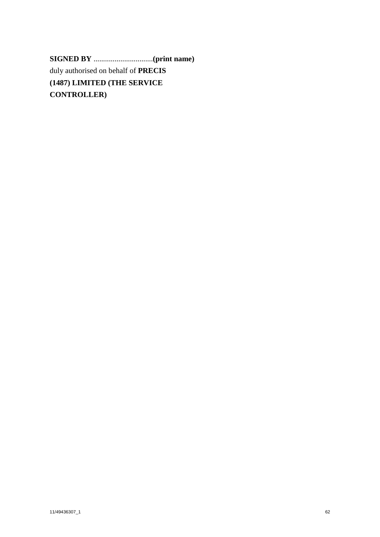**SIGNED BY** ...............................**(print name)** duly authorised on behalf of **PRECIS (1487) LIMITED (THE SERVICE CONTROLLER)**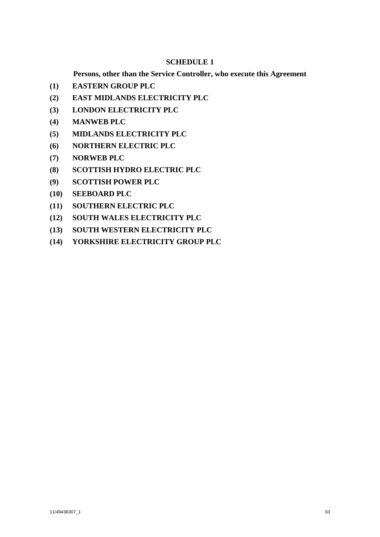# **SCHEDULE 1**

**Persons, other than the Service Controller, who execute this Agreement**

- <span id="page-65-0"></span>**(1) EASTERN GROUP PLC**
- **(2) EAST MIDLANDS ELECTRICITY PLC**
- **(3) LONDON ELECTRICITY PLC**
- **(4) MANWEB PLC**
- **(5) MIDLANDS ELECTRICITY PLC**
- **(6) NORTHERN ELECTRIC PLC**
- **(7) NORWEB PLC**
- **(8) SCOTTISH HYDRO ELECTRIC PLC**
- **(9) SCOTTISH POWER PLC**
- **(10) SEEBOARD PLC**
- **(11) SOUTHERN ELECTRIC PLC**
- **(12) SOUTH WALES ELECTRICITY PLC**
- **(13) SOUTH WESTERN ELECTRICITY PLC**
- **(14) YORKSHIRE ELECTRICITY GROUP PLC**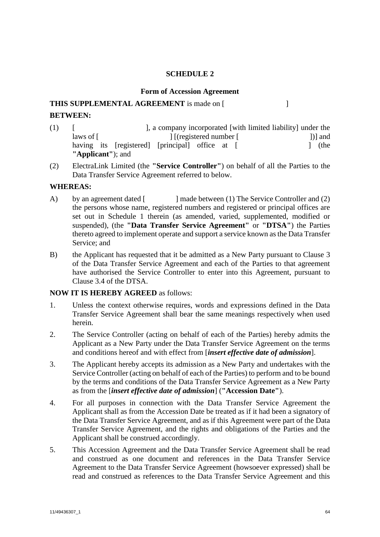#### **SCHEDULE 2**

#### **Form of Accession Agreement**

# **THIS SUPPLEMENTAL AGREEMENT** is made on [ **BETWEEN:**

- (1) [ ], a company incorporated [with limited liability] under the laws of [ ] [(registered number [ ] ]] and having its [registered] [principal] office at [ ] (the **"Applicant"**); and
- (2) ElectraLink Limited (the **"Service Controller"**) on behalf of all the Parties to the Data Transfer Service Agreement referred to below.

# **WHEREAS:**

- A) by an agreement dated [ ] made between (1) The Service Controller and (2) the persons whose name, registered numbers and registered or principal offices are set out in [Schedule 1](#page-65-0) therein (as amended, varied, supplemented, modified or suspended), (the **"Data Transfer Service Agreement"** or **"DTSA"**) the Parties thereto agreed to implement operate and support a service known as the Data Transfer Service; and
- B) the Applicant has requested that it be admitted as a New Party pursuant to Clause [3](#page-25-0) of the Data Transfer Service Agreement and each of the Parties to that agreement have authorised the Service Controller to enter into this Agreement, pursuant to Clause [3.4](#page-25-1) of the DTSA.

# **NOW IT IS HEREBY AGREED** as follows:

- 1. Unless the context otherwise requires, words and expressions defined in the Data Transfer Service Agreement shall bear the same meanings respectively when used herein.
- 2. The Service Controller (acting on behalf of each of the Parties) hereby admits the Applicant as a New Party under the Data Transfer Service Agreement on the terms and conditions hereof and with effect from [*insert effective date of admission*].
- 3. The Applicant hereby accepts its admission as a New Party and undertakes with the Service Controller (acting on behalf of each of the Parties) to perform and to be bound by the terms and conditions of the Data Transfer Service Agreement as a New Party as from the [*insert effective date of admission*] (**"Accession Date"**).
- 4. For all purposes in connection with the Data Transfer Service Agreement the Applicant shall as from the Accession Date be treated as if it had been a signatory of the Data Transfer Service Agreement, and as if this Agreement were part of the Data Transfer Service Agreement, and the rights and obligations of the Parties and the Applicant shall be construed accordingly.
- 5. This Accession Agreement and the Data Transfer Service Agreement shall be read and construed as one document and references in the Data Transfer Service Agreement to the Data Transfer Service Agreement (howsoever expressed) shall be read and construed as references to the Data Transfer Service Agreement and this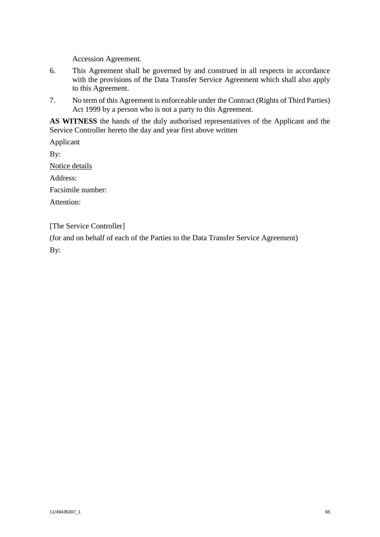Accession Agreement.

- 6. This Agreement shall be governed by and construed in all respects in accordance with the provisions of the Data Transfer Service Agreement which shall also apply to this Agreement.
- 7. No term of this Agreement is enforceable under the Contract (Rights of Third Parties) Act 1999 by a person who is not a party to this Agreement.

**AS WITNESS** the hands of the duly authorised representatives of the Applicant and the Service Controller hereto the day and year first above written

Applicant By: Notice details Address: Facsimile number: Attention:

[The Service Controller]

(for and on behalf of each of the Parties to the Data Transfer Service Agreement) By: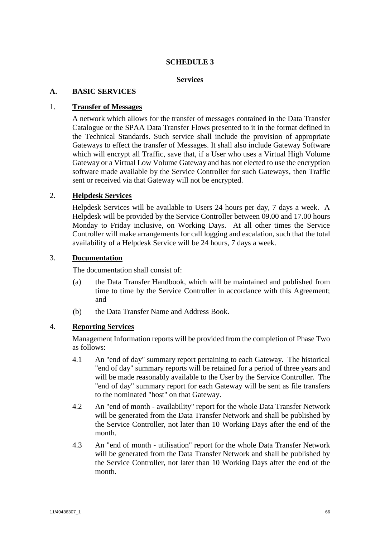# **SCHEDULE 3**

#### **Services**

## **A. BASIC SERVICES**

## 1. **Transfer of Messages**

A network which allows for the transfer of messages contained in the Data Transfer Catalogue or the SPAA Data Transfer Flows presented to it in the format defined in the Technical Standards. Such service shall include the provision of appropriate Gateways to effect the transfer of Messages. It shall also include Gateway Software which will encrypt all Traffic, save that, if a User who uses a Virtual High Volume Gateway or a Virtual Low Volume Gateway and has not elected to use the encryption software made available by the Service Controller for such Gateways, then Traffic sent or received via that Gateway will not be encrypted.

## 2. **Helpdesk Services**

Helpdesk Services will be available to Users 24 hours per day, 7 days a week. A Helpdesk will be provided by the Service Controller between 09.00 and 17.00 hours Monday to Friday inclusive, on Working Days. At all other times the Service Controller will make arrangements for call logging and escalation, such that the total availability of a Helpdesk Service will be 24 hours, 7 days a week.

## 3. **Documentation**

The documentation shall consist of:

- (a) the Data Transfer Handbook, which will be maintained and published from time to time by the Service Controller in accordance with this Agreement; and
- (b) the Data Transfer Name and Address Book.

## 4. **Reporting Services**

Management Information reports will be provided from the completion of Phase Two as follows:

- 4.1 An "end of day" summary report pertaining to each Gateway. The historical "end of day" summary reports will be retained for a period of three years and will be made reasonably available to the User by the Service Controller. The "end of day" summary report for each Gateway will be sent as file transfers to the nominated "host" on that Gateway.
- 4.2 An "end of month availability" report for the whole Data Transfer Network will be generated from the Data Transfer Network and shall be published by the Service Controller, not later than 10 Working Days after the end of the month.
- 4.3 An "end of month utilisation" report for the whole Data Transfer Network will be generated from the Data Transfer Network and shall be published by the Service Controller, not later than 10 Working Days after the end of the month.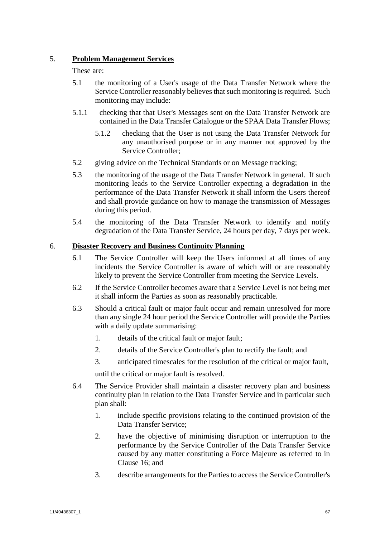# 5. **Problem Management Services**

These are:

- 5.1 the monitoring of a User's usage of the Data Transfer Network where the Service Controller reasonably believes that such monitoring is required. Such monitoring may include:
- 5.1.1 checking that that User's Messages sent on the Data Transfer Network are contained in the Data Transfer Catalogue or the SPAA Data Transfer Flows;
	- 5.1.2 checking that the User is not using the Data Transfer Network for any unauthorised purpose or in any manner not approved by the Service Controller;
- 5.2 giving advice on the Technical Standards or on Message tracking;
- 5.3 the monitoring of the usage of the Data Transfer Network in general. If such monitoring leads to the Service Controller expecting a degradation in the performance of the Data Transfer Network it shall inform the Users thereof and shall provide guidance on how to manage the transmission of Messages during this period.
- 5.4 the monitoring of the Data Transfer Network to identify and notify degradation of the Data Transfer Service, 24 hours per day, 7 days per week.

# 6. **Disaster Recovery and Business Continuity Planning**

- 6.1 The Service Controller will keep the Users informed at all times of any incidents the Service Controller is aware of which will or are reasonably likely to prevent the Service Controller from meeting the Service Levels.
- 6.2 If the Service Controller becomes aware that a Service Level is not being met it shall inform the Parties as soon as reasonably practicable.
- 6.3 Should a critical fault or major fault occur and remain unresolved for more than any single 24 hour period the Service Controller will provide the Parties with a daily update summarising:
	- 1. details of the critical fault or major fault;
	- 2. details of the Service Controller's plan to rectify the fault; and
	- 3. anticipated timescales for the resolution of the critical or major fault,

until the critical or major fault is resolved.

- 6.4 The Service Provider shall maintain a disaster recovery plan and business continuity plan in relation to the Data Transfer Service and in particular such plan shall:
	- 1. include specific provisions relating to the continued provision of the Data Transfer Service;
	- 2. have the objective of minimising disruption or interruption to the performance by the Service Controller of the Data Transfer Service caused by any matter constituting a Force Majeure as referred to in Clause [16;](#page-51-0) and
	- 3. describe arrangements for the Parties to access the Service Controller's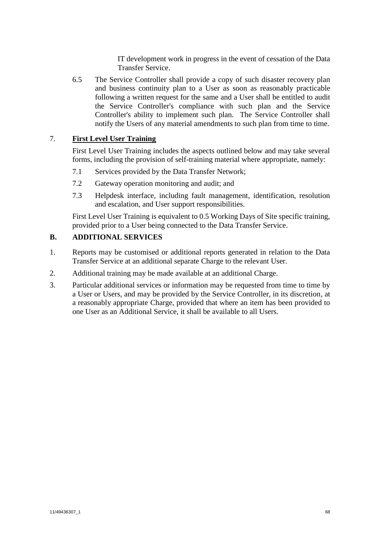IT development work in progress in the event of cessation of the Data Transfer Service.

6.5 The Service Controller shall provide a copy of such disaster recovery plan and business continuity plan to a User as soon as reasonably practicable following a written request for the same and a User shall be entitled to audit the Service Controller's compliance with such plan and the Service Controller's ability to implement such plan. The Service Controller shall notify the Users of any material amendments to such plan from time to time.

# 7. **First Level User Training**

First Level User Training includes the aspects outlined below and may take several forms, including the provision of self-training material where appropriate, namely:

- 7.1 Services provided by the Data Transfer Network;
- 7.2 Gateway operation monitoring and audit; and
- 7.3 Helpdesk interface, including fault management, identification, resolution and escalation, and User support responsibilities.

First Level User Training is equivalent to 0.5 Working Days of Site specific training, provided prior to a User being connected to the Data Transfer Service.

# **B. ADDITIONAL SERVICES**

- 1. Reports may be customised or additional reports generated in relation to the Data Transfer Service at an additional separate Charge to the relevant User.
- 2. Additional training may be made available at an additional Charge.
- 3. Particular additional services or information may be requested from time to time by a User or Users, and may be provided by the Service Controller, in its discretion, at a reasonably appropriate Charge, provided that where an item has been provided to one User as an Additional Service, it shall be available to all Users.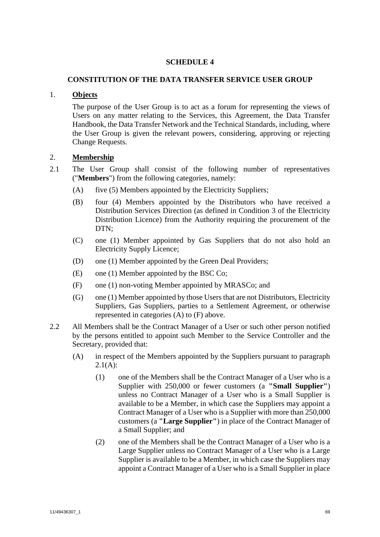# **SCHEDULE 4**

# <span id="page-71-0"></span>**CONSTITUTION OF THE DATA TRANSFER SERVICE USER GROUP**

# 1. **Objects**

The purpose of the User Group is to act as a forum for representing the views of Users on any matter relating to the Services, this Agreement, the Data Transfer Handbook, the Data Transfer Network and the Technical Standards, including, where the User Group is given the relevant powers, considering, approving or rejecting Change Requests.

# 2. **Membership**

- <span id="page-71-1"></span>2.1 The User Group shall consist of the following number of representatives ("**Members**") from the following categories, namely:
	- (A) five (5) Members appointed by the Electricity Suppliers;
	- (B) four (4) Members appointed by the Distributors who have received a Distribution Services Direction (as defined in Condition 3 of the Electricity Distribution Licence) from the Authority requiring the procurement of the DTN;
	- (C) one (1) Member appointed by Gas Suppliers that do not also hold an Electricity Supply Licence;
	- (D) one (1) Member appointed by the Green Deal Providers;
	- (E) one (1) Member appointed by the BSC Co;
	- (F) one (1) non-voting Member appointed by MRASCo; and
	- (G) one (1) Member appointed by those Users that are not Distributors, Electricity Suppliers, Gas Suppliers, parties to a Settlement Agreement, or otherwise represented in categories (A) to (F) above.
- 2.2 All Members shall be the Contract Manager of a User or such other person notified by the persons entitled to appoint such Member to the Service Controller and the Secretary, provided that:
	- (A) in respect of the Members appointed by the Suppliers pursuant to paragraph  $2.1(A)$ :
		- (1) one of the Members shall be the Contract Manager of a User who is a Supplier with 250,000 or fewer customers (a **"Small Supplier"**) unless no Contract Manager of a User who is a Small Supplier is available to be a Member, in which case the Suppliers may appoint a Contract Manager of a User who is a Supplier with more than 250,000 customers (a **"Large Supplier"**) in place of the Contract Manager of a Small Supplier; and
		- (2) one of the Members shall be the Contract Manager of a User who is a Large Supplier unless no Contract Manager of a User who is a Large Supplier is available to be a Member, in which case the Suppliers may appoint a Contract Manager of a User who is a Small Supplier in place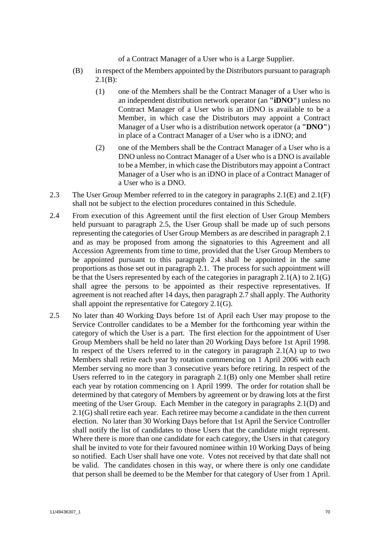of a Contract Manager of a User who is a Large Supplier.

- (B) in respect of the Members appointed by the Distributors pursuant to paragraph  $2.1(B)$ :
	- (1) one of the Members shall be the Contract Manager of a User who is an independent distribution network operator (an **"iDNO"**) unless no Contract Manager of a User who is an iDNO is available to be a Member, in which case the Distributors may appoint a Contract Manager of a User who is a distribution network operator (a **"DNO"**) in place of a Contract Manager of a User who is a iDNO; and
	- (2) one of the Members shall be the Contract Manager of a User who is a DNO unless no Contract Manager of a User who is a DNO is available to be a Member, in which case the Distributors may appoint a Contract Manager of a User who is an iDNO in place of a Contract Manager of a User who is a DNO.
- 2.3 The User Group Member referred to in the category in paragraphs [2.1\(E\)](#page-71-1) and [2.1\(F\)](#page-71-2) shall not be subject to the election procedures contained in this Schedule.
- 2.4 From execution of this Agreement until the first election of User Group Members held pursuant to paragraph [2.5,](#page-72-0) the User Group shall be made up of such persons representing the categories of User Group Members as are described in paragraph [2.1](#page-71-3) and as may be proposed from among the signatories to this Agreement and all Accession Agreements from time to time, provided that the User Group Members to be appointed pursuant to this paragraph 2.4 shall be appointed in the same proportions as those set out in paragraph 2.1. The process for such appointment will be that the Users represented by each of the categories in paragraph [2.1\(A\)](#page-71-4) t[o 2.1\(G\)](#page-71-5) shall agree the persons to be appointed as their respective representatives. If agreement is not reached after 14 days, then paragrap[h 2.7](#page-73-0) shall apply. The Authority shall appoint the representative for Category 2.1(G).
- <span id="page-72-0"></span>2.5 No later than 40 Working Days before 1st of April each User may propose to the Service Controller candidates to be a Member for the forthcoming year within the category of which the User is a part. The first election for the appointment of User Group Members shall be held no later than 20 Working Days before 1st April 1998. In respect of the Users referred to in the category in paragraph  $2.1(A)$  up to two Members shall retire each year by rotation commencing on 1 April 2006 with each Member serving no more than 3 consecutive years before retiring. In respect of the Users referred to in the category in paragraph [2.1\(B\)](#page-71-0) only one Member shall retire each year by rotation commencing on 1 April 1999. The order for rotation shall be determined by that category of Members by agreement or by drawing lots at the first meeting of the User Group. Each Member in the category in paragraphs [2.1\(D\)](#page-71-6) and [2.1\(G\)](#page-71-5) shall retire each year. Each retiree may become a candidate in the then current election. No later than 30 Working Days before that 1st April the Service Controller shall notify the list of candidates to those Users that the candidate might represent. Where there is more than one candidate for each category, the Users in that category shall be invited to vote for their favoured nominee within 10 Working Days of being so notified. Each User shall have one vote. Votes not received by that date shall not be valid. The candidates chosen in this way, or where there is only one candidate that person shall be deemed to be the Member for that category of User from 1 April.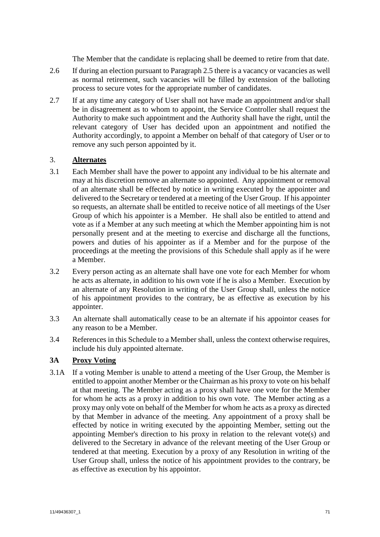The Member that the candidate is replacing shall be deemed to retire from that date.

- 2.6 If during an election pursuant to Paragrap[h 2.5](#page-72-0) there is a vacancy or vacancies as well as normal retirement, such vacancies will be filled by extension of the balloting process to secure votes for the appropriate number of candidates.
- <span id="page-73-0"></span>2.7 If at any time any category of User shall not have made an appointment and/or shall be in disagreement as to whom to appoint, the Service Controller shall request the Authority to make such appointment and the Authority shall have the right, until the relevant category of User has decided upon an appointment and notified the Authority accordingly, to appoint a Member on behalf of that category of User or to remove any such person appointed by it.

# <span id="page-73-1"></span>3. **Alternates**

- 3.1 Each Member shall have the power to appoint any individual to be his alternate and may at his discretion remove an alternate so appointed. Any appointment or removal of an alternate shall be effected by notice in writing executed by the appointer and delivered to the Secretary or tendered at a meeting of the User Group. If his appointer so requests, an alternate shall be entitled to receive notice of all meetings of the User Group of which his appointer is a Member. He shall also be entitled to attend and vote as if a Member at any such meeting at which the Member appointing him is not personally present and at the meeting to exercise and discharge all the functions, powers and duties of his appointer as if a Member and for the purpose of the proceedings at the meeting the provisions of this Schedule shall apply as if he were a Member.
- 3.2 Every person acting as an alternate shall have one vote for each Member for whom he acts as alternate, in addition to his own vote if he is also a Member. Execution by an alternate of any Resolution in writing of the User Group shall, unless the notice of his appointment provides to the contrary, be as effective as execution by his appointer.
- 3.3 An alternate shall automatically cease to be an alternate if his appointor ceases for any reason to be a Member.
- 3.4 References in this Schedule to a Member shall, unless the context otherwise requires, include his duly appointed alternate.

# **3A Proxy Voting**

3.1A If a voting Member is unable to attend a meeting of the User Group, the Member is entitled to appoint another Member or the Chairman as his proxy to vote on his behalf at that meeting. The Member acting as a proxy shall have one vote for the Member for whom he acts as a proxy in addition to his own vote. The Member acting as a proxy may only vote on behalf of the Member for whom he acts as a proxy as directed by that Member in advance of the meeting. Any appointment of a proxy shall be effected by notice in writing executed by the appointing Member, setting out the appointing Member's direction to his proxy in relation to the relevant vote(s) and delivered to the Secretary in advance of the relevant meeting of the User Group or tendered at that meeting. Execution by a proxy of any Resolution in writing of the User Group shall, unless the notice of his appointment provides to the contrary, be as effective as execution by his appointor.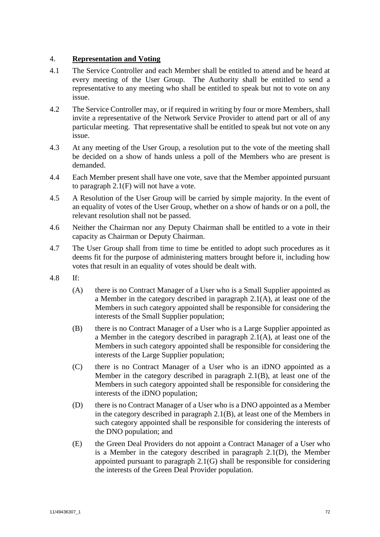# 4. **Representation and Voting**

- 4.1 The Service Controller and each Member shall be entitled to attend and be heard at every meeting of the User Group. The Authority shall be entitled to send a representative to any meeting who shall be entitled to speak but not to vote on any issue.
- 4.2 The Service Controller may, or if required in writing by four or more Members, shall invite a representative of the Network Service Provider to attend part or all of any particular meeting. That representative shall be entitled to speak but not vote on any issue.
- 4.3 At any meeting of the User Group, a resolution put to the vote of the meeting shall be decided on a show of hands unless a poll of the Members who are present is demanded.
- 4.4 Each Member present shall have one vote, save that the Member appointed pursuant to paragraph [2.1\(F\)](#page-71-2) will not have a vote.
- 4.5 A Resolution of the User Group will be carried by simple majority. In the event of an equality of votes of the User Group, whether on a show of hands or on a poll, the relevant resolution shall not be passed.
- 4.6 Neither the Chairman nor any Deputy Chairman shall be entitled to a vote in their capacity as Chairman or Deputy Chairman.
- 4.7 The User Group shall from time to time be entitled to adopt such procedures as it deems fit for the purpose of administering matters brought before it, including how votes that result in an equality of votes should be dealt with.
- 4.8 If:
	- (A) there is no Contract Manager of a User who is a Small Supplier appointed as a Member in the category described in paragraph [2.1\(A\),](#page-71-4) at least one of the Members in such category appointed shall be responsible for considering the interests of the Small Supplier population;
	- (B) there is no Contract Manager of a User who is a Large Supplier appointed as a Member in the category described in paragraph [2.1\(A\),](#page-71-4) at least one of the Members in such category appointed shall be responsible for considering the interests of the Large Supplier population;
	- (C) there is no Contract Manager of a User who is an iDNO appointed as a Member in the category described in paragraph [2.1\(B\),](#page-71-0) at least one of the Members in such category appointed shall be responsible for considering the interests of the iDNO population;
	- (D) there is no Contract Manager of a User who is a DNO appointed as a Member in the category described in paragraph [2.1\(B\),](#page-71-0) at least one of the Members in such category appointed shall be responsible for considering the interests of the DNO population; and
	- (E) the Green Deal Providers do not appoint a Contract Manager of a User who is a Member in the category described in paragraph [2.1\(D\),](#page-71-6) the Member appointed pursuant to paragraph [2.1\(G\)](#page-71-5) shall be responsible for considering the interests of the Green Deal Provider population.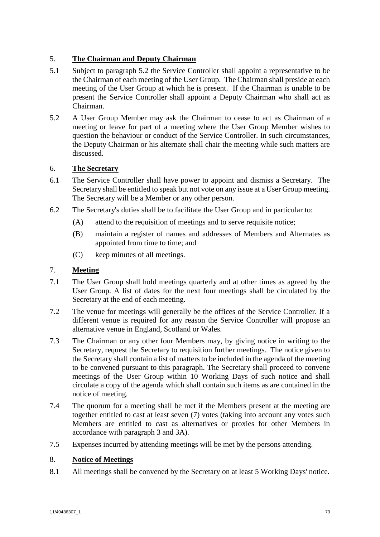# 5. **The Chairman and Deputy Chairman**

- 5.1 Subject to paragraph 5.2 the Service Controller shall appoint a representative to be the Chairman of each meeting of the User Group. The Chairman shall preside at each meeting of the User Group at which he is present. If the Chairman is unable to be present the Service Controller shall appoint a Deputy Chairman who shall act as Chairman.
- 5.2 A User Group Member may ask the Chairman to cease to act as Chairman of a meeting or leave for part of a meeting where the User Group Member wishes to question the behaviour or conduct of the Service Controller. In such circumstances, the Deputy Chairman or his alternate shall chair the meeting while such matters are discussed.

# 6. **The Secretary**

- 6.1 The Service Controller shall have power to appoint and dismiss a Secretary. The Secretary shall be entitled to speak but not vote on any issue at a User Group meeting. The Secretary will be a Member or any other person.
- 6.2 The Secretary's duties shall be to facilitate the User Group and in particular to:
	- (A) attend to the requisition of meetings and to serve requisite notice;
	- (B) maintain a register of names and addresses of Members and Alternates as appointed from time to time; and
	- (C) keep minutes of all meetings.

# 7. **Meeting**

- <span id="page-75-0"></span>7.1 The User Group shall hold meetings quarterly and at other times as agreed by the User Group. A list of dates for the next four meetings shall be circulated by the Secretary at the end of each meeting.
- 7.2 The venue for meetings will generally be the offices of the Service Controller. If a different venue is required for any reason the Service Controller will propose an alternative venue in England, Scotland or Wales.
- 7.3 The Chairman or any other four Members may, by giving notice in writing to the Secretary, request the Secretary to requisition further meetings. The notice given to the Secretary shall contain a list of matters to be included in the agenda of the meeting to be convened pursuant to this paragraph. The Secretary shall proceed to convene meetings of the User Group within 10 Working Days of such notice and shall circulate a copy of the agenda which shall contain such items as are contained in the notice of meeting.
- 7.4 The quorum for a meeting shall be met if the Members present at the meeting are together entitled to cast at least seven (7) votes (taking into account any votes such Members are entitled to cast as alternatives or proxies for other Members in accordance with paragraph [3](#page-73-1) and [3A](#page-73-1)).
- 7.5 Expenses incurred by attending meetings will be met by the persons attending.

# 8. **Notice of Meetings**

8.1 All meetings shall be convened by the Secretary on at least 5 Working Days' notice.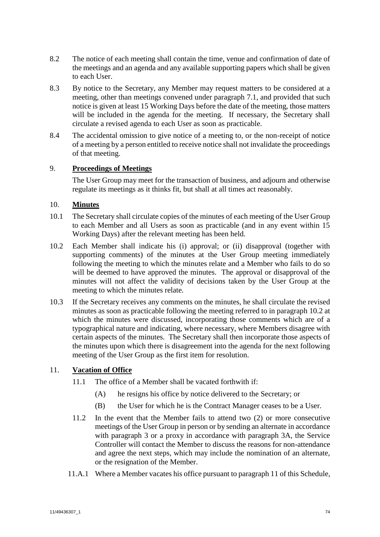- 8.2 The notice of each meeting shall contain the time, venue and confirmation of date of the meetings and an agenda and any available supporting papers which shall be given to each User.
- 8.3 By notice to the Secretary, any Member may request matters to be considered at a meeting, other than meetings convened under paragraph [7.1,](#page-75-0) and provided that such notice is given at least 15 Working Days before the date of the meeting, those matters will be included in the agenda for the meeting. If necessary, the Secretary shall circulate a revised agenda to each User as soon as practicable.
- 8.4 The accidental omission to give notice of a meeting to, or the non-receipt of notice of a meeting by a person entitled to receive notice shall not invalidate the proceedings of that meeting.

## 9. **Proceedings of Meetings**

The User Group may meet for the transaction of business, and adjourn and otherwise regulate its meetings as it thinks fit, but shall at all times act reasonably.

## 10. **Minutes**

- 10.1 The Secretary shall circulate copies of the minutes of each meeting of the User Group to each Member and all Users as soon as practicable (and in any event within 15 Working Days) after the relevant meeting has been held.
- <span id="page-76-0"></span>10.2 Each Member shall indicate his (i) approval; or (ii) disapproval (together with supporting comments) of the minutes at the User Group meeting immediately following the meeting to which the minutes relate and a Member who fails to do so will be deemed to have approved the minutes. The approval or disapproval of the minutes will not affect the validity of decisions taken by the User Group at the meeting to which the minutes relate.
- 10.3 If the Secretary receives any comments on the minutes, he shall circulate the revised minutes as soon as practicable following the meeting referred to in paragraph [10.2](#page-76-0) at which the minutes were discussed, incorporating those comments which are of a typographical nature and indicating, where necessary, where Members disagree with certain aspects of the minutes. The Secretary shall then incorporate those aspects of the minutes upon which there is disagreement into the agenda for the next following meeting of the User Group as the first item for resolution.

# <span id="page-76-1"></span>11. **Vacation of Office**

- 11.1 The office of a Member shall be vacated forthwith if:
	- (A) he resigns his office by notice delivered to the Secretary; or
	- (B) the User for which he is the Contract Manager ceases to be a User.
- 11.2 In the event that the Member fails to attend two (2) or more consecutive meetings of the User Group in person or by sending an alternate in accordance with paragraph 3 or a proxy in accordance with paragraph 3A, the Service Controller will contact the Member to discuss the reasons for non-attendance and agree the next steps, which may include the nomination of an alternate, or the resignation of the Member.
- 11.A.1 Where a Member vacates his office pursuant to paragraph [11](#page-76-1) of this Schedule,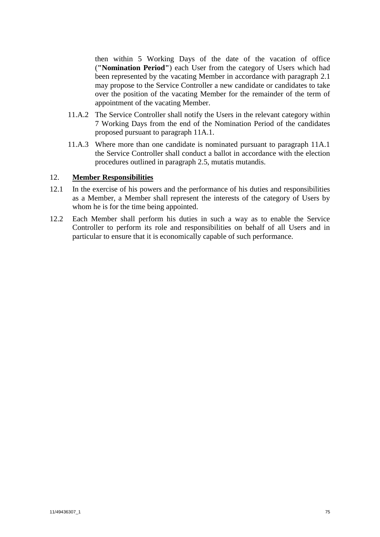then within 5 Working Days of the date of the vacation of office (**"Nomination Period"**) each User from the category of Users which had been represented by the vacating Member in accordance with paragraph [2.1](#page-71-3) may propose to the Service Controller a new candidate or candidates to take over the position of the vacating Member for the remainder of the term of appointment of the vacating Member.

- 11.A.2 The Service Controller shall notify the Users in the relevant category within 7 Working Days from the end of the Nomination Period of the candidates proposed pursuant to paragraph 11A.1.
- 11.A.3 Where more than one candidate is nominated pursuant to paragraph 11A.1 the Service Controller shall conduct a ballot in accordance with the election procedures outlined in paragraph [2.5,](#page-72-0) mutatis mutandis.

# 12. **Member Responsibilities**

- 12.1 In the exercise of his powers and the performance of his duties and responsibilities as a Member, a Member shall represent the interests of the category of Users by whom he is for the time being appointed.
- 12.2 Each Member shall perform his duties in such a way as to enable the Service Controller to perform its role and responsibilities on behalf of all Users and in particular to ensure that it is economically capable of such performance.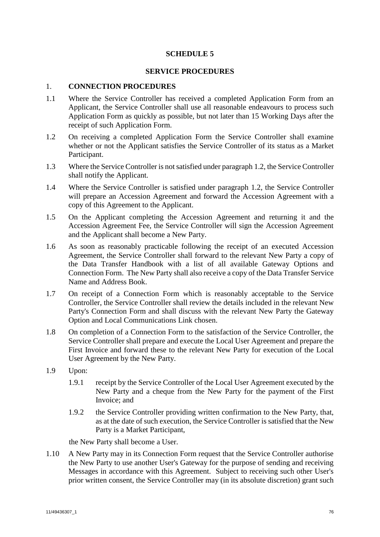# **SCHEDULE 5**

## **SERVICE PROCEDURES**

## <span id="page-78-4"></span><span id="page-78-2"></span>1. **CONNECTION PROCEDURES**

- 1.1 Where the Service Controller has received a completed Application Form from an Applicant, the Service Controller shall use all reasonable endeavours to process such Application Form as quickly as possible, but not later than 15 Working Days after the receipt of such Application Form.
- <span id="page-78-0"></span>1.2 On receiving a completed Application Form the Service Controller shall examine whether or not the Applicant satisfies the Service Controller of its status as a Market Participant.
- 1.3 Where the Service Controller is not satisfied under paragrap[h 1.2,](#page-78-0) the Service Controller shall notify the Applicant.
- 1.4 Where the Service Controller is satisfied under paragraph [1.2,](#page-78-0) the Service Controller will prepare an Accession Agreement and forward the Accession Agreement with a copy of this Agreement to the Applicant.
- 1.5 On the Applicant completing the Accession Agreement and returning it and the Accession Agreement Fee, the Service Controller will sign the Accession Agreement and the Applicant shall become a New Party.
- 1.6 As soon as reasonably practicable following the receipt of an executed Accession Agreement, the Service Controller shall forward to the relevant New Party a copy of the Data Transfer Handbook with a list of all available Gateway Options and Connection Form. The New Party shall also receive a copy of the Data Transfer Service Name and Address Book.
- 1.7 On receipt of a Connection Form which is reasonably acceptable to the Service Controller, the Service Controller shall review the details included in the relevant New Party's Connection Form and shall discuss with the relevant New Party the Gateway Option and Local Communications Link chosen.
- 1.8 On completion of a Connection Form to the satisfaction of the Service Controller, the Service Controller shall prepare and execute the Local User Agreement and prepare the First Invoice and forward these to the relevant New Party for execution of the Local User Agreement by the New Party.
- <span id="page-78-1"></span>1.9 Upon:
	- 1.9.1 receipt by the Service Controller of the Local User Agreement executed by the New Party and a cheque from the New Party for the payment of the First Invoice; and
	- 1.9.2 the Service Controller providing written confirmation to the New Party, that, as at the date of such execution, the Service Controller is satisfied that the New Party is a Market Participant,

<span id="page-78-3"></span>the New Party shall become a User.

<span id="page-78-5"></span>1.10 A New Party may in its Connection Form request that the Service Controller authorise the New Party to use another User's Gateway for the purpose of sending and receiving Messages in accordance with this Agreement. Subject to receiving such other User's prior written consent, the Service Controller may (in its absolute discretion) grant such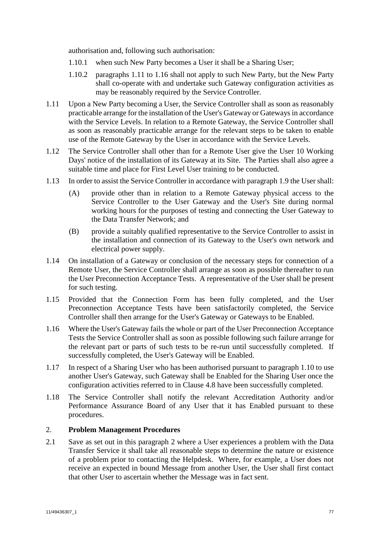authorisation and, following such authorisation:

- 1.10.1 when such New Party becomes a User it shall be a Sharing User;
- 1.10.2 paragraphs [1.11](#page-79-0) to [1.16](#page-79-1) shall not apply to such New Party, but the New Party shall co-operate with and undertake such Gateway configuration activities as may be reasonably required by the Service Controller.
- <span id="page-79-0"></span>1.11 Upon a New Party becoming a User, the Service Controller shall as soon as reasonably practicable arrange for the installation of the User's Gateway or Gateways in accordance with the Service Levels. In relation to a Remote Gateway, the Service Controller shall as soon as reasonably practicable arrange for the relevant steps to be taken to enable use of the Remote Gateway by the User in accordance with the Service Levels.
- 1.12 The Service Controller shall other than for a Remote User give the User 10 Working Days' notice of the installation of its Gateway at its Site. The Parties shall also agree a suitable time and place for First Level User training to be conducted.
- 1.13 In order to assist the Service Controller in accordance with paragraph [1.9](#page-78-1) the User shall:
	- (A) provide other than in relation to a Remote Gateway physical access to the Service Controller to the User Gateway and the User's Site during normal working hours for the purposes of testing and connecting the User Gateway to the Data Transfer Network; and
	- (B) provide a suitably qualified representative to the Service Controller to assist in the installation and connection of its Gateway to the User's own network and electrical power supply.
- 1.14 On installation of a Gateway or conclusion of the necessary steps for connection of a Remote User, the Service Controller shall arrange as soon as possible thereafter to run the User Preconnection Acceptance Tests. A representative of the User shall be present for such testing.
- 1.15 Provided that the Connection Form has been fully completed, and the User Preconnection Acceptance Tests have been satisfactorily completed, the Service Controller shall then arrange for the User's Gateway or Gateways to be Enabled.
- <span id="page-79-1"></span>1.16 Where the User's Gateway fails the whole or part of the User Preconnection Acceptance Tests the Service Controller shall as soon as possible following such failure arrange for the relevant part or parts of such tests to be re-run until successfully completed. If successfully completed, the User's Gateway will be Enabled.
- 1.17 In respect of a Sharing User who has been authorised pursuant to paragraph 1.10 to use another User's Gateway, such Gateway shall be Enabled for the Sharing User once the configuration activities referred to in Clause [4.8](#page-26-0) have been successfully completed.
- 1.18 The Service Controller shall notify the relevant Accreditation Authority and/or Performance Assurance Board of any User that it has Enabled pursuant to these procedures.

## <span id="page-79-2"></span>2. **Problem Management Procedures**

2.1 Save as set out in this paragraph [2](#page-79-2) where a User experiences a problem with the Data Transfer Service it shall take all reasonable steps to determine the nature or existence of a problem prior to contacting the Helpdesk. Where, for example, a User does not receive an expected in bound Message from another User, the User shall first contact that other User to ascertain whether the Message was in fact sent.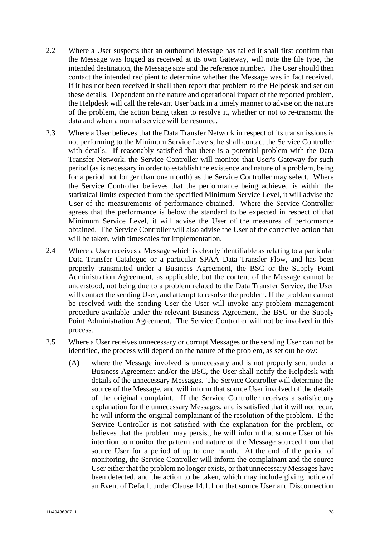- 2.2 Where a User suspects that an outbound Message has failed it shall first confirm that the Message was logged as received at its own Gateway, will note the file type, the intended destination, the Message size and the reference number. The User should then contact the intended recipient to determine whether the Message was in fact received. If it has not been received it shall then report that problem to the Helpdesk and set out these details. Dependent on the nature and operational impact of the reported problem, the Helpdesk will call the relevant User back in a timely manner to advise on the nature of the problem, the action being taken to resolve it, whether or not to re-transmit the data and when a normal service will be resumed.
- 2.3 Where a User believes that the Data Transfer Network in respect of its transmissions is not performing to the Minimum Service Levels, he shall contact the Service Controller with details. If reasonably satisfied that there is a potential problem with the Data Transfer Network, the Service Controller will monitor that User's Gateway for such period (as is necessary in order to establish the existence and nature of a problem, being for a period not longer than one month) as the Service Controller may select. Where the Service Controller believes that the performance being achieved is within the statistical limits expected from the specified Minimum Service Level, it will advise the User of the measurements of performance obtained. Where the Service Controller agrees that the performance is below the standard to be expected in respect of that Minimum Service Level, it will advise the User of the measures of performance obtained. The Service Controller will also advise the User of the corrective action that will be taken, with timescales for implementation.
- 2.4 Where a User receives a Message which is clearly identifiable as relating to a particular Data Transfer Catalogue or a particular SPAA Data Transfer Flow, and has been properly transmitted under a Business Agreement, the BSC or the Supply Point Administration Agreement, as applicable, but the content of the Message cannot be understood, not being due to a problem related to the Data Transfer Service, the User will contact the sending User, and attempt to resolve the problem. If the problem cannot be resolved with the sending User the User will invoke any problem management procedure available under the relevant Business Agreement, the BSC or the Supply Point Administration Agreement. The Service Controller will not be involved in this process.
- 2.5 Where a User receives unnecessary or corrupt Messages or the sending User can not be identified, the process will depend on the nature of the problem, as set out below:
	- (A) where the Message involved is unnecessary and is not properly sent under a Business Agreement and/or the BSC, the User shall notify the Helpdesk with details of the unnecessary Messages. The Service Controller will determine the source of the Message, and will inform that source User involved of the details of the original complaint. If the Service Controller receives a satisfactory explanation for the unnecessary Messages, and is satisfied that it will not recur, he will inform the original complainant of the resolution of the problem. If the Service Controller is not satisfied with the explanation for the problem, or believes that the problem may persist, he will inform that source User of his intention to monitor the pattern and nature of the Message sourced from that source User for a period of up to one month. At the end of the period of monitoring, the Service Controller will inform the complainant and the source User either that the problem no longer exists, or that unnecessary Messages have been detected, and the action to be taken, which may include giving notice of an Event of Default under Clause [14.1.1](#page-49-0) on that source User and Disconnection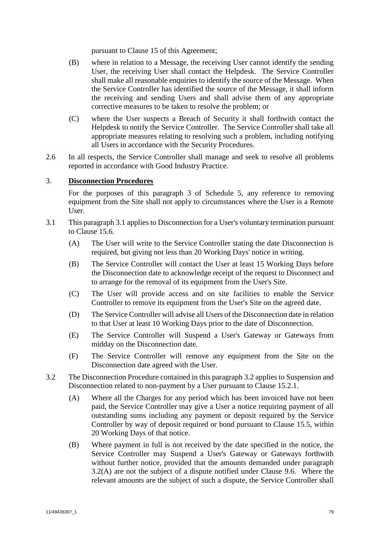pursuant to Clause [15](#page-50-0) of this Agreement;

- (B) where in relation to a Message, the receiving User cannot identify the sending User, the receiving User shall contact the Helpdesk. The Service Controller shall make all reasonable enquiries to identify the source of the Message. When the Service Controller has identified the source of the Message, it shall inform the receiving and sending Users and shall advise them of any appropriate corrective measures to be taken to resolve the problem; or
- (C) where the User suspects a Breach of Security it shall forthwith contact the Helpdesk to notify the Service Controller. The Service Controller shall take all appropriate measures relating to resolving such a problem, including notifying all Users in accordance with the Security Procedures.
- 2.6 In all respects, the Service Controller shall manage and seek to resolve all problems reported in accordance with Good Industry Practice.

# <span id="page-81-0"></span>3. **Disconnection Procedures**

For the purposes of this paragraph [3](#page-81-0) of [Schedule 5,](#page-78-2) any reference to removing equipment from the Site shall not apply to circumstances where the User is a Remote User.

- <span id="page-81-1"></span>3.1 This paragraph [3.1](#page-81-1) applies to Disconnection for a User's voluntary termination pursuant to Clause [15.6.](#page-51-0)
	- (A) The User will write to the Service Controller stating the date Disconnection is required, but giving not less than 20 Working Days' notice in writing.
	- (B) The Service Controller will contact the User at least 15 Working Days before the Disconnection date to acknowledge receipt of the request to Disconnect and to arrange for the removal of its equipment from the User's Site.
	- (C) The User will provide access and on site facilities to enable the Service Controller to remove its equipment from the User's Site on the agreed date.
	- (D) The Service Controller will advise all Users of the Disconnection date in relation to that User at least 10 Working Days prior to the date of Disconnection.
	- (E) The Service Controller will Suspend a User's Gateway or Gateways from midday on the Disconnection date.
	- (F) The Service Controller will remove any equipment from the Site on the Disconnection date agreed with the User.
- <span id="page-81-4"></span><span id="page-81-3"></span><span id="page-81-2"></span>3.2 The Disconnection Procedure contained in this paragraph [3.2](#page-81-2) applies to Suspension and Disconnection related to non-payment by a User pursuant to Clause [15.2.1.](#page-50-1)
	- (A) Where all the Charges for any period which has been invoiced have not been paid, the Service Controller may give a User a notice requiring payment of all outstanding sums including any payment or deposit required by the Service Controller by way of deposit required or bond pursuant to Clause [15.5,](#page-51-1) within 20 Working Days of that notice.
	- (B) Where payment in full is not received by the date specified in the notice, the Service Controller may Suspend a User's Gateway or Gateways forthwith without further notice, provided that the amounts demanded under paragraph [3.2\(A\)](#page-81-3) are not the subject of a dispute notified under Clause [9.6.](#page-43-0) Where the relevant amounts are the subject of such a dispute, the Service Controller shall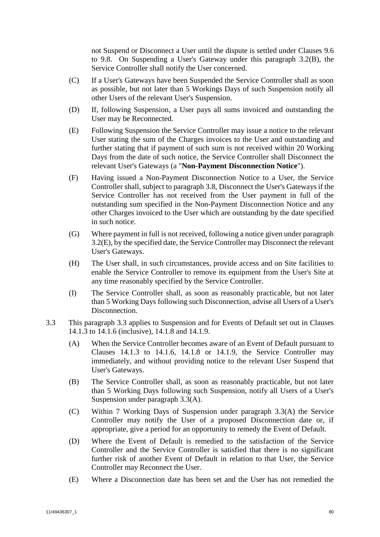not Suspend or Disconnect a User until the dispute is settled under Clauses [9.6](#page-43-0) to [9.8.](#page-44-0) On Suspending a User's Gateway under this paragraph [3.2\(B\),](#page-81-4) the Service Controller shall notify the User concerned.

- (C) If a User's Gateways have been Suspended the Service Controller shall as soon as possible, but not later than 5 Workings Days of such Suspension notify all other Users of the relevant User's Suspension.
- (D) If, following Suspension, a User pays all sums invoiced and outstanding the User may be Reconnected.
- <span id="page-82-0"></span>(E) Following Suspension the Service Controller may issue a notice to the relevant User stating the sum of the Charges invoices to the User and outstanding and further stating that if payment of such sum is not received within 20 Working Days from the date of such notice, the Service Controller shall Disconnect the relevant User's Gateways (a "**Non-Payment Disconnection Notice**").
- (F) Having issued a Non-Payment Disconnection Notice to a User, the Service Controller shall, subject to paragraph [3.8,](#page-84-0) Disconnect the User's Gateways if the Service Controller has not received from the User payment in full of the outstanding sum specified in the Non-Payment Disconnection Notice and any other Charges invoiced to the User which are outstanding by the date specified in such notice.
- (G) Where payment in full is not received, following a notice given under paragraph [3.2\(E\),](#page-82-0) by the specified date, the Service Controller may Disconnect the relevant User's Gateways.
- (H) The User shall, in such circumstances, provide access and on Site facilities to enable the Service Controller to remove its equipment from the User's Site at any time reasonably specified by the Service Controller.
- (I) The Service Controller shall, as soon as reasonably practicable, but not later than 5 Working Days following such Disconnection, advise all Users of a User's Disconnection.
- <span id="page-82-3"></span><span id="page-82-2"></span><span id="page-82-1"></span>3.3 This paragraph [3.3](#page-82-1) applies to Suspension and for Events of Default set out in Clauses [14.1.3](#page-50-2) to [14.1.6](#page-50-3) (inclusive), [14.1.8](#page-50-4) and [14.1.9.](#page-50-5)
	- (A) When the Service Controller becomes aware of an Event of Default pursuant to Clauses [14.1.3](#page-50-2) to [14.1.6,](#page-50-3) [14.1.8](#page-50-4) or [14.1.9,](#page-50-5) the Service Controller may immediately, and without providing notice to the relevant User Suspend that User's Gateways.
	- (B) The Service Controller shall, as soon as reasonably practicable, but not later than 5 Working Days following such Suspension, notify all Users of a User's Suspension under paragraph [3.3\(A\).](#page-82-2)
	- (C) Within 7 Working Days of Suspension under paragraph [3.3\(A\)](#page-82-2) the Service Controller may notify the User of a proposed Disconnection date or, if appropriate, give a period for an opportunity to remedy the Event of Default.
	- (D) Where the Event of Default is remedied to the satisfaction of the Service Controller and the Service Controller is satisfied that there is no significant further risk of another Event of Default in relation to that User, the Service Controller may Reconnect the User.
	- (E) Where a Disconnection date has been set and the User has not remedied the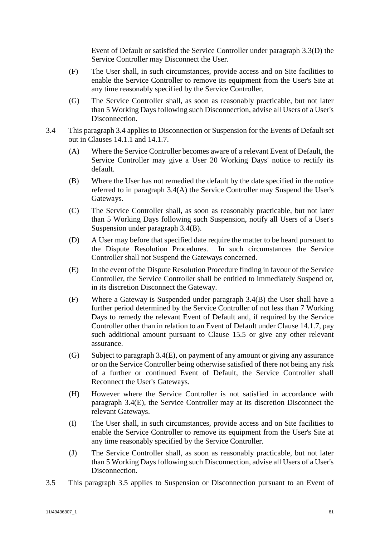Event of Default or satisfied the Service Controller under paragraph [3.3\(D\)](#page-82-3) the Service Controller may Disconnect the User.

- (F) The User shall, in such circumstances, provide access and on Site facilities to enable the Service Controller to remove its equipment from the User's Site at any time reasonably specified by the Service Controller.
- (G) The Service Controller shall, as soon as reasonably practicable, but not later than 5 Working Days following such Disconnection, advise all Users of a User's Disconnection.
- <span id="page-83-3"></span><span id="page-83-2"></span><span id="page-83-1"></span><span id="page-83-0"></span>3.4 This paragraph [3.4](#page-83-0) applies to Disconnection or Suspension for the Events of Default set out in Clauses [14.1.1](#page-49-0) and [14.1.7.](#page-50-6)
	- (A) Where the Service Controller becomes aware of a relevant Event of Default, the Service Controller may give a User 20 Working Days' notice to rectify its default.
	- (B) Where the User has not remedied the default by the date specified in the notice referred to in paragraph [3.4\(A\)](#page-83-1) the Service Controller may Suspend the User's Gateways.
	- (C) The Service Controller shall, as soon as reasonably practicable, but not later than 5 Working Days following such Suspension, notify all Users of a User's Suspension under paragraph [3.4\(B\).](#page-83-2)
	- (D) A User may before that specified date require the matter to be heard pursuant to the Dispute Resolution Procedures. In such circumstances the Service Controller shall not Suspend the Gateways concerned.
	- (E) In the event of the Dispute Resolution Procedure finding in favour of the Service Controller, the Service Controller shall be entitled to immediately Suspend or, in its discretion Disconnect the Gateway.
	- (F) Where a Gateway is Suspended under paragraph [3.4\(B\)](#page-83-2) the User shall have a further period determined by the Service Controller of not less than 7 Working Days to remedy the relevant Event of Default and, if required by the Service Controller other than in relation to an Event of Default under Clause [14.1.7,](#page-50-6) pay such additional amount pursuant to Clause [15.5](#page-51-1) or give any other relevant assurance.
	- (G) Subject to paragraph [3.4\(E\),](#page-83-3) on payment of any amount or giving any assurance or on the Service Controller being otherwise satisfied of there not being any risk of a further or continued Event of Default, the Service Controller shall Reconnect the User's Gateways.
	- (H) However where the Service Controller is not satisfied in accordance with paragraph [3.4\(E\),](#page-83-3) the Service Controller may at its discretion Disconnect the relevant Gateways.
	- (I) The User shall, in such circumstances, provide access and on Site facilities to enable the Service Controller to remove its equipment from the User's Site at any time reasonably specified by the Service Controller.
	- (J) The Service Controller shall, as soon as reasonably practicable, but not later than 5 Working Days following such Disconnection, advise all Users of a User's Disconnection.
- <span id="page-83-4"></span>3.5 This paragraph [3.5](#page-83-4) applies to Suspension or Disconnection pursuant to an Event of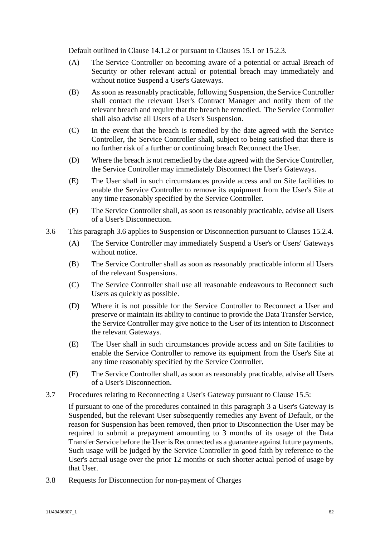Default outlined in Clause [14.1.2](#page-49-1) or pursuant to Clauses [15.1](#page-50-7) or [15.2.3.](#page-50-8)

- (A) The Service Controller on becoming aware of a potential or actual Breach of Security or other relevant actual or potential breach may immediately and without notice Suspend a User's Gateways.
- (B) As soon as reasonably practicable, following Suspension, the Service Controller shall contact the relevant User's Contract Manager and notify them of the relevant breach and require that the breach be remedied. The Service Controller shall also advise all Users of a User's Suspension.
- (C) In the event that the breach is remedied by the date agreed with the Service Controller, the Service Controller shall, subject to being satisfied that there is no further risk of a further or continuing breach Reconnect the User.
- (D) Where the breach is not remedied by the date agreed with the Service Controller, the Service Controller may immediately Disconnect the User's Gateways.
- (E) The User shall in such circumstances provide access and on Site facilities to enable the Service Controller to remove its equipment from the User's Site at any time reasonably specified by the Service Controller.
- (F) The Service Controller shall, as soon as reasonably practicable, advise all Users of a User's Disconnection.
- <span id="page-84-1"></span>3.6 This paragraph [3.6](#page-84-1) applies to Suspension or Disconnection pursuant to Clauses [15.2.4.](#page-50-9)
	- (A) The Service Controller may immediately Suspend a User's or Users' Gateways without notice.
	- (B) The Service Controller shall as soon as reasonably practicable inform all Users of the relevant Suspensions.
	- (C) The Service Controller shall use all reasonable endeavours to Reconnect such Users as quickly as possible.
	- (D) Where it is not possible for the Service Controller to Reconnect a User and preserve or maintain its ability to continue to provide the Data Transfer Service, the Service Controller may give notice to the User of its intention to Disconnect the relevant Gateways.
	- (E) The User shall in such circumstances provide access and on Site facilities to enable the Service Controller to remove its equipment from the User's Site at any time reasonably specified by the Service Controller.
	- (F) The Service Controller shall, as soon as reasonably practicable, advise all Users of a User's Disconnection.
- 3.7 Procedures relating to Reconnecting a User's Gateway pursuant to Clause [15.5:](#page-51-1)

If pursuant to one of the procedures contained in this paragraph [3](#page-81-0) a User's Gateway is Suspended, but the relevant User subsequently remedies any Event of Default, or the reason for Suspension has been removed, then prior to Disconnection the User may be required to submit a prepayment amounting to 3 months of its usage of the Data Transfer Service before the User is Reconnected as a guarantee against future payments. Such usage will be judged by the Service Controller in good faith by reference to the User's actual usage over the prior 12 months or such shorter actual period of usage by that User.

<span id="page-84-0"></span>3.8 Requests for Disconnection for non-payment of Charges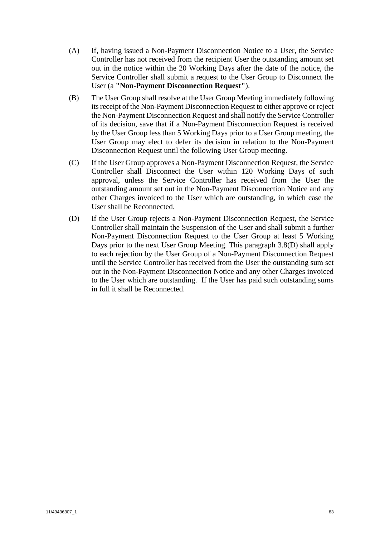- (A) If, having issued a Non-Payment Disconnection Notice to a User, the Service Controller has not received from the recipient User the outstanding amount set out in the notice within the 20 Working Days after the date of the notice, the Service Controller shall submit a request to the User Group to Disconnect the User (a **"Non-Payment Disconnection Request"**).
- (B) The User Group shall resolve at the User Group Meeting immediately following its receipt of the Non-Payment Disconnection Request to either approve or reject the Non-Payment Disconnection Request and shall notify the Service Controller of its decision, save that if a Non-Payment Disconnection Request is received by the User Group less than 5 Working Days prior to a User Group meeting, the User Group may elect to defer its decision in relation to the Non-Payment Disconnection Request until the following User Group meeting.
- (C) If the User Group approves a Non-Payment Disconnection Request, the Service Controller shall Disconnect the User within 120 Working Days of such approval, unless the Service Controller has received from the User the outstanding amount set out in the Non-Payment Disconnection Notice and any other Charges invoiced to the User which are outstanding, in which case the User shall be Reconnected.
- <span id="page-85-0"></span>(D) If the User Group rejects a Non-Payment Disconnection Request, the Service Controller shall maintain the Suspension of the User and shall submit a further Non-Payment Disconnection Request to the User Group at least 5 Working Days prior to the next User Group Meeting. This paragraph [3.8](#page-84-0)[\(D\)](#page-85-0) shall apply to each rejection by the User Group of a Non-Payment Disconnection Request until the Service Controller has received from the User the outstanding sum set out in the Non-Payment Disconnection Notice and any other Charges invoiced to the User which are outstanding. If the User has paid such outstanding sums in full it shall be Reconnected.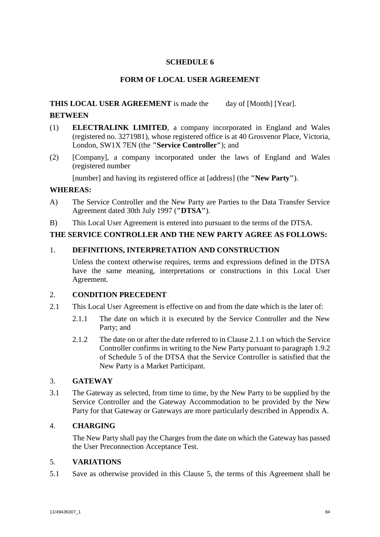# **SCHEDULE 6**

# **FORM OF LOCAL USER AGREEMENT**

# **THIS LOCAL USER AGREEMENT** is made the day of [Month] [Year].

# **BETWEEN**

- (1) **ELECTRALINK LIMITED**, a company incorporated in England and Wales (registered no. 3271981), whose registered office is at 40 Grosvenor Place, Victoria, London, SW1X 7EN (the **"Service Controller"**); and
- (2) [Company], a company incorporated under the laws of England and Wales (registered number

[number] and having its registered office at [address] (the **"New Party"**).

# **WHEREAS:**

- A) The Service Controller and the New Party are Parties to the Data Transfer Service Agreement dated 30th July 1997 (**"DTSA"**).
- B) This Local User Agreement is entered into pursuant to the terms of the DTSA.

## **THE SERVICE CONTROLLER AND THE NEW PARTY AGREE AS FOLLOWS:**

### 1. **DEFINITIONS, INTERPRETATION AND CONSTRUCTION**

Unless the context otherwise requires, terms and expressions defined in the DTSA have the same meaning, interpretations or constructions in this Local User Agreement.

## 2. **CONDITION PRECEDENT**

- 2.1 This Local User Agreement is effective on and from the date which is the later of:
	- 2.1.1 The date on which it is executed by the Service Controller and the New Party; and
	- 2.1.2 The date on or after the date referred to in Clause 2.1.1 on which the Service Controller confirms in writing to the New Party pursuant to paragraph [1.9.2](#page-78-3) of [Schedule 5](#page-78-4) of the DTSA that the Service Controller is satisfied that the New Party is a Market Participant.

## 3. **GATEWAY**

3.1 The Gateway as selected, from time to time, by the New Party to be supplied by the Service Controller and the Gateway Accommodation to be provided by the New Party for that Gateway or Gateways are more particularly described in Appendix A.

## 4. **CHARGING**

The New Party shall pay the Charges from the date on which the Gateway has passed the User Preconnection Acceptance Test.

## 5. **VARIATIONS**

5.1 Save as otherwise provided in this Clause [5,](#page-27-0) the terms of this Agreement shall be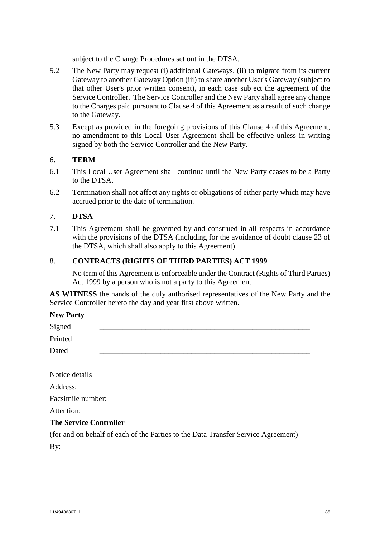subject to the Change Procedures set out in the DTSA.

- 5.2 The New Party may request (i) additional Gateways, (ii) to migrate from its current Gateway to another Gateway Option (iii) to share another User's Gateway (subject to that other User's prior written consent), in each case subject the agreement of the Service Controller. The Service Controller and the New Party shall agree any change to the Charges paid pursuant to Clause [4](#page-25-0) of this Agreement as a result of such change to the Gateway.
- 5.3 Except as provided in the foregoing provisions of this Clause [4](#page-25-0) of this Agreement, no amendment to this Local User Agreement shall be effective unless in writing signed by both the Service Controller and the New Party.

## 6. **TERM**

- 6.1 This Local User Agreement shall continue until the New Party ceases to be a Party to the DTSA.
- 6.2 Termination shall not affect any rights or obligations of either party which may have accrued prior to the date of termination.

### 7. **DTSA**

7.1 This Agreement shall be governed by and construed in all respects in accordance with the provisions of the DTSA (including for the avoidance of doubt clause [23](#page-61-0) of the DTSA, which shall also apply to this Agreement).

### 8. **CONTRACTS (RIGHTS OF THIRD PARTIES) ACT 1999**

No term of this Agreement is enforceable under the Contract (Rights of Third Parties) Act 1999 by a person who is not a party to this Agreement.

**AS WITNESS** the hands of the duly authorised representatives of the New Party and the Service Controller hereto the day and year first above written.

#### **New Party**

| Signed  |  |
|---------|--|
| Printed |  |
| Dated   |  |

Notice details

Address:

Facsimile number:

Attention:

#### **The Service Controller**

(for and on behalf of each of the Parties to the Data Transfer Service Agreement)

By: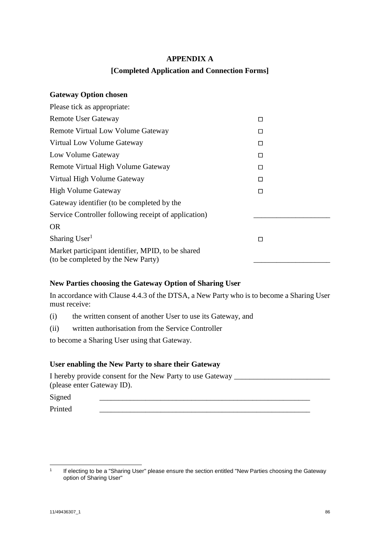# **APPENDIX A**

# **[Completed Application and Connection Forms]**

## **Gateway Option chosen**

| Please tick as appropriate:                                                             |        |
|-----------------------------------------------------------------------------------------|--------|
| <b>Remote User Gateway</b>                                                              | □      |
| <b>Remote Virtual Low Volume Gateway</b>                                                | □      |
| Virtual Low Volume Gateway                                                              | □      |
| Low Volume Gateway                                                                      | $\Box$ |
| Remote Virtual High Volume Gateway                                                      | □      |
| Virtual High Volume Gateway                                                             | □      |
| <b>High Volume Gateway</b>                                                              | □      |
| Gateway identifier (to be completed by the                                              |        |
| Service Controller following receipt of application)                                    |        |
| <b>OR</b>                                                                               |        |
| Sharing User <sup>1</sup>                                                               | П      |
| Market participant identifier, MPID, to be shared<br>(to be completed by the New Party) |        |

# **New Parties choosing the Gateway Option of Sharing User**

In accordance with Clause [4.4.3](#page-26-1) of the DTSA, a New Party who is to become a Sharing User must receive:

- (i) the written consent of another User to use its Gateway, and
- (ii) written authorisation from the Service Controller

to become a Sharing User using that Gateway.

## **User enabling the New Party to share their Gateway**

I hereby provide consent for the New Party to use Gateway \_\_\_\_\_\_\_\_\_\_\_\_\_\_\_\_\_\_\_\_\_\_ (please enter Gateway ID).

 $Signed$ 

Printed \_\_\_\_\_\_\_\_\_\_\_\_\_\_\_\_\_\_\_\_\_\_\_\_\_\_\_\_\_\_\_\_\_\_\_\_\_\_\_\_\_\_\_\_\_\_\_\_\_\_\_\_\_\_\_

1

<sup>1</sup> If electing to be a "Sharing User" please ensure the section entitled "New Parties choosing the Gateway option of Sharing User"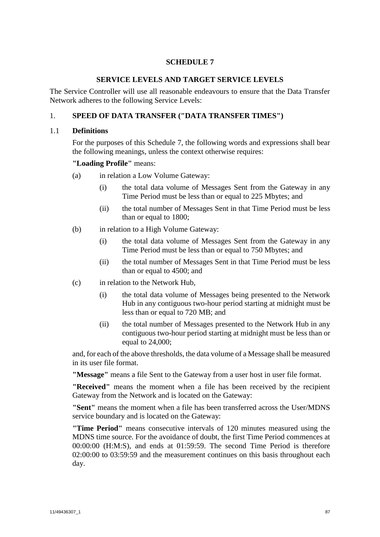# **SCHEDULE 7**

### **SERVICE LEVELS AND TARGET SERVICE LEVELS**

<span id="page-89-0"></span>The Service Controller will use all reasonable endeavours to ensure that the Data Transfer Network adheres to the following Service Levels:

## 1. **SPEED OF DATA TRANSFER ("DATA TRANSFER TIMES")**

#### 1.1 **Definitions**

For the purposes of this [Schedule 7,](#page-89-0) the following words and expressions shall bear the following meanings, unless the context otherwise requires:

#### **"Loading Profile"** means:

- (a) in relation a Low Volume Gateway:
	- (i) the total data volume of Messages Sent from the Gateway in any Time Period must be less than or equal to 225 Mbytes; and
	- (ii) the total number of Messages Sent in that Time Period must be less than or equal to 1800;
- (b) in relation to a High Volume Gateway:
	- (i) the total data volume of Messages Sent from the Gateway in any Time Period must be less than or equal to 750 Mbytes; and
	- (ii) the total number of Messages Sent in that Time Period must be less than or equal to 4500; and
- (c) in relation to the Network Hub,
	- (i) the total data volume of Messages being presented to the Network Hub in any contiguous two-hour period starting at midnight must be less than or equal to 720 MB; and
	- (ii) the total number of Messages presented to the Network Hub in any contiguous two-hour period starting at midnight must be less than or equal to 24,000;

and, for each of the above thresholds, the data volume of a Message shall be measured in its user file format.

**"Message"** means a file Sent to the Gateway from a user host in user file format.

**"Received"** means the moment when a file has been received by the recipient Gateway from the Network and is located on the Gateway:

**"Sent"** means the moment when a file has been transferred across the User/MDNS service boundary and is located on the Gateway:

**"Time Period"** means consecutive intervals of 120 minutes measured using the MDNS time source. For the avoidance of doubt, the first Time Period commences at 00:00:00 (H:M:S), and ends at 01:59:59. The second Time Period is therefore 02:00:00 to 03:59:59 and the measurement continues on this basis throughout each day.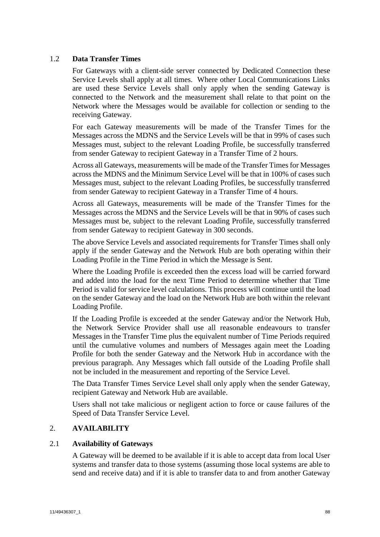## 1.2 **Data Transfer Times**

For Gateways with a client-side server connected by Dedicated Connection these Service Levels shall apply at all times. Where other Local Communications Links are used these Service Levels shall only apply when the sending Gateway is connected to the Network and the measurement shall relate to that point on the Network where the Messages would be available for collection or sending to the receiving Gateway.

For each Gateway measurements will be made of the Transfer Times for the Messages across the MDNS and the Service Levels will be that in 99% of cases such Messages must, subject to the relevant Loading Profile, be successfully transferred from sender Gateway to recipient Gateway in a Transfer Time of 2 hours.

Across all Gateways, measurements will be made of the Transfer Times for Messages across the MDNS and the Minimum Service Level will be that in 100% of cases such Messages must, subject to the relevant Loading Profiles, be successfully transferred from sender Gateway to recipient Gateway in a Transfer Time of 4 hours.

Across all Gateways, measurements will be made of the Transfer Times for the Messages across the MDNS and the Service Levels will be that in 90% of cases such Messages must be, subject to the relevant Loading Profile, successfully transferred from sender Gateway to recipient Gateway in 300 seconds.

The above Service Levels and associated requirements for Transfer Times shall only apply if the sender Gateway and the Network Hub are both operating within their Loading Profile in the Time Period in which the Message is Sent.

Where the Loading Profile is exceeded then the excess load will be carried forward and added into the load for the next Time Period to determine whether that Time Period is valid for service level calculations. This process will continue until the load on the sender Gateway and the load on the Network Hub are both within the relevant Loading Profile.

If the Loading Profile is exceeded at the sender Gateway and/or the Network Hub, the Network Service Provider shall use all reasonable endeavours to transfer Messages in the Transfer Time plus the equivalent number of Time Periods required until the cumulative volumes and numbers of Messages again meet the Loading Profile for both the sender Gateway and the Network Hub in accordance with the previous paragraph. Any Messages which fall outside of the Loading Profile shall not be included in the measurement and reporting of the Service Level.

The Data Transfer Times Service Level shall only apply when the sender Gateway, recipient Gateway and Network Hub are available.

Users shall not take malicious or negligent action to force or cause failures of the Speed of Data Transfer Service Level.

## 2. **AVAILABILITY**

## 2.1 **Availability of Gateways**

A Gateway will be deemed to be available if it is able to accept data from local User systems and transfer data to those systems (assuming those local systems are able to send and receive data) and if it is able to transfer data to and from another Gateway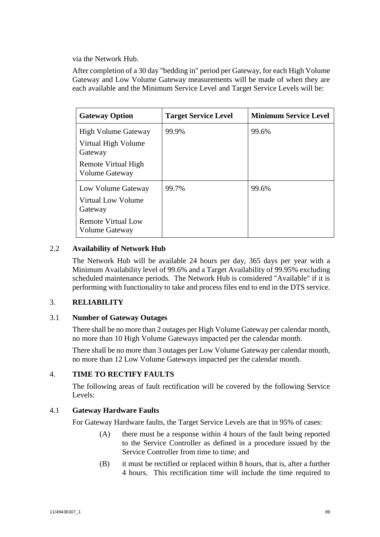via the Network Hub.

After completion of a 30 day "bedding in" period per Gateway, for each High Volume Gateway and Low Volume Gateway measurements will be made of when they are each available and the Minimum Service Level and Target Service Levels will be:

| <b>Gateway Option</b>                       | <b>Target Service Level</b> | <b>Minimum Service Level</b> |
|---------------------------------------------|-----------------------------|------------------------------|
| <b>High Volume Gateway</b>                  | 99.9%                       | 99.6%                        |
| Virtual High Volume<br>Gateway              |                             |                              |
| Remote Virtual High<br>Volume Gateway       |                             |                              |
| Low Volume Gateway                          | 99.7%                       | 99.6%                        |
| Virtual Low Volume<br>Gateway               |                             |                              |
| <b>Remote Virtual Low</b><br>Volume Gateway |                             |                              |

# 2.2 **Availability of Network Hub**

The Network Hub will be available 24 hours per day, 365 days per year with a Minimum Availability level of 99.6% and a Target Availability of 99.95% excluding scheduled maintenance periods. The Network Hub is considered "Available" if it is performing with functionality to take and process files end to end in the DTS service.

# 3. **RELIABILITY**

# 3.1 **Number of Gateway Outages**

There shall be no more than 2 outages per High Volume Gateway per calendar month, no more than 10 High Volume Gateways impacted per the calendar month.

There shall be no more than 3 outages per Low Volume Gateway per calendar month, no more than 12 Low Volume Gateways impacted per the calendar month.

# 4. **TIME TO RECTIFY FAULTS**

The following areas of fault rectification will be covered by the following Service Levels:

# 4.1 **Gateway Hardware Faults**

For Gateway Hardware faults, the Target Service Levels are that in 95% of cases:

- (A) there must be a response within 4 hours of the fault being reported to the Service Controller as defined in a procedure issued by the Service Controller from time to time; and
- (B) it must be rectified or replaced within 8 hours, that is, after a further 4 hours. This rectification time will include the time required to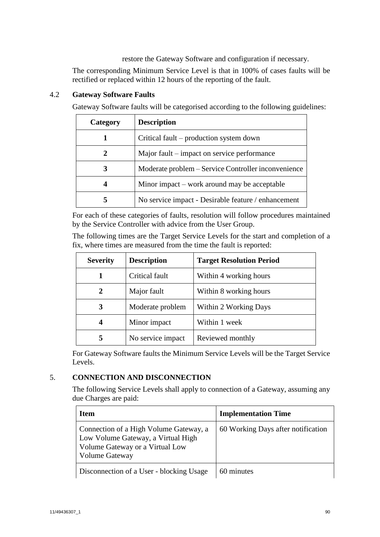restore the Gateway Software and configuration if necessary.

The corresponding Minimum Service Level is that in 100% of cases faults will be rectified or replaced within 12 hours of the reporting of the fault.

| Category | <b>Description</b>                                  |
|----------|-----------------------------------------------------|
|          | Critical fault – production system down             |
| 2        | Major fault – impact on service performance         |
|          | Moderate problem – Service Controller inconvenience |
|          | Minor impact – work around may be acceptable        |
|          | No service impact - Desirable feature / enhancement |

# 4.2 **Gateway Software Faults**

Gateway Software faults will be categorised according to the following guidelines:

For each of these categories of faults, resolution will follow procedures maintained by the Service Controller with advice from the User Group.

The following times are the Target Service Levels for the start and completion of a fix, where times are measured from the time the fault is reported:

| <b>Severity</b> | <b>Description</b> | <b>Target Resolution Period</b> |
|-----------------|--------------------|---------------------------------|
|                 | Critical fault     | Within 4 working hours          |
| 2               | Major fault        | Within 8 working hours          |
| 3               | Moderate problem   | Within 2 Working Days           |
| 4               | Minor impact       | Within 1 week                   |
| 5               | No service impact  | Reviewed monthly                |

For Gateway Software faults the Minimum Service Levels will be the Target Service Levels.

# 5. **CONNECTION AND DISCONNECTION**

The following Service Levels shall apply to connection of a Gateway, assuming any due Charges are paid:

| <b>Item</b>                                                                                                                              | <b>Implementation Time</b>         |
|------------------------------------------------------------------------------------------------------------------------------------------|------------------------------------|
| Connection of a High Volume Gateway, a<br>Low Volume Gateway, a Virtual High<br>Volume Gateway or a Virtual Low<br><b>Volume Gateway</b> | 60 Working Days after notification |
| Disconnection of a User - blocking Usage                                                                                                 | 60 minutes                         |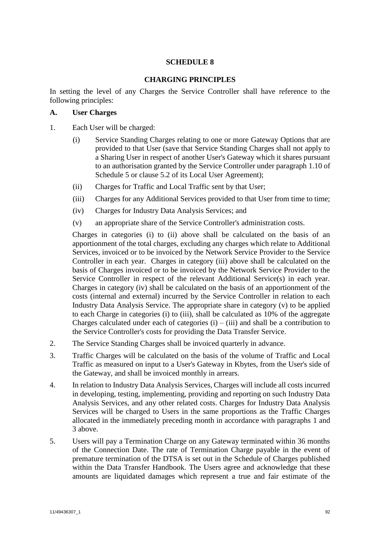# **SCHEDULE 8**

## **CHARGING PRINCIPLES**

In setting the level of any Charges the Service Controller shall have reference to the following principles:

## **A. User Charges**

- <span id="page-94-0"></span>1. Each User will be charged:
	- (i) Service Standing Charges relating to one or more Gateway Options that are provided to that User (save that Service Standing Charges shall not apply to a Sharing User in respect of another User's Gateway which it shares pursuant to an authorisation granted by the Service Controller under paragraph [1.10](#page-78-5) of [Schedule 5](#page-78-4) or clause [5.2](#page-28-0) of its Local User Agreement);
	- (ii) Charges for Traffic and Local Traffic sent by that User;
	- (iii) Charges for any Additional Services provided to that User from time to time;
	- (iv) Charges for Industry Data Analysis Services; and
	- (v) an appropriate share of the Service Controller's administration costs.

Charges in categories (i) to (ii) above shall be calculated on the basis of an apportionment of the total charges, excluding any charges which relate to Additional Services, invoiced or to be invoiced by the Network Service Provider to the Service Controller in each year. Charges in category (iii) above shall be calculated on the basis of Charges invoiced or to be invoiced by the Network Service Provider to the Service Controller in respect of the relevant Additional Service(s) in each year. Charges in category (iv) shall be calculated on the basis of an apportionment of the costs (internal and external) incurred by the Service Controller in relation to each Industry Data Analysis Service. The appropriate share in category (v) to be applied to each Charge in categories (i) to (iii), shall be calculated as 10% of the aggregate Charges calculated under each of categories  $(i) - (iii)$  and shall be a contribution to the Service Controller's costs for providing the Data Transfer Service.

- 2. The Service Standing Charges shall be invoiced quarterly in advance.
- <span id="page-94-1"></span>3. Traffic Charges will be calculated on the basis of the volume of Traffic and Local Traffic as measured on input to a User's Gateway in Kbytes, from the User's side of the Gateway, and shall be invoiced monthly in arrears.
- 4. In relation to Industry Data Analysis Services, Charges will include all costs incurred in developing, testing, implementing, providing and reporting on such Industry Data Analysis Services, and any other related costs. Charges for Industry Data Analysis Services will be charged to Users in the same proportions as the Traffic Charges allocated in the immediately preceding month in accordance with paragraphs [1](#page-94-0) and [3](#page-94-1) above.
- 5. Users will pay a Termination Charge on any Gateway terminated within 36 months of the Connection Date. The rate of Termination Charge payable in the event of premature termination of the DTSA is set out in the Schedule of Charges published within the Data Transfer Handbook. The Users agree and acknowledge that these amounts are liquidated damages which represent a true and fair estimate of the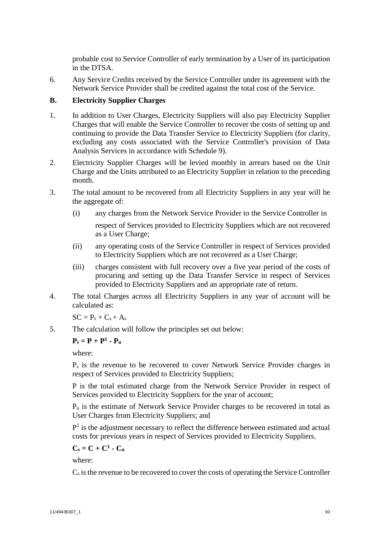probable cost to Service Controller of early termination by a User of its participation in the DTSA.

6. Any Service Credits received by the Service Controller under its agreement with the Network Service Provider shall be credited against the total cost of the Service.

# **B. Electricity Supplier Charges**

- 1. In addition to User Charges, Electricity Suppliers will also pay Electricity Supplier Charges that will enable the Service Controller to recover the costs of setting up and continuing to provide the Data Transfer Service to Electricity Suppliers (for clarity, excluding any costs associated with the Service Controller's provision of Data Analysis Services in accordance with [Schedule 9\)](#page-98-0).
- 2. Electricity Supplier Charges will be levied monthly in arrears based on the Unit Charge and the Units attributed to an Electricity Supplier in relation to the preceding month.
- 3. The total amount to be recovered from all Electricity Suppliers in any year will be the aggregate of:
	- (i) any charges from the Network Service Provider to the Service Controller in respect of Services provided to Electricity Suppliers which are not recovered as a User Charge;
	- (ii) any operating costs of the Service Controller in respect of Services provided to Electricity Suppliers which are not recovered as a User Charge;
	- (iii) charges consistent with full recovery over a five year period of the costs of procuring and setting up the Data Transfer Service in respect of Services provided to Electricity Suppliers and an appropriate rate of return.
- 4. The total Charges across all Electricity Suppliers in any year of account will be calculated as:

 $SC = P_s + C_s + A_s$ 

5. The calculation will follow the principles set out below:

# $P_s = P + P^1 - P_u$

where:

P<sup>s</sup> is the revenue to be recovered to cover Network Service Provider charges in respect of Services provided to Electricity Suppliers;

P is the total estimated charge from the Network Service Provider in respect of Services provided to Electricity Suppliers for the year of account;

 $P_u$  is the estimate of Network Service Provider charges to be recovered in total as User Charges from Electricity Suppliers; and

 $P<sup>1</sup>$  is the adjustment necessary to reflect the difference between estimated and actual costs for previous years in respect of Services provided to Electricity Suppliers.

$$
C_s = C + C^1 \cdot C_u
$$

where:

 $C_s$  is the revenue to be recovered to cover the costs of operating the Service Controller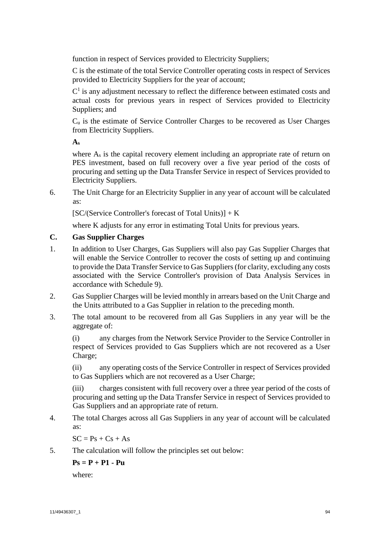function in respect of Services provided to Electricity Suppliers;

C is the estimate of the total Service Controller operating costs in respect of Services provided to Electricity Suppliers for the year of account;

 $C<sup>1</sup>$  is any adjustment necessary to reflect the difference between estimated costs and actual costs for previous years in respect of Services provided to Electricity Suppliers; and

C<sup>u</sup> is the estimate of Service Controller Charges to be recovered as User Charges from Electricity Suppliers.

**As**

where A<sub>s</sub> is the capital recovery element including an appropriate rate of return on PES investment, based on full recovery over a five year period of the costs of procuring and setting up the Data Transfer Service in respect of Services provided to Electricity Suppliers.

6. The Unit Charge for an Electricity Supplier in any year of account will be calculated as:

[SC/(Service Controller's forecast of Total Units)] + K

where K adjusts for any error in estimating Total Units for previous years.

# **C. Gas Supplier Charges**

- 1. In addition to User Charges, Gas Suppliers will also pay Gas Supplier Charges that will enable the Service Controller to recover the costs of setting up and continuing to provide the Data Transfer Service to Gas Suppliers (for clarity, excluding any costs associated with the Service Controller's provision of Data Analysis Services in accordance with Schedule 9).
- 2. Gas Supplier Charges will be levied monthly in arrears based on the Unit Charge and the Units attributed to a Gas Supplier in relation to the preceding month.
- 3. The total amount to be recovered from all Gas Suppliers in any year will be the aggregate of:

(i) any charges from the Network Service Provider to the Service Controller in respect of Services provided to Gas Suppliers which are not recovered as a User Charge;

(ii) any operating costs of the Service Controller in respect of Services provided to Gas Suppliers which are not recovered as a User Charge;

(iii) charges consistent with full recovery over a three year period of the costs of procuring and setting up the Data Transfer Service in respect of Services provided to Gas Suppliers and an appropriate rate of return.

4. The total Charges across all Gas Suppliers in any year of account will be calculated as:

 $SC = Ps + Cs + As$ 

5. The calculation will follow the principles set out below:

**Ps = P + P1 - Pu**

where: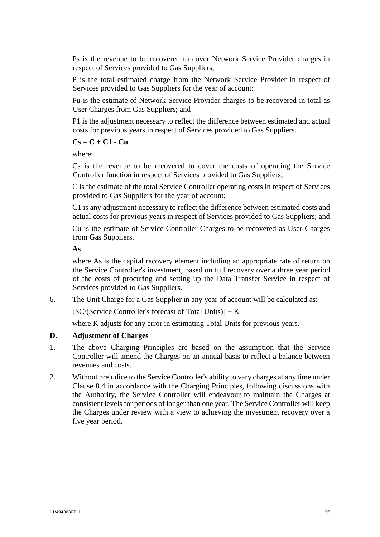Ps is the revenue to be recovered to cover Network Service Provider charges in respect of Services provided to Gas Suppliers;

P is the total estimated charge from the Network Service Provider in respect of Services provided to Gas Suppliers for the year of account;

Pu is the estimate of Network Service Provider charges to be recovered in total as User Charges from Gas Suppliers; and

P1 is the adjustment necessary to reflect the difference between estimated and actual costs for previous years in respect of Services provided to Gas Suppliers.

# **Cs = C + C1 - Cu**

where:

Cs is the revenue to be recovered to cover the costs of operating the Service Controller function in respect of Services provided to Gas Suppliers;

C is the estimate of the total Service Controller operating costs in respect of Services provided to Gas Suppliers for the year of account;

C1 is any adjustment necessary to reflect the difference between estimated costs and actual costs for previous years in respect of Services provided to Gas Suppliers; and

Cu is the estimate of Service Controller Charges to be recovered as User Charges from Gas Suppliers.

## **As**

where As is the capital recovery element including an appropriate rate of return on the Service Controller's investment, based on full recovery over a three year period of the costs of procuring and setting up the Data Transfer Service in respect of Services provided to Gas Suppliers.

6. The Unit Charge for a Gas Supplier in any year of account will be calculated as:

 $[SC/(Service Controler's forecast of Total Units)] + K$ 

where K adjusts for any error in estimating Total Units for previous years.

## **D. Adjustment of Charges**

- 1. The above Charging Principles are based on the assumption that the Service Controller will amend the Charges on an annual basis to reflect a balance between revenues and costs.
- 2. Without prejudice to the Service Controller's ability to vary charges at any time under Clause [8.4](#page-42-0) in accordance with the Charging Principles, following discussions with the Authority, the Service Controller will endeavour to maintain the Charges at consistent levels for periods of longer than one year. The Service Controller will keep the Charges under review with a view to achieving the investment recovery over a five year period.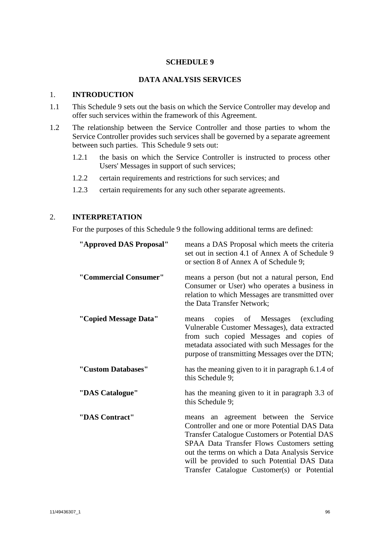### **SCHEDULE 9**

### **DATA ANALYSIS SERVICES**

#### <span id="page-98-0"></span>1. **INTRODUCTION**

- 1.1 This [Schedule 9](#page-98-0) sets out the basis on which the Service Controller may develop and offer such services within the framework of this Agreement.
- 1.2 The relationship between the Service Controller and those parties to whom the Service Controller provides such services shall be governed by a separate agreement between such parties. This [Schedule 9](#page-98-0) sets out:
	- 1.2.1 the basis on which the Service Controller is instructed to process other Users' Messages in support of such services;
	- 1.2.2 certain requirements and restrictions for such services; and
	- 1.2.3 certain requirements for any such other separate agreements.

## 2. **INTERPRETATION**

For the purposes of this [Schedule 9](#page-98-0) the following additional terms are defined:

| "Approved DAS Proposal" | means a DAS Proposal which meets the criteria<br>set out in section 4.1 of Annex A of Schedule 9<br>or section 8 of Annex A of Schedule 9;                                                                                                                                                                                                       |
|-------------------------|--------------------------------------------------------------------------------------------------------------------------------------------------------------------------------------------------------------------------------------------------------------------------------------------------------------------------------------------------|
| "Commercial Consumer"   | means a person (but not a natural person, End<br>Consumer or User) who operates a business in<br>relation to which Messages are transmitted over<br>the Data Transfer Network;                                                                                                                                                                   |
| "Copied Message Data"   | copies of Messages (excluding<br>means<br>Vulnerable Customer Messages), data extracted<br>from such copied Messages and copies of<br>metadata associated with such Messages for the<br>purpose of transmitting Messages over the DTN;                                                                                                           |
| "Custom Databases"      | has the meaning given to it in paragraph 6.1.4 of<br>this Schedule 9;                                                                                                                                                                                                                                                                            |
| "DAS Catalogue"         | has the meaning given to it in paragraph 3.3 of<br>this Schedule 9;                                                                                                                                                                                                                                                                              |
| "DAS Contract"          | an agreement between the Service<br>means<br>Controller and one or more Potential DAS Data<br><b>Transfer Catalogue Customers or Potential DAS</b><br>SPAA Data Transfer Flows Customers setting<br>out the terms on which a Data Analysis Service<br>will be provided to such Potential DAS Data<br>Transfer Catalogue Customer(s) or Potential |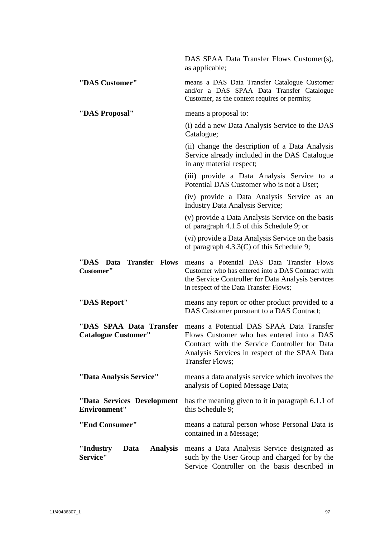|                                                            | DAS SPAA Data Transfer Flows Customer(s),<br>as applicable;                                                                                                                                                       |
|------------------------------------------------------------|-------------------------------------------------------------------------------------------------------------------------------------------------------------------------------------------------------------------|
| "DAS Customer"                                             | means a DAS Data Transfer Catalogue Customer<br>and/or a DAS SPAA Data Transfer Catalogue<br>Customer, as the context requires or permits;                                                                        |
| "DAS Proposal"                                             | means a proposal to:                                                                                                                                                                                              |
|                                                            | (i) add a new Data Analysis Service to the DAS<br>Catalogue;                                                                                                                                                      |
|                                                            | (ii) change the description of a Data Analysis<br>Service already included in the DAS Catalogue<br>in any material respect;                                                                                       |
|                                                            | (iii) provide a Data Analysis Service to a<br>Potential DAS Customer who is not a User;                                                                                                                           |
|                                                            | (iv) provide a Data Analysis Service as an<br><b>Industry Data Analysis Service;</b>                                                                                                                              |
|                                                            | (v) provide a Data Analysis Service on the basis<br>of paragraph 4.1.5 of this Schedule 9; or                                                                                                                     |
|                                                            | (vi) provide a Data Analysis Service on the basis<br>of paragraph $4.3.3(C)$ of this Schedule 9;                                                                                                                  |
| ''DAS<br><b>Transfer Flows</b><br>Data<br><b>Customer"</b> | a Potential DAS Data Transfer Flows<br>means<br>Customer who has entered into a DAS Contract with<br>the Service Controller for Data Analysis Services<br>in respect of the Data Transfer Flows;                  |
| "DAS Report"                                               | means any report or other product provided to a<br>DAS Customer pursuant to a DAS Contract;                                                                                                                       |
| "DAS SPAA Data Transfer<br><b>Catalogue Customer"</b>      | means a Potential DAS SPAA Data Transfer<br>Flows Customer who has entered into a DAS<br>Contract with the Service Controller for Data<br>Analysis Services in respect of the SPAA Data<br><b>Transfer Flows;</b> |
| "Data Analysis Service"                                    | means a data analysis service which involves the<br>analysis of Copied Message Data;                                                                                                                              |
| "Data Services Development<br><b>Environment"</b>          | has the meaning given to it in paragraph 6.1.1 of<br>this Schedule 9;                                                                                                                                             |
| "End Consumer"                                             | means a natural person whose Personal Data is<br>contained in a Message;                                                                                                                                          |
| "Industry<br><b>Analysis</b><br>Data<br>Service"           | means a Data Analysis Service designated as<br>such by the User Group and charged for by the<br>Service Controller on the basis described in                                                                      |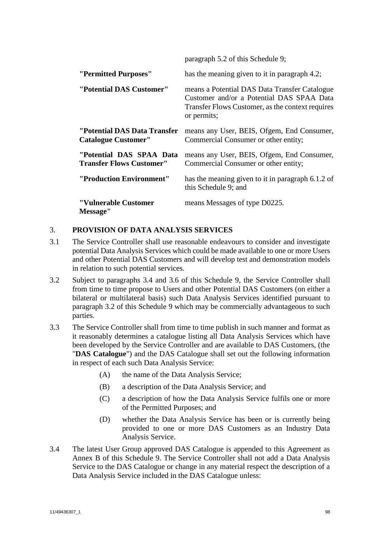|                                                             | paragraph 5.2 of this Schedule 9;                                                                                                                             |
|-------------------------------------------------------------|---------------------------------------------------------------------------------------------------------------------------------------------------------------|
| "Permitted Purposes"                                        | has the meaning given to it in paragraph 4.2;                                                                                                                 |
| "Potential DAS Customer"                                    | means a Potential DAS Data Transfer Catalogue<br>Customer and/or a Potential DAS SPAA Data<br>Transfer Flows Customer, as the context requires<br>or permits; |
| "Potential DAS Data Transfer<br><b>Catalogue Customer"</b>  | means any User, BEIS, Ofgem, End Consumer,<br>Commercial Consumer or other entity;                                                                            |
| "Potential DAS SPAA Data<br><b>Transfer Flows Customer"</b> | means any User, BEIS, Ofgem, End Consumer,<br>Commercial Consumer or other entity;                                                                            |
| "Production Environment"                                    | has the meaning given to it in paragraph 6.1.2 of<br>this Schedule 9; and                                                                                     |
| "Vulnerable Customer<br>Message"                            | means Messages of type D0225.                                                                                                                                 |

# 3. **PROVISION OF DATA ANALYSIS SERVICES**

- 3.1 The Service Controller shall use reasonable endeavours to consider and investigate potential Data Analysis Services which could be made available to one or more Users and other Potential DAS Customers and will develop test and demonstration models in relation to such potential services.
- <span id="page-100-0"></span>3.2 Subject to paragraphs 3.4 and 3.6 of this Schedule 9, the Service Controller shall from time to time propose to Users and other Potential DAS Customers (on either a bilateral or multilateral basis) such Data Analysis Services identified pursuant to paragraph [3.2](#page-100-0) of this [Schedule 9](#page-98-0) which may be commercially advantageous to such parties.
- 3.3 The Service Controller shall from time to time publish in such manner and format as it reasonably determines a catalogue listing all Data Analysis Services which have been developed by the Service Controller and are available to DAS Customers, (the "**DAS Catalogue**") and the DAS Catalogue shall set out the following information in respect of each such Data Analysis Service:
	- (A) the name of the Data Analysis Service;
	- (B) a description of the Data Analysis Service; and
	- (C) a description of how the Data Analysis Service fulfils one or more of the Permitted Purposes; and
	- (D) whether the Data Analysis Service has been or is currently being provided to one or more DAS Customers as an Industry Data Analysis Service.
- 3.4 The latest User Group approved DAS Catalogue is appended to this Agreement as Annex B of this Schedule 9. The Service Controller shall not add a Data Analysis Service to the DAS Catalogue or change in any material respect the description of a Data Analysis Service included in the DAS Catalogue unless: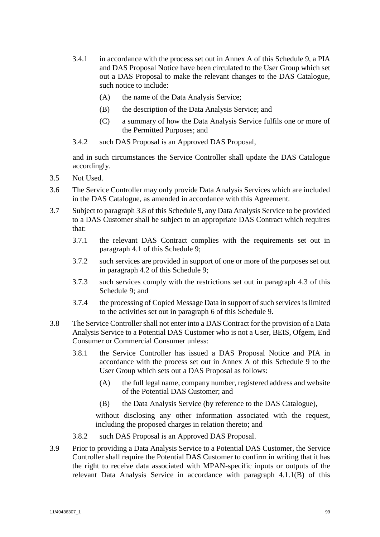- 3.4.1 in accordance with the process set out in Annex A of this Schedule 9, a PIA and DAS Proposal Notice have been circulated to the User Group which set out a DAS Proposal to make the relevant changes to the DAS Catalogue, such notice to include:
	- (A) the name of the Data Analysis Service;
	- (B) the description of the Data Analysis Service; and
	- (C) a summary of how the Data Analysis Service fulfils one or more of the Permitted Purposes; and
- 3.4.2 such DAS Proposal is an Approved DAS Proposal,

and in such circumstances the Service Controller shall update the DAS Catalogue accordingly.

- 3.5 Not Used.
- 3.6 The Service Controller may only provide Data Analysis Services which are included in the DAS Catalogue, as amended in accordance with this Agreement.
- 3.7 Subject to paragraph 3.8 of this Schedule 9, any Data Analysis Service to be provided to a DAS Customer shall be subject to an appropriate DAS Contract which requires that:
	- 3.7.1 the relevant DAS Contract complies with the requirements set out in paragraph [4.1](#page-102-0) of this [Schedule 9;](#page-98-0)
	- 3.7.2 such services are provided in support of one or more of the purposes set out in paragraph [4.2](#page-103-1) of this [Schedule 9;](#page-98-0)
	- 3.7.3 such services comply with the restrictions set out in paragraph [4.3](#page-104-1) of this [Schedule 9;](#page-98-0) and
	- 3.7.4 the processing of Copied Message Data in support of such services is limited to the activities set out in paragraph [6](#page-105-4) of this [Schedule 9.](#page-98-0)
- 3.8 The Service Controller shall not enter into a DAS Contract for the provision of a Data Analysis Service to a Potential DAS Customer who is not a User, BEIS, Ofgem, End Consumer or Commercial Consumer unless:
	- 3.8.1 the Service Controller has issued a DAS Proposal Notice and PIA in accordance with the process set out in Annex A of this Schedule 9 to the User Group which sets out a DAS Proposal as follows:
		- (A) the full legal name, company number, registered address and website of the Potential DAS Customer; and
		- (B) the Data Analysis Service (by reference to the DAS Catalogue),

without disclosing any other information associated with the request, including the proposed charges in relation thereto; and

- 3.8.2 such DAS Proposal is an Approved DAS Proposal.
- 3.9 Prior to providing a Data Analysis Service to a Potential DAS Customer, the Service Controller shall require the Potential DAS Customer to confirm in writing that it has the right to receive data associated with MPAN-specific inputs or outputs of the relevant Data Analysis Service in accordance with paragraph [4.1.1\(B\)](#page-102-1) of this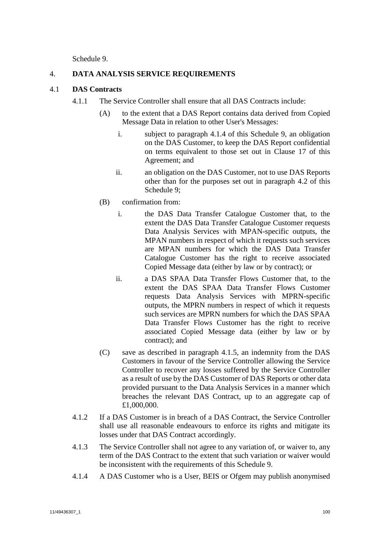Schedule 9.

# 4. **DATA ANALYSIS SERVICE REQUIREMENTS**

# <span id="page-102-0"></span>4.1 **DAS Contracts**

- <span id="page-102-1"></span>4.1.1 The Service Controller shall ensure that all DAS Contracts include:
	- (A) to the extent that a DAS Report contains data derived from Copied Message Data in relation to other User's Messages:
		- i. subject to paragraph 4.1.4 of this [Schedule 9,](#page-98-0) an obligation on the DAS Customer, to keep the DAS Report confidential on terms equivalent to those set out in Clause [17](#page-52-0) of this Agreement; and
		- ii. an obligation on the DAS Customer, not to use DAS Reports other than for the purposes set out in paragraph [4.2](#page-103-1) of this [Schedule 9;](#page-98-0)
	- (B) confirmation from:
		- i. the DAS Data Transfer Catalogue Customer that, to the extent the DAS Data Transfer Catalogue Customer requests Data Analysis Services with MPAN-specific outputs, the MPAN numbers in respect of which it requests such services are MPAN numbers for which the DAS Data Transfer Catalogue Customer has the right to receive associated Copied Message data (either by law or by contract); or
		- ii. a DAS SPAA Data Transfer Flows Customer that, to the extent the DAS SPAA Data Transfer Flows Customer requests Data Analysis Services with MPRN-specific outputs, the MPRN numbers in respect of which it requests such services are MPRN numbers for which the DAS SPAA Data Transfer Flows Customer has the right to receive associated Copied Message data (either by law or by contract); and
	- (C) save as described in paragraph [4.1.5,](#page-103-0) an indemnity from the DAS Customers in favour of the Service Controller allowing the Service Controller to recover any losses suffered by the Service Controller as a result of use by the DAS Customer of DAS Reports or other data provided pursuant to the Data Analysis Services in a manner which breaches the relevant DAS Contract, up to an aggregate cap of £1,000,000.
- 4.1.2 If a DAS Customer is in breach of a DAS Contract, the Service Controller shall use all reasonable endeavours to enforce its rights and mitigate its losses under that DAS Contract accordingly.
- 4.1.3 The Service Controller shall not agree to any variation of, or waiver to, any term of the DAS Contract to the extent that such variation or waiver would be inconsistent with the requirements of this [Schedule 9.](#page-98-0)
- 4.1.4 A DAS Customer who is a User, BEIS or Ofgem may publish anonymised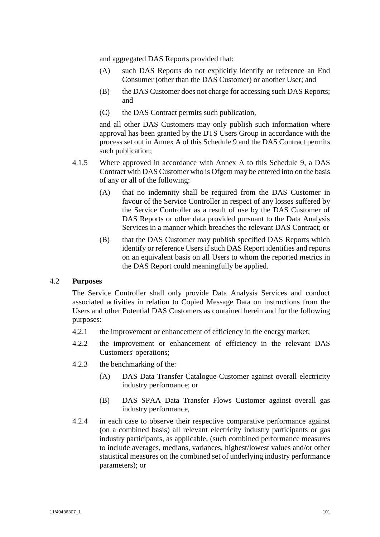and aggregated DAS Reports provided that:

- (A) such DAS Reports do not explicitly identify or reference an End Consumer (other than the DAS Customer) or another User; and
- (B) the DAS Customer does not charge for accessing such DAS Reports; and
- (C) the DAS Contract permits such publication,

and all other DAS Customers may only publish such information where approval has been granted by the DTS Users Group in accordance with the process set out in Annex A of this Schedule 9 and the DAS Contract permits such publication;

- <span id="page-103-0"></span>4.1.5 Where approved in accordance with Annex A to this Schedule 9, a DAS Contract with DAS Customer who is Ofgem may be entered into on the basis of any or all of the following:
	- (A) that no indemnity shall be required from the DAS Customer in favour of the Service Controller in respect of any losses suffered by the Service Controller as a result of use by the DAS Customer of DAS Reports or other data provided pursuant to the Data Analysis Services in a manner which breaches the relevant DAS Contract; or
	- (B) that the DAS Customer may publish specified DAS Reports which identify or reference Users if such DAS Report identifies and reports on an equivalent basis on all Users to whom the reported metrics in the DAS Report could meaningfully be applied.

## <span id="page-103-1"></span>4.2 **Purposes**

The Service Controller shall only provide Data Analysis Services and conduct associated activities in relation to Copied Message Data on instructions from the Users and other Potential DAS Customers as contained herein and for the following purposes:

- 4.2.1 the improvement or enhancement of efficiency in the energy market;
- 4.2.2 the improvement or enhancement of efficiency in the relevant DAS Customers' operations;
- 4.2.3 the benchmarking of the:
	- (A) DAS Data Transfer Catalogue Customer against overall electricity industry performance; or
	- (B) DAS SPAA Data Transfer Flows Customer against overall gas industry performance,
- 4.2.4 in each case to observe their respective comparative performance against (on a combined basis) all relevant electricity industry participants or gas industry participants, as applicable, (such combined performance measures to include averages, medians, variances, highest/lowest values and/or other statistical measures on the combined set of underlying industry performance parameters); or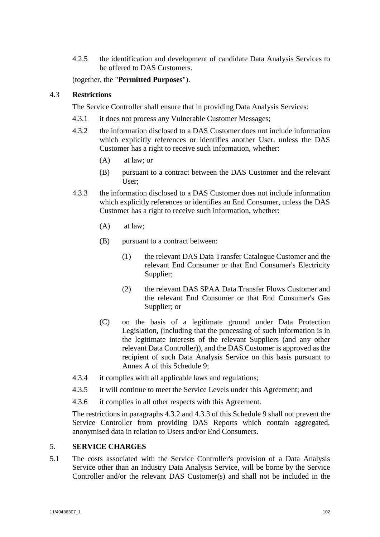4.2.5 the identification and development of candidate Data Analysis Services to be offered to DAS Customers.

(together, the "**Permitted Purposes**").

# <span id="page-104-1"></span>4.3 **Restrictions**

The Service Controller shall ensure that in providing Data Analysis Services:

- 4.3.1 it does not process any Vulnerable Customer Messages;
- <span id="page-104-2"></span>4.3.2 the information disclosed to a DAS Customer does not include information which explicitly references or identifies another User, unless the DAS Customer has a right to receive such information, whether:
	- (A) at law; or
	- (B) pursuant to a contract between the DAS Customer and the relevant User;
- <span id="page-104-3"></span>4.3.3 the information disclosed to a DAS Customer does not include information which explicitly references or identifies an End Consumer, unless the DAS Customer has a right to receive such information, whether:
	- (A) at law;
	- (B) pursuant to a contract between:
		- (1) the relevant DAS Data Transfer Catalogue Customer and the relevant End Consumer or that End Consumer's Electricity Supplier;
		- (2) the relevant DAS SPAA Data Transfer Flows Customer and the relevant End Consumer or that End Consumer's Gas Supplier; or
	- (C) on the basis of a legitimate ground under Data Protection Legislation, (including that the processing of such information is in the legitimate interests of the relevant Suppliers (and any other relevant Data Controller)), and the DAS Customer is approved as the recipient of such Data Analysis Service on this basis pursuant to Annex A of this Schedule 9;
- <span id="page-104-0"></span>4.3.4 it complies with all applicable laws and regulations;
- 4.3.5 it will continue to meet the Service Levels under this Agreement; and
- 4.3.6 it complies in all other respects with this Agreement.

The restrictions in paragraphs [4.3.2](#page-104-2) and [4.3.3](#page-104-3) of this [Schedule 9](#page-98-0) shall not prevent the Service Controller from providing DAS Reports which contain aggregated, anonymised data in relation to Users and/or End Consumers.

## <span id="page-104-4"></span>5. **SERVICE CHARGES**

5.1 The costs associated with the Service Controller's provision of a Data Analysis Service other than an Industry Data Analysis Service, will be borne by the Service Controller and/or the relevant DAS Customer(s) and shall not be included in the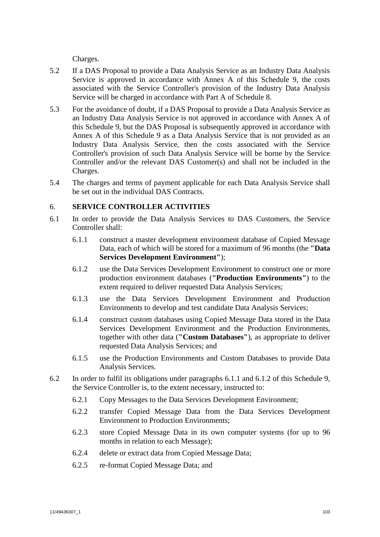Charges.

- <span id="page-105-2"></span>5.2 If a DAS Proposal to provide a Data Analysis Service as an Industry Data Analysis Service is approved in accordance with Annex A of this Schedule 9, the costs associated with the Service Controller's provision of the Industry Data Analysis Service will be charged in accordance with Part A of Schedule 8.
- 5.3 For the avoidance of doubt, if a DAS Proposal to provide a Data Analysis Service as an Industry Data Analysis Service is not approved in accordance with Annex A of this Schedule 9, but the DAS Proposal is subsequently approved in accordance with Annex A of this Schedule 9 as a Data Analysis Service that is not provided as an Industry Data Analysis Service, then the costs associated with the Service Controller's provision of such Data Analysis Service will be borne by the Service Controller and/or the relevant DAS Customer(s) and shall not be included in the Charges.
- 5.4 The charges and terms of payment applicable for each Data Analysis Service shall be set out in the individual DAS Contracts.

# <span id="page-105-4"></span>6. **SERVICE CONTROLLER ACTIVITIES**

- <span id="page-105-5"></span><span id="page-105-3"></span><span id="page-105-1"></span>6.1 In order to provide the Data Analysis Services to DAS Customers, the Service Controller shall:
	- 6.1.1 construct a master development environment database of Copied Message Data, each of which will be stored for a maximum of 96 months (the **"Data Services Development Environment"**);
	- 6.1.2 use the Data Services Development Environment to construct one or more production environment databases (**"Production Environments"**) to the extent required to deliver requested Data Analysis Services;
	- 6.1.3 use the Data Services Development Environment and Production Environments to develop and test candidate Data Analysis Services;
	- 6.1.4 construct custom databases using Copied Message Data stored in the Data Services Development Environment and the Production Environments, together with other data (**"Custom Databases"**), as appropriate to deliver requested Data Analysis Services; and
	- 6.1.5 use the Production Environments and Custom Databases to provide Data Analysis Services.
- <span id="page-105-6"></span><span id="page-105-0"></span>6.2 In order to fulfil its obligations under paragraphs [6.1.1](#page-105-1) and [6.1.2](#page-105-3) of this [Schedule 9,](#page-98-0) the Service Controller is, to the extent necessary, instructed to:
	- 6.2.1 Copy Messages to the Data Services Development Environment;
	- 6.2.2 transfer Copied Message Data from the Data Services Development Environment to Production Environments;
	- 6.2.3 store Copied Message Data in its own computer systems (for up to 96 months in relation to each Message);
	- 6.2.4 delete or extract data from Copied Message Data;
	- 6.2.5 re-format Copied Message Data; and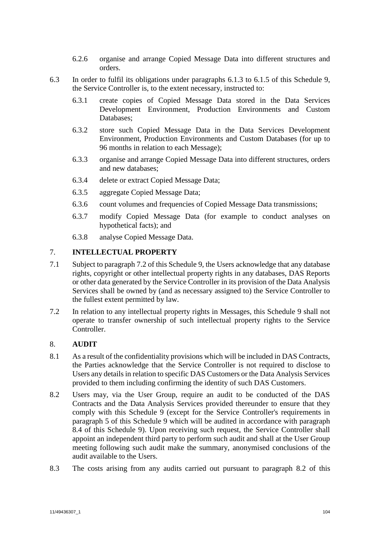- 6.2.6 organise and arrange Copied Message Data into different structures and orders.
- 6.3 In order to fulfil its obligations under paragraphs [6.1.3](#page-105-5) to [6.1.5](#page-105-6) of this [Schedule 9,](#page-98-0) the Service Controller is, to the extent necessary, instructed to:
	- 6.3.1 create copies of Copied Message Data stored in the Data Services Development Environment, Production Environments and Custom Databases;
	- 6.3.2 store such Copied Message Data in the Data Services Development Environment, Production Environments and Custom Databases (for up to 96 months in relation to each Message);
	- 6.3.3 organise and arrange Copied Message Data into different structures, orders and new databases;
	- 6.3.4 delete or extract Copied Message Data;
	- 6.3.5 aggregate Copied Message Data;
	- 6.3.6 count volumes and frequencies of Copied Message Data transmissions;
	- 6.3.7 modify Copied Message Data (for example to conduct analyses on hypothetical facts); and
	- 6.3.8 analyse Copied Message Data.

# 7. **INTELLECTUAL PROPERTY**

- 7.1 Subject to paragraph 7.2 of this Schedule 9, the Users acknowledge that any database rights, copyright or other intellectual property rights in any databases, DAS Reports or other data generated by the Service Controller in its provision of the Data Analysis Services shall be owned by (and as necessary assigned to) the Service Controller to the fullest extent permitted by law.
- 7.2 In relation to any intellectual property rights in Messages, this Schedule 9 shall not operate to transfer ownership of such intellectual property rights to the Service Controller.

## 8. **AUDIT**

- 8.1 As a result of the confidentiality provisions which will be included in DAS Contracts, the Parties acknowledge that the Service Controller is not required to disclose to Users any details in relation to specific DAS Customers or the Data Analysis Services provided to them including confirming the identity of such DAS Customers.
- <span id="page-106-0"></span>8.2 Users may, via the User Group, require an audit to be conducted of the DAS Contracts and the Data Analysis Services provided thereunder to ensure that they comply with this [Schedule 9](#page-98-0) (except for the Service Controller's requirements in paragraph [5](#page-104-4) of this [Schedule 9](#page-98-0) which will be audited in accordance with paragraph [8.4](#page-107-0) of this [Schedule 9\)](#page-98-0). Upon receiving such request, the Service Controller shall appoint an independent third party to perform such audit and shall at the User Group meeting following such audit make the summary, anonymised conclusions of the audit available to the Users.
- 8.3 The costs arising from any audits carried out pursuant to paragraph [8.2](#page-106-0) of this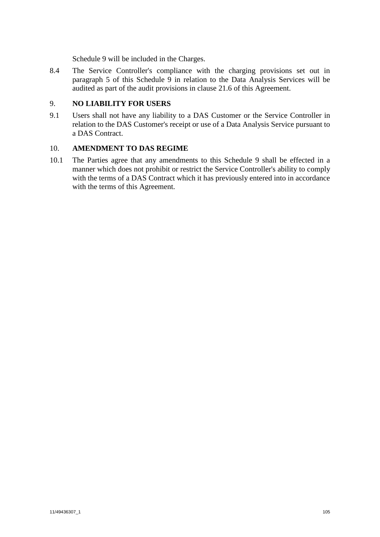[Schedule 9](#page-98-0) will be included in the Charges.

<span id="page-107-0"></span>8.4 The Service Controller's compliance with the charging provisions set out in paragraph [5](#page-104-4) of this [Schedule 9](#page-98-0) in relation to the Data Analysis Services will be audited as part of the audit provisions in clause 21.6 of this Agreement.

# 9. **NO LIABILITY FOR USERS**

9.1 Users shall not have any liability to a DAS Customer or the Service Controller in relation to the DAS Customer's receipt or use of a Data Analysis Service pursuant to a DAS Contract.

## 10. **AMENDMENT TO DAS REGIME**

10.1 The Parties agree that any amendments to this Schedule 9 shall be effected in a manner which does not prohibit or restrict the Service Controller's ability to comply with the terms of a DAS Contract which it has previously entered into in accordance with the terms of this Agreement.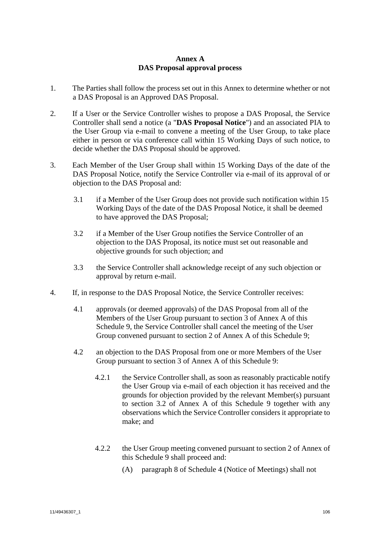## **Annex A DAS Proposal approval process**

- 1. The Parties shall follow the process set out in this Annex to determine whether or not a DAS Proposal is an Approved DAS Proposal.
- 2. If a User or the Service Controller wishes to propose a DAS Proposal, the Service Controller shall send a notice (a "**DAS Proposal Notice**") and an associated PIA to the User Group via e-mail to convene a meeting of the User Group, to take place either in person or via conference call within 15 Working Days of such notice, to decide whether the DAS Proposal should be approved.
- 3. Each Member of the User Group shall within 15 Working Days of the date of the DAS Proposal Notice, notify the Service Controller via e-mail of its approval of or objection to the DAS Proposal and:
	- 3.1 if a Member of the User Group does not provide such notification within 15 Working Days of the date of the DAS Proposal Notice, it shall be deemed to have approved the DAS Proposal;
	- 3.2 if a Member of the User Group notifies the Service Controller of an objection to the DAS Proposal, its notice must set out reasonable and objective grounds for such objection; and
	- 3.3 the Service Controller shall acknowledge receipt of any such objection or approval by return e-mail.
- 4. If, in response to the DAS Proposal Notice, the Service Controller receives:
	- 4.1 approvals (or deemed approvals) of the DAS Proposal from all of the Members of the User Group pursuant to section 3 of Annex A of this Schedule 9, the Service Controller shall cancel the meeting of the User Group convened pursuant to section 2 of Annex A of this Schedule 9;
	- 4.2 an objection to the DAS Proposal from one or more Members of the User Group pursuant to section 3 of Annex A of this Schedule 9:
		- 4.2.1 the Service Controller shall, as soon as reasonably practicable notify the User Group via e-mail of each objection it has received and the grounds for objection provided by the relevant Member(s) pursuant to section 3.2 of Annex A of this Schedule 9 together with any observations which the Service Controller considers it appropriate to make; and
		- 4.2.2 the User Group meeting convened pursuant to section 2 of Annex of this Schedule 9 shall proceed and:
			- (A) paragraph 8 of Schedule 4 (Notice of Meetings) shall not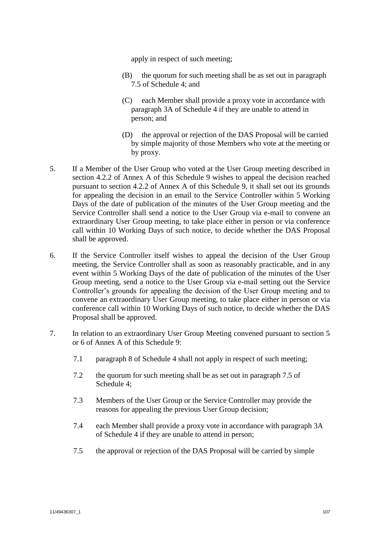apply in respect of such meeting;

- (B) the quorum for such meeting shall be as set out in paragraph 7.5 of Schedule 4; and
- (C) each Member shall provide a proxy vote in accordance with paragraph 3A of Schedule 4 if they are unable to attend in person; and
- (D) the approval or rejection of the DAS Proposal will be carried by simple majority of those Members who vote at the meeting or by proxy.
- 5. If a Member of the User Group who voted at the User Group meeting described in section 4.2.2 of Annex A of this Schedule 9 wishes to appeal the decision reached pursuant to section 4.2.2 of Annex A of this Schedule 9, it shall set out its grounds for appealing the decision in an email to the Service Controller within 5 Working Days of the date of publication of the minutes of the User Group meeting and the Service Controller shall send a notice to the User Group via e-mail to convene an extraordinary User Group meeting, to take place either in person or via conference call within 10 Working Days of such notice, to decide whether the DAS Proposal shall be approved.
- 6. If the Service Controller itself wishes to appeal the decision of the User Group meeting, the Service Controller shall as soon as reasonably practicable, and in any event within 5 Working Days of the date of publication of the minutes of the User Group meeting, send a notice to the User Group via e-mail setting out the Service Controller's grounds for appealing the decision of the User Group meeting and to convene an extraordinary User Group meeting, to take place either in person or via conference call within 10 Working Days of such notice, to decide whether the DAS Proposal shall be approved.
- 7. In relation to an extraordinary User Group Meeting convened pursuant to section 5 or 6 of Annex A of this Schedule 9:
	- 7.1 paragraph 8 of Schedule 4 shall not apply in respect of such meeting;
	- 7.2 the quorum for such meeting shall be as set out in paragraph 7.5 of Schedule 4;
	- 7.3 Members of the User Group or the Service Controller may provide the reasons for appealing the previous User Group decision;
	- 7.4 each Member shall provide a proxy vote in accordance with paragraph 3A of Schedule 4 if they are unable to attend in person;
	- 7.5 the approval or rejection of the DAS Proposal will be carried by simple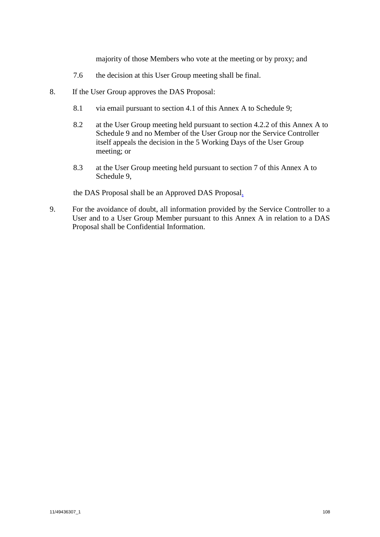majority of those Members who vote at the meeting or by proxy; and

- 7.6 the decision at this User Group meeting shall be final.
- 8. If the User Group approves the DAS Proposal:
	- 8.1 via email pursuant to section 4.1 of this Annex A to Schedule 9;
	- 8.2 at the User Group meeting held pursuant to section 4.2.2 of this Annex A to Schedule 9 and no Member of the User Group nor the Service Controller itself appeals the decision in the 5 Working Days of the User Group meeting; or
	- 8.3 at the User Group meeting held pursuant to section 7 of this Annex A to Schedule 9,

the DAS Proposal shall be an Approved DAS Proposal.

9. For the avoidance of doubt, all information provided by the Service Controller to a User and to a User Group Member pursuant to this Annex A in relation to a DAS Proposal shall be Confidential Information.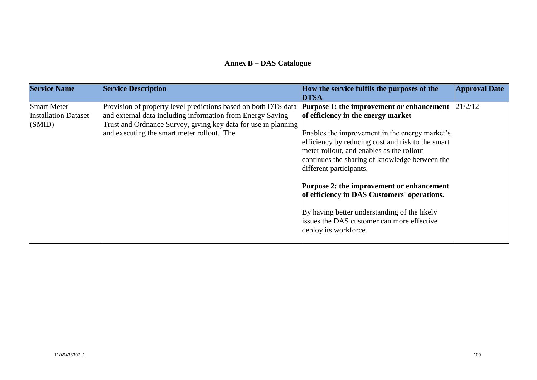## **Annex B – DAS Catalogue**

| <b>Service Name</b>                                         | <b>Service Description</b>                                                                                                                                                                                                                   | How the service fulfils the purposes of the<br><b>DTSA</b>                                                                                                                                                                                                                                                                                                                                                                                                                                                                                               | <b>Approval Date</b> |
|-------------------------------------------------------------|----------------------------------------------------------------------------------------------------------------------------------------------------------------------------------------------------------------------------------------------|----------------------------------------------------------------------------------------------------------------------------------------------------------------------------------------------------------------------------------------------------------------------------------------------------------------------------------------------------------------------------------------------------------------------------------------------------------------------------------------------------------------------------------------------------------|----------------------|
| <b>Smart Meter</b><br><b>Installation Dataset</b><br>(SMID) | Provision of property level predictions based on both DTS data<br>and external data including information from Energy Saving<br>Trust and Ordnance Survey, giving key data for use in planning<br>and executing the smart meter rollout. The | <b>Purpose 1: the improvement or enhancement</b> 21/2/12<br>of efficiency in the energy market<br>Enables the improvement in the energy market's<br>efficiency by reducing cost and risk to the smart<br>meter rollout, and enables as the rollout<br>continues the sharing of knowledge between the<br>different participants.<br><b>Purpose 2: the improvement or enhancement</b><br>of efficiency in DAS Customers' operations.<br>By having better understanding of the likely<br>issues the DAS customer can more effective<br>deploy its workforce |                      |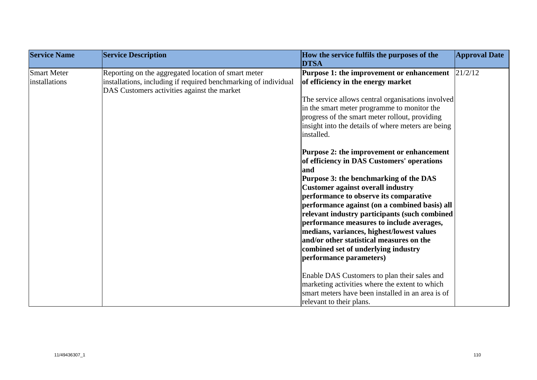| <b>Service Name</b>                 | <b>Service Description</b>                                                                                                                                            | How the service fulfils the purposes of the<br><b>DTSA</b>                                                                                                                                                                                                                                                                                                                                                                                                                                                                                                                                                                                                                                                                                                                                                                                            | <b>Approval Date</b> |
|-------------------------------------|-----------------------------------------------------------------------------------------------------------------------------------------------------------------------|-------------------------------------------------------------------------------------------------------------------------------------------------------------------------------------------------------------------------------------------------------------------------------------------------------------------------------------------------------------------------------------------------------------------------------------------------------------------------------------------------------------------------------------------------------------------------------------------------------------------------------------------------------------------------------------------------------------------------------------------------------------------------------------------------------------------------------------------------------|----------------------|
| <b>Smart Meter</b><br>installations | Reporting on the aggregated location of smart meter<br>installations, including if required benchmarking of individual<br>DAS Customers activities against the market | Purpose 1: the improvement or enhancement<br>of efficiency in the energy market<br>The service allows central organisations involved<br>in the smart meter programme to monitor the<br>progress of the smart meter rollout, providing<br>insight into the details of where meters are being<br>installed.<br>Purpose 2: the improvement or enhancement<br>of efficiency in DAS Customers' operations<br>and<br>Purpose 3: the benchmarking of the DAS<br><b>Customer against overall industry</b><br>performance to observe its comparative<br>performance against (on a combined basis) all<br>relevant industry participants (such combined<br>performance measures to include averages,<br>medians, variances, highest/lowest values<br>and/or other statistical measures on the<br>combined set of underlying industry<br>performance parameters) | 21/2/12              |
|                                     |                                                                                                                                                                       | Enable DAS Customers to plan their sales and<br>marketing activities where the extent to which<br>smart meters have been installed in an area is of<br>relevant to their plans.                                                                                                                                                                                                                                                                                                                                                                                                                                                                                                                                                                                                                                                                       |                      |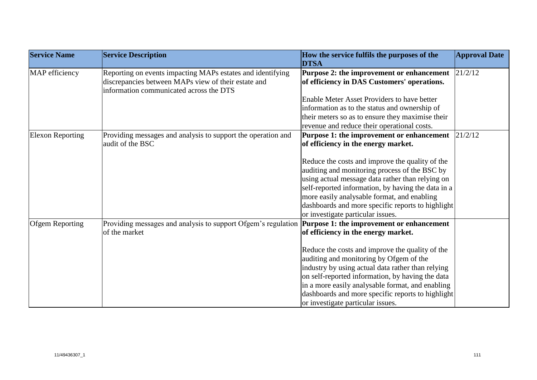| <b>Service Name</b>     | <b>Service Description</b>                                                                                                                                   | How the service fulfils the purposes of the<br><b>DTSA</b>                                                                                                                                                                                                                                                                                        | <b>Approval Date</b> |
|-------------------------|--------------------------------------------------------------------------------------------------------------------------------------------------------------|---------------------------------------------------------------------------------------------------------------------------------------------------------------------------------------------------------------------------------------------------------------------------------------------------------------------------------------------------|----------------------|
| MAP efficiency          | Reporting on events impacting MAPs estates and identifying<br>discrepancies between MAPs view of their estate and<br>information communicated across the DTS | <b>Purpose 2: the improvement or enhancement</b><br>of efficiency in DAS Customers' operations.                                                                                                                                                                                                                                                   | 21/2/12              |
|                         |                                                                                                                                                              | Enable Meter Asset Providers to have better                                                                                                                                                                                                                                                                                                       |                      |
|                         |                                                                                                                                                              | information as to the status and ownership of                                                                                                                                                                                                                                                                                                     |                      |
|                         |                                                                                                                                                              | their meters so as to ensure they maximise their                                                                                                                                                                                                                                                                                                  |                      |
|                         |                                                                                                                                                              | revenue and reduce their operational costs.                                                                                                                                                                                                                                                                                                       |                      |
| <b>Elexon Reporting</b> | Providing messages and analysis to support the operation and                                                                                                 | Purpose 1: the improvement or enhancement                                                                                                                                                                                                                                                                                                         | 21/2/12              |
|                         | audit of the BSC                                                                                                                                             | of efficiency in the energy market.                                                                                                                                                                                                                                                                                                               |                      |
|                         |                                                                                                                                                              | Reduce the costs and improve the quality of the<br>auditing and monitoring process of the BSC by<br>using actual message data rather than relying on                                                                                                                                                                                              |                      |
|                         |                                                                                                                                                              | self-reported information, by having the data in a<br>more easily analysable format, and enabling                                                                                                                                                                                                                                                 |                      |
|                         |                                                                                                                                                              | dashboards and more specific reports to highlight<br>or investigate particular issues.                                                                                                                                                                                                                                                            |                      |
| <b>Ofgem Reporting</b>  | Providing messages and analysis to support Ofgem's regulation <b>Purpose 1: the improvement or enhancement</b>                                               |                                                                                                                                                                                                                                                                                                                                                   |                      |
|                         | of the market                                                                                                                                                | of efficiency in the energy market.                                                                                                                                                                                                                                                                                                               |                      |
|                         |                                                                                                                                                              | Reduce the costs and improve the quality of the<br>auditing and monitoring by Ofgem of the<br>industry by using actual data rather than relying<br>on self-reported information, by having the data<br>in a more easily analysable format, and enabling<br>dashboards and more specific reports to highlight<br>or investigate particular issues. |                      |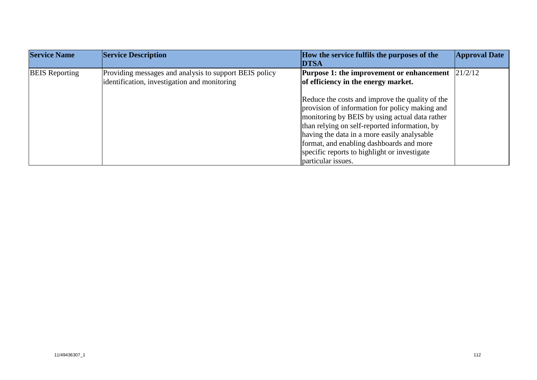| <b>Service Name</b>   | <b>Service Description</b>                                                                             | How the service fulfils the purposes of the<br><b>DTSA</b>                                                                                                                                                                                                                                                                                                            | <b>Approval Date</b> |
|-----------------------|--------------------------------------------------------------------------------------------------------|-----------------------------------------------------------------------------------------------------------------------------------------------------------------------------------------------------------------------------------------------------------------------------------------------------------------------------------------------------------------------|----------------------|
| <b>BEIS</b> Reporting | Providing messages and analysis to support BEIS policy<br>identification, investigation and monitoring | Purpose 1: the improvement or enhancement<br>of efficiency in the energy market.                                                                                                                                                                                                                                                                                      | 21/2/12              |
|                       |                                                                                                        | Reduce the costs and improve the quality of the<br>provision of information for policy making and<br>monitoring by BEIS by using actual data rather<br>than relying on self-reported information, by<br>having the data in a more easily analysable<br>format, and enabling dashboards and more<br>specific reports to highlight or investigate<br>particular issues. |                      |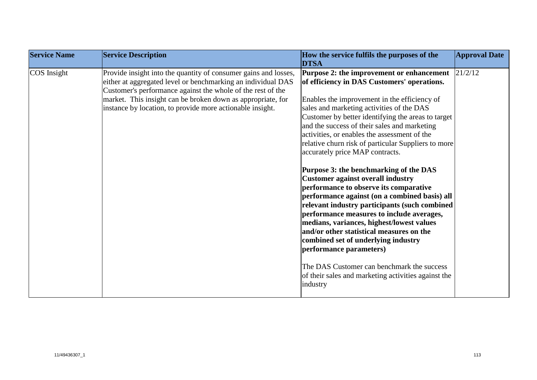| <b>Service Name</b><br><b>Service Description</b>                                                                                                                                                                                                                                                                                         | How the service fulfils the purposes of the<br><b>DTSA</b>                                                                                                                                                                                                                                                                                                                                                                                                                                                                                                                                                                                                                                                                                                                                                                                                                                                                                                                                                          | <b>Approval Date</b> |
|-------------------------------------------------------------------------------------------------------------------------------------------------------------------------------------------------------------------------------------------------------------------------------------------------------------------------------------------|---------------------------------------------------------------------------------------------------------------------------------------------------------------------------------------------------------------------------------------------------------------------------------------------------------------------------------------------------------------------------------------------------------------------------------------------------------------------------------------------------------------------------------------------------------------------------------------------------------------------------------------------------------------------------------------------------------------------------------------------------------------------------------------------------------------------------------------------------------------------------------------------------------------------------------------------------------------------------------------------------------------------|----------------------|
| COS Insight<br>Provide insight into the quantity of consumer gains and losses,<br>either at aggregated level or benchmarking an individual DAS<br>Customer's performance against the whole of the rest of the<br>market. This insight can be broken down as appropriate, for<br>instance by location, to provide more actionable insight. | <b>Purpose 2: the improvement or enhancement</b> $ 21/2/12 $<br>of efficiency in DAS Customers' operations.<br>Enables the improvement in the efficiency of<br>sales and marketing activities of the DAS<br>Customer by better identifying the areas to target<br>and the success of their sales and marketing<br>activities, or enables the assessment of the<br>relative churn risk of particular Suppliers to more<br>accurately price MAP contracts.<br>Purpose 3: the benchmarking of the DAS<br><b>Customer against overall industry</b><br>performance to observe its comparative<br>performance against (on a combined basis) all<br>relevant industry participants (such combined<br>performance measures to include averages,<br>medians, variances, highest/lowest values<br>and/or other statistical measures on the<br>combined set of underlying industry<br>performance parameters)<br>The DAS Customer can benchmark the success<br>of their sales and marketing activities against the<br>industry |                      |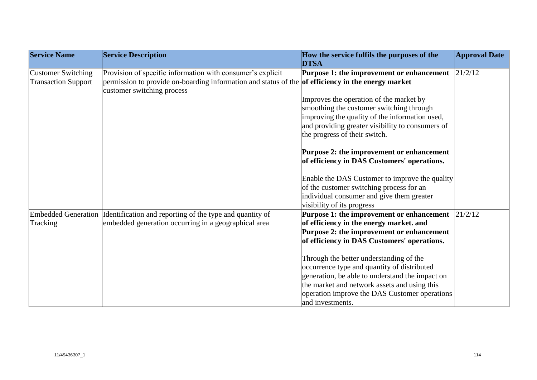| <b>Service Name</b>        | <b>Service Description</b>                                                                                                       | How the service fulfils the purposes of the<br><b>DTSA</b> | <b>Approval Date</b> |
|----------------------------|----------------------------------------------------------------------------------------------------------------------------------|------------------------------------------------------------|----------------------|
| <b>Customer Switching</b>  | Provision of specific information with consumer's explicit                                                                       | Purpose 1: the improvement or enhancement                  | 21/2/12              |
| <b>Transaction Support</b> | permission to provide on-boarding information and status of the of efficiency in the energy market<br>customer switching process |                                                            |                      |
|                            |                                                                                                                                  | Improves the operation of the market by                    |                      |
|                            |                                                                                                                                  | smoothing the customer switching through                   |                      |
|                            |                                                                                                                                  | improving the quality of the information used,             |                      |
|                            |                                                                                                                                  | and providing greater visibility to consumers of           |                      |
|                            |                                                                                                                                  | the progress of their switch.                              |                      |
|                            |                                                                                                                                  | Purpose 2: the improvement or enhancement                  |                      |
|                            |                                                                                                                                  | of efficiency in DAS Customers' operations.                |                      |
|                            |                                                                                                                                  | Enable the DAS Customer to improve the quality             |                      |
|                            |                                                                                                                                  | of the customer switching process for an                   |                      |
|                            |                                                                                                                                  | individual consumer and give them greater                  |                      |
|                            |                                                                                                                                  | visibility of its progress                                 |                      |
|                            | Embedded Generation Identification and reporting of the type and quantity of                                                     | Purpose 1: the improvement or enhancement                  | 21/2/12              |
| Tracking                   | embedded generation occurring in a geographical area                                                                             | of efficiency in the energy market. and                    |                      |
|                            |                                                                                                                                  | Purpose 2: the improvement or enhancement                  |                      |
|                            |                                                                                                                                  | of efficiency in DAS Customers' operations.                |                      |
|                            |                                                                                                                                  | Through the better understanding of the                    |                      |
|                            |                                                                                                                                  | occurrence type and quantity of distributed                |                      |
|                            |                                                                                                                                  | generation, be able to understand the impact on            |                      |
|                            |                                                                                                                                  | the market and network assets and using this               |                      |
|                            |                                                                                                                                  | operation improve the DAS Customer operations              |                      |
|                            |                                                                                                                                  | and investments.                                           |                      |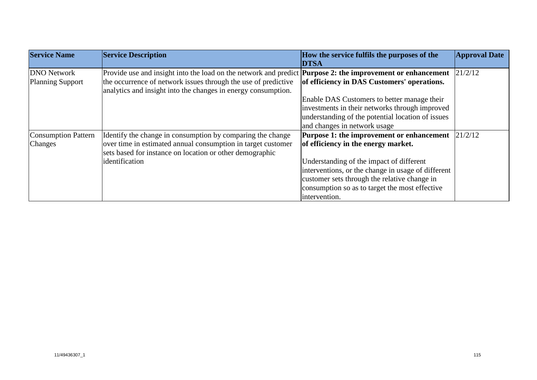| <b>Service Name</b>        | <b>Service Description</b>                                                                                        | How the service fulfils the purposes of the        | <b>Approval Date</b> |
|----------------------------|-------------------------------------------------------------------------------------------------------------------|----------------------------------------------------|----------------------|
|                            |                                                                                                                   | <b>DTSA</b>                                        |                      |
| <b>DNO</b> Network         | Provide use and insight into the load on the network and predict <b>Purpose 2: the improvement or enhancement</b> |                                                    | 21/2/12              |
| <b>Planning Support</b>    | the occurrence of network issues through the use of predictive                                                    | of efficiency in DAS Customers' operations.        |                      |
|                            | analytics and insight into the changes in energy consumption.                                                     |                                                    |                      |
|                            |                                                                                                                   | Enable DAS Customers to better manage their        |                      |
|                            |                                                                                                                   | investments in their networks through improved     |                      |
|                            |                                                                                                                   | understanding of the potential location of issues  |                      |
|                            |                                                                                                                   | and changes in network usage                       |                      |
| <b>Consumption Pattern</b> | Identify the change in consumption by comparing the change                                                        | <b>Purpose 1: the improvement or enhancement</b>   | 21/2/12              |
| Changes                    | over time in estimated annual consumption in target customer                                                      | of efficiency in the energy market.                |                      |
|                            | sets based for instance on location or other demographic                                                          |                                                    |                      |
|                            | identification                                                                                                    | Understanding of the impact of different           |                      |
|                            |                                                                                                                   | interventions, or the change in usage of different |                      |
|                            |                                                                                                                   | customer sets through the relative change in       |                      |
|                            |                                                                                                                   | consumption so as to target the most effective     |                      |
|                            |                                                                                                                   | intervention.                                      |                      |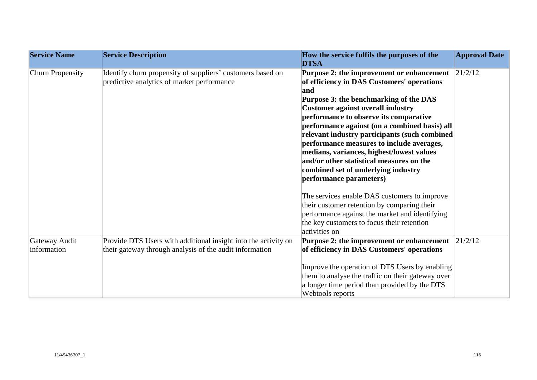| <b>Service Name</b>          | <b>Service Description</b>                                                                                                | How the service fulfils the purposes of the<br><b>DTSA</b>                                                                                                                                                                                                                                                                                                                                                                                                                                                                               | <b>Approval Date</b> |
|------------------------------|---------------------------------------------------------------------------------------------------------------------------|------------------------------------------------------------------------------------------------------------------------------------------------------------------------------------------------------------------------------------------------------------------------------------------------------------------------------------------------------------------------------------------------------------------------------------------------------------------------------------------------------------------------------------------|----------------------|
| <b>Churn Propensity</b>      | Identify churn propensity of suppliers' customers based on<br>predictive analytics of market performance                  | Purpose 2: the improvement or enhancement<br>of efficiency in DAS Customers' operations<br>and<br>Purpose 3: the benchmarking of the DAS<br><b>Customer against overall industry</b><br>performance to observe its comparative<br>performance against (on a combined basis) all<br>relevant industry participants (such combined<br>performance measures to include averages,<br>medians, variances, highest/lowest values<br>and/or other statistical measures on the<br>combined set of underlying industry<br>performance parameters) | 21/2/12              |
|                              |                                                                                                                           | The services enable DAS customers to improve<br>their customer retention by comparing their<br>performance against the market and identifying<br>the key customers to focus their retention<br>activities on                                                                                                                                                                                                                                                                                                                             |                      |
| Gateway Audit<br>information | Provide DTS Users with additional insight into the activity on<br>their gateway through analysis of the audit information | Purpose 2: the improvement or enhancement<br>of efficiency in DAS Customers' operations<br>Improve the operation of DTS Users by enabling<br>them to analyse the traffic on their gateway over<br>a longer time period than provided by the DTS<br>Webtools reports                                                                                                                                                                                                                                                                      | 21/2/12              |